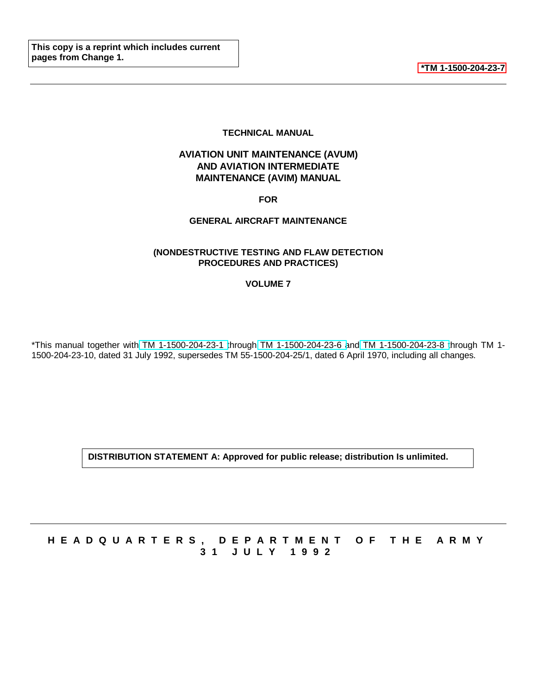**[\\*TM 1-1500-204-23-7](#page-6-0)**

#### **TECHNICAL MANUAL**

## <span id="page-0-0"></span>**AVIATION UNIT MAINTENANCE (AVUM) AND AVIATION INTERMEDIATE MAINTENANCE (AVIM) MANUAL**

#### **FOR**

#### **GENERAL AIRCRAFT MAINTENANCE**

#### **(NONDESTRUCTIVE TESTING AND FLAW DETECTION PROCEDURES AND PRACTICES)**

#### **VOLUME 7**

\*This manual together with TM 1-1500-204-23-1 through TM 1-1500-204-23-6 and TM 1-1500-204-23-8 through TM 1- 1500-204-23-10, dated 31 July 1992, supersedes TM 55-1500-204-25/1, dated 6 April 1970, including all changes.

**DISTRIBUTION STATEMENT A: Approved for public release; distribution Is unlimited.**

# **HEADQUARTERS, DEPARTMENT OF THE ARM Y 31 JULY 199 2**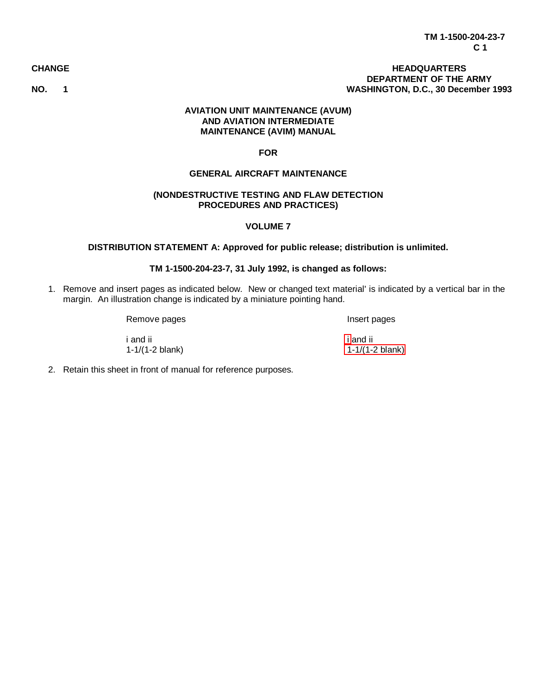#### **CHANGE HEADQUARTERS DEPARTMENT OF THE ARMY NO. 1 WASHINGTON, D.C., 30 December 1993**

#### **AVIATION UNIT MAINTENANCE (AVUM) AND AVIATION INTERMEDIATE MAINTENANCE (AVIM) MANUAL**

#### **FOR**

#### **GENERAL AIRCRAFT MAINTENANCE**

#### **(NONDESTRUCTIVE TESTING AND FLAW DETECTION PROCEDURES AND PRACTICES)**

#### **VOLUME 7**

#### **DISTRIBUTION STATEMENT A: Approved for public release; distribution is unlimited.**

#### **TM 1-1500-204-23-7, 31 July 1992, is changed as follows:**

1. Remove and insert pages as indicated below. New or changed text material' is indicated by a vertical bar in the margin. An illustration change is indicated by a miniature pointing hand.

Remove pages **Insert pages** 

i and ii [i](#page-6-0) and ii 1-1/(1-2 blank) [1-1/\(1-2 blank\)](#page-7-0)

2. Retain this sheet in front of manual for reference purposes.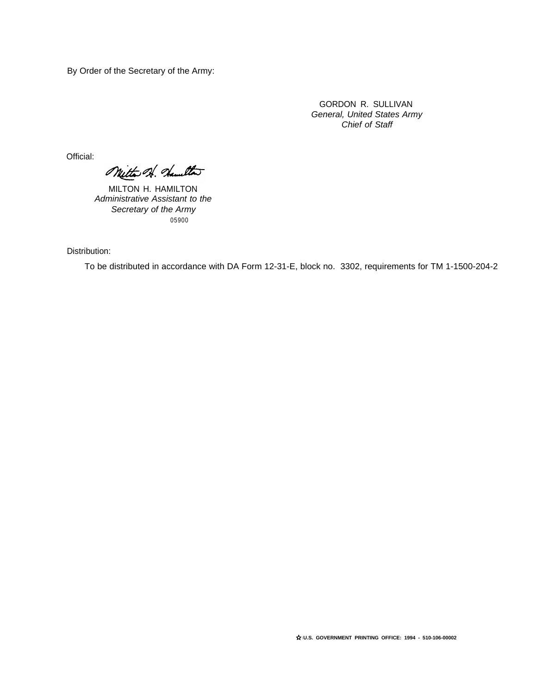By Order of the Secretary of the Army:

GORDON R. SULLIVAN General, United States Army Chief of Staff

Official:

Mitta A. Hamilton

MILTON H. HAMILTON Administrative Assistant to the Secretary of the Army 05900

Distribution:

To be distributed in accordance with DA Form 12-31-E, block no. 3302, requirements for TM 1-1500-204-2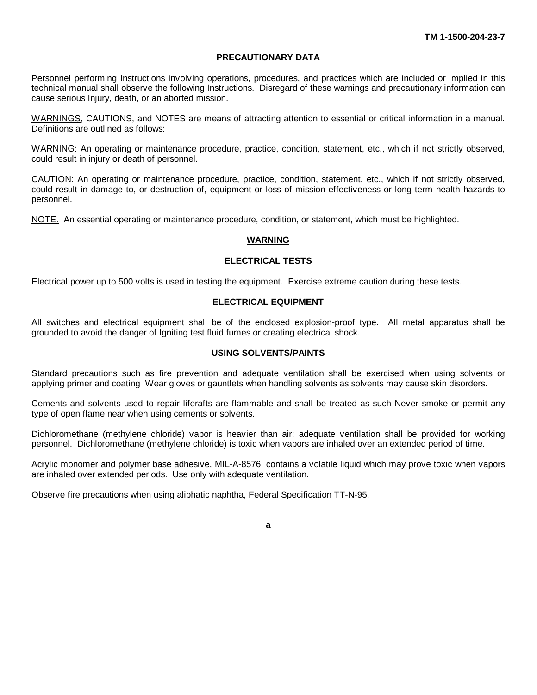#### **PRECAUTIONARY DATA**

Personnel performing Instructions involving operations, procedures, and practices which are included or implied in this technical manual shall observe the following Instructions. Disregard of these warnings and precautionary information can cause serious Injury, death, or an aborted mission.

WARNINGS, CAUTIONS, and NOTES are means of attracting attention to essential or critical information in a manual. Definitions are outlined as follows:

WARNING: An operating or maintenance procedure, practice, condition, statement, etc., which if not strictly observed, could result in injury or death of personnel.

CAUTION: An operating or maintenance procedure, practice, condition, statement, etc., which if not strictly observed, could result in damage to, or destruction of, equipment or loss of mission effectiveness or long term health hazards to personnel.

NOTE. An essential operating or maintenance procedure, condition, or statement, which must be highlighted.

#### **WARNING**

#### **ELECTRICAL TESTS**

Electrical power up to 500 volts is used in testing the equipment. Exercise extreme caution during these tests.

#### **ELECTRICAL EQUIPMENT**

All switches and electrical equipment shall be of the enclosed explosion-proof type. All metal apparatus shall be grounded to avoid the danger of Igniting test fluid fumes or creating electrical shock.

#### **USING SOLVENTS/PAINTS**

Standard precautions such as fire prevention and adequate ventilation shall be exercised when using solvents or applying primer and coating Wear gloves or gauntlets when handling solvents as solvents may cause skin disorders.

Cements and solvents used to repair liferafts are flammable and shall be treated as such Never smoke or permit any type of open flame near when using cements or solvents.

Dichloromethane (methylene chloride) vapor is heavier than air; adequate ventilation shall be provided for working personnel. Dichloromethane (methylene chloride) is toxic when vapors are inhaled over an extended period of time.

Acrylic monomer and polymer base adhesive, MIL-A-8576, contains a volatile liquid which may prove toxic when vapors are inhaled over extended periods. Use only with adequate ventilation.

Observe fire precautions when using aliphatic naphtha, Federal Specification TT-N-95.

**a**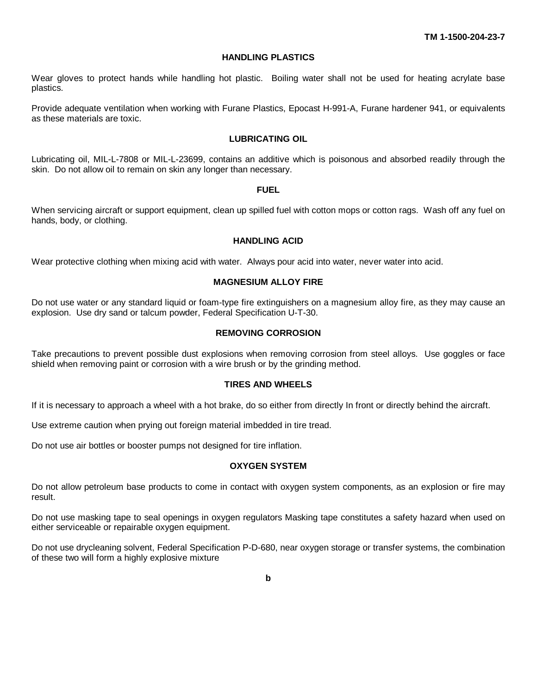#### **HANDLING PLASTICS**

Wear gloves to protect hands while handling hot plastic. Boiling water shall not be used for heating acrylate base plastics.

Provide adequate ventilation when working with Furane Plastics, Epocast H-991-A, Furane hardener 941, or equivalents as these materials are toxic.

#### **LUBRICATING OIL**

Lubricating oil, MIL-L-7808 or MIL-L-23699, contains an additive which is poisonous and absorbed readily through the skin. Do not allow oil to remain on skin any longer than necessary.

#### **FUEL**

When servicing aircraft or support equipment, clean up spilled fuel with cotton mops or cotton rags. Wash off any fuel on hands, body, or clothing.

#### **HANDLING ACID**

Wear protective clothing when mixing acid with water. Always pour acid into water, never water into acid.

#### **MAGNESIUM ALLOY FIRE**

Do not use water or any standard liquid or foam-type fire extinguishers on a magnesium alloy fire, as they may cause an explosion. Use dry sand or talcum powder, Federal Specification U-T-30.

#### **REMOVING CORROSION**

Take precautions to prevent possible dust explosions when removing corrosion from steel alloys. Use goggles or face shield when removing paint or corrosion with a wire brush or by the grinding method.

#### **TIRES AND WHEELS**

If it is necessary to approach a wheel with a hot brake, do so either from directly In front or directly behind the aircraft.

Use extreme caution when prying out foreign material imbedded in tire tread.

Do not use air bottles or booster pumps not designed for tire inflation.

#### **OXYGEN SYSTEM**

Do not allow petroleum base products to come in contact with oxygen system components, as an explosion or fire may result.

Do not use masking tape to seal openings in oxygen regulators Masking tape constitutes a safety hazard when used on either serviceable or repairable oxygen equipment.

Do not use drycleaning solvent, Federal Specification P-D-680, near oxygen storage or transfer systems, the combination of these two will form a highly explosive mixture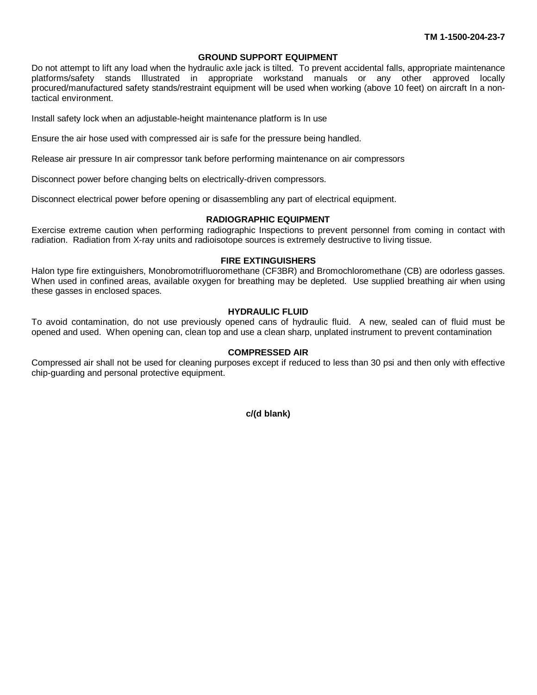#### **GROUND SUPPORT EQUIPMENT**

Do not attempt to lift any load when the hydraulic axle jack is tilted. To prevent accidental falls, appropriate maintenance platforms/safety stands Illustrated in appropriate workstand manuals or any other approved locally procured/manufactured safety stands/restraint equipment will be used when working (above 10 feet) on aircraft In a nontactical environment.

Install safety lock when an adjustable-height maintenance platform is In use

Ensure the air hose used with compressed air is safe for the pressure being handled.

Release air pressure In air compressor tank before performing maintenance on air compressors

Disconnect power before changing belts on electrically-driven compressors.

Disconnect electrical power before opening or disassembling any part of electrical equipment.

#### **RADIOGRAPHIC EQUIPMENT**

Exercise extreme caution when performing radiographic Inspections to prevent personnel from coming in contact with radiation. Radiation from X-ray units and radioisotope sources is extremely destructive to living tissue.

#### **FIRE EXTINGUISHERS**

Halon type fire extinguishers, Monobromotrifluoromethane (CF3BR) and Bromochloromethane (CB) are odorless gasses. When used in confined areas, available oxygen for breathing may be depleted. Use supplied breathing air when using these gasses in enclosed spaces.

#### **HYDRAULIC FLUID**

To avoid contamination, do not use previously opened cans of hydraulic fluid. A new, sealed can of fluid must be opened and used. When opening can, clean top and use a clean sharp, unplated instrument to prevent contamination

#### **COMPRESSED AIR**

Compressed air shall not be used for cleaning purposes except if reduced to less than 30 psi and then only with effective chip-guarding and personal protective equipment.

**c/(d blank)**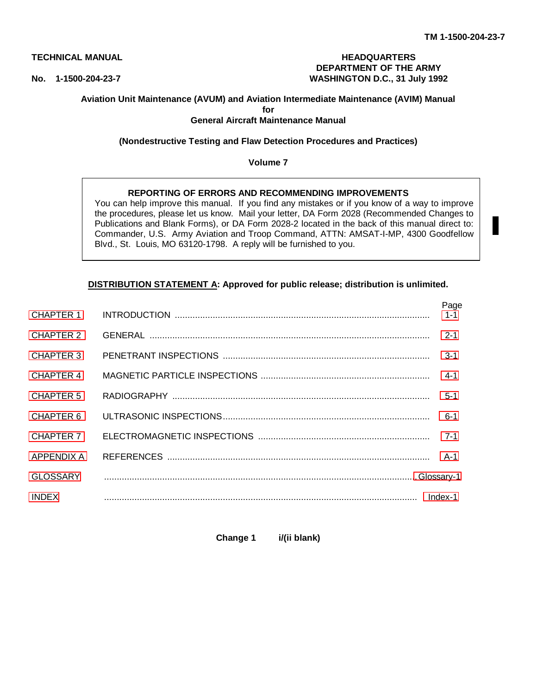Page

#### <span id="page-6-0"></span>**TECHNICAL MANUAL HEADQUARTERS DEPARTMENT OF THE ARMY No. 1-1500-204-23-7 WASHINGTON D.C., 31 July 1992**

### **Aviation Unit Maintenance (AVUM) and Aviation Intermediate Maintenance (AVIM) Manual**

**for**

#### **General Aircraft Maintenance Manual**

#### **(Nondestructive Testing and Flaw Detection Procedures and Practices)**

#### **Volume 7**

#### **REPORTING OF ERRORS AND RECOMMENDING IMPROVEMENTS**

You can help improve this manual. If you find any mistakes or if you know of a way to improve the procedures, please let us know. Mail your letter, DA Form 2028 (Recommended Changes to Publications and Blank Forms), or DA Form 2028-2 located in the back of this manual direct to: Commander, U.S. Army Aviation and Troop Command, ATTN: AMSAT-I-MP, 4300 Goodfellow Blvd., St. Louis, MO 63120-1798. A reply will be furnished to you.

#### **DISTRIBUTION STATEMENT A: Approved for public release; distribution is unlimited.**

| CHAPTER 1        | <b>rage</b><br>$1 - 1$ |
|------------------|------------------------|
| <b>CHAPTER 2</b> | $2 - 1$                |
| <b>CHAPTER 3</b> | $3 - 1$                |
| <b>CHAPTER 4</b> | $4 - 1$                |
| CHAPTER 5        | $5 - 1$                |
| CHAPTER 6        | $6 - 1$                |
| CHAPTER 7        | $7 - 1$                |
| APPENDIX A       |                        |
| <b>GLOSSARY</b>  |                        |
| <b>INDEX</b>     | Index-1                |

**Change 1 i/(ii blank)**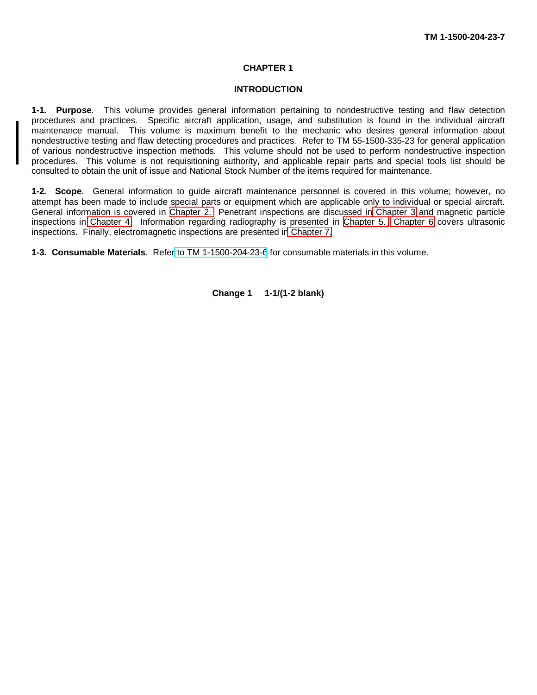#### **CHAPTER 1**

#### **INTRODUCTION**

<span id="page-7-0"></span>**1-1. Purpose**. This volume provides general information pertaining to nondestructive testing and flaw detection procedures and practices. Specific aircraft application, usage, and substitution is found in the individual aircraft maintenance manual. This volume is maximum benefit to the mechanic who desires general information about nondestructive testing and flaw detecting procedures and practices. Refer to TM 55-1500-335-23 for general application of various nondestructive inspection methods. This volume should not be used to perform nondestructive inspection procedures. This volume is not requisitioning authority, and applicable repair parts and special tools list should be consulted to obtain the unit of issue and National Stock Number of the items required for maintenance.

**1-2. Scope**. General information to guide aircraft maintenance personnel is covered in this volume; however, no attempt has been made to include special parts or equipment which are applicable only to individual or special aircraft. General information is covered in [Chapter 2.](#page-8-0) Penetrant inspections are discussed in [Chapter 3](#page-13-0) and magnetic particle inspections in [Chapter 4.](#page-28-0) Information regarding radiography is presented in [Chapter 5.](#page-37-0) [Chapter 6](#page-46-0) covers ultrasonic inspections. Finally, electromagnetic inspections are presented i[n Chapter 7.](#page-49-0)

**1-3. Consumable Materials**. Refe[r to TM 1-1500-204-23-6](#page-0-0) for consumable materials in this volume.

**Change 1 1-1/(1-2 blank)**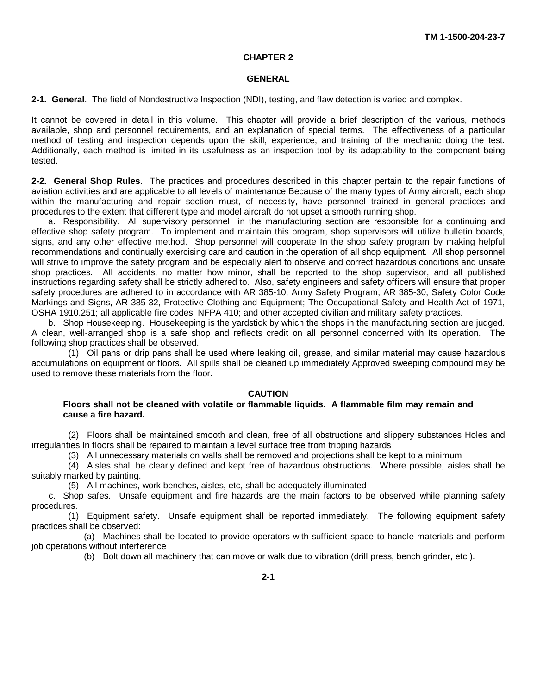#### **CHAPTER 2**

#### **GENERAL**

<span id="page-8-0"></span>**2-1. General**. The field of Nondestructive Inspection (NDI), testing, and flaw detection is varied and complex.

It cannot be covered in detail in this volume. This chapter will provide a brief description of the various, methods available, shop and personnel requirements, and an explanation of special terms. The effectiveness of a particular method of testing and inspection depends upon the skill, experience, and training of the mechanic doing the test. Additionally, each method is limited in its usefulness as an inspection tool by its adaptability to the component being tested.

**2-2. General Shop Rules**. The practices and procedures described in this chapter pertain to the repair functions of aviation activities and are applicable to all levels of maintenance Because of the many types of Army aircraft, each shop within the manufacturing and repair section must, of necessity, have personnel trained in general practices and procedures to the extent that different type and model aircraft do not upset a smooth running shop.

a. Responsibility. All supervisory personnel in the manufacturing section are responsible for a continuing and effective shop safety program. To implement and maintain this program, shop supervisors will utilize bulletin boards, signs, and any other effective method. Shop personnel will cooperate In the shop safety program by making helpful recommendations and continually exercising care and caution in the operation of all shop equipment. All shop personnel will strive to improve the safety program and be especially alert to observe and correct hazardous conditions and unsafe shop practices. All accidents, no matter how minor, shall be reported to the shop supervisor, and all published instructions regarding safety shall be strictly adhered to. Also, safety engineers and safety officers will ensure that proper safety procedures are adhered to in accordance with AR 385-10, Army Safety Program; AR 385-30, Safety Color Code Markings and Signs, AR 385-32, Protective Clothing and Equipment; The Occupational Safety and Health Act of 1971, OSHA 1910.251; all applicable fire codes, NFPA 410; and other accepted civilian and military safety practices.

b. Shop Housekeeping. Housekeeping is the yardstick by which the shops in the manufacturing section are judged. A clean, well-arranged shop is a safe shop and reflects credit on all personnel concerned with Its operation. The following shop practices shall be observed.

(1) Oil pans or drip pans shall be used where leaking oil, grease, and similar material may cause hazardous accumulations on equipment or floors. All spills shall be cleaned up immediately Approved sweeping compound may be used to remove these materials from the floor.

#### **CAUTION**

#### **Floors shall not be cleaned with volatile or flammable liquids. A flammable film may remain and cause a fire hazard.**

(2) Floors shall be maintained smooth and clean, free of all obstructions and slippery substances Holes and irregularities In floors shall be repaired to maintain a level surface free from tripping hazards

(3) All unnecessary materials on walls shall be removed and projections shall be kept to a minimum

(4) Aisles shall be clearly defined and kept free of hazardous obstructions. Where possible, aisles shall be suitably marked by painting.

(5) All machines, work benches, aisles, etc, shall be adequately illuminated

c. Shop safes. Unsafe equipment and fire hazards are the main factors to be observed while planning safety procedures.

(1) Equipment safety. Unsafe equipment shall be reported immediately. The following equipment safety practices shall be observed:

(a) Machines shall be located to provide operators with sufficient space to handle materials and perform job operations without interference

(b) Bolt down all machinery that can move or walk due to vibration (drill press, bench grinder, etc ).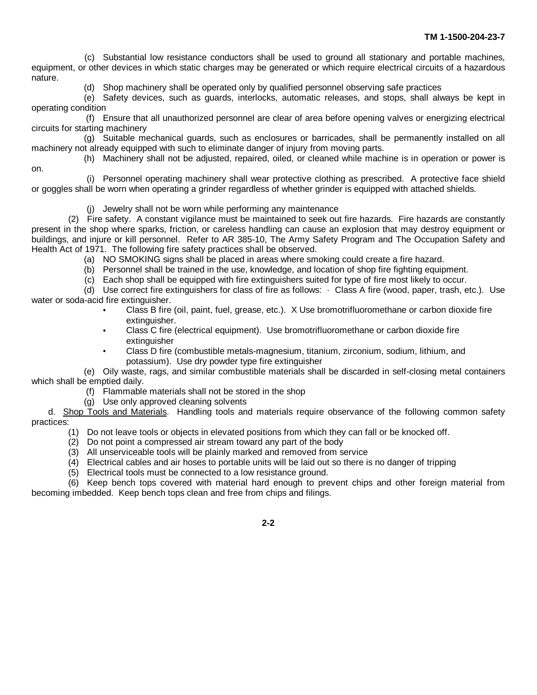(c) Substantial low resistance conductors shall be used to ground all stationary and portable machines, equipment, or other devices in which static charges may be generated or which require electrical circuits of a hazardous nature.

(d) Shop machinery shall be operated only by qualified personnel observing safe practices

(e) Safety devices, such as guards, interlocks, automatic releases, and stops, shall always be kept in operating condition

(f) Ensure that all unauthorized personnel are clear of area before opening valves or energizing electrical circuits for starting machinery

(g) Suitable mechanical guards, such as enclosures or barricades, shall be permanently installed on all machinery not already equipped with such to eliminate danger of injury from moving parts. (h) Machinery shall not be adjusted, repaired, oiled, or cleaned while machine is in operation or power is

on. (i) Personnel operating machinery shall wear protective clothing as prescribed. A protective face shield

or goggles shall be worn when operating a grinder regardless of whether grinder is equipped with attached shields.

(j) Jewelry shall not be worn while performing any maintenance

(2) Fire safety. A constant vigilance must be maintained to seek out fire hazards. Fire hazards are constantly present in the shop where sparks, friction, or careless handling can cause an explosion that may destroy equipment or buildings, and injure or kill personnel. Refer to AR 385-10, The Army Safety Program and The Occupation Safety and Health Act of 1971. The following fire safety practices shall be observed.

- (a) NO SMOKING signs shall be placed in areas where smoking could create a fire hazard.
- (b) Personnel shall be trained in the use, knowledge, and location of shop fire fighting equipment.
- (c) Each shop shall be equipped with fire extinguishers suited for type of fire most likely to occur.

(d) Use correct fire extinguishers for class of fire as follows: · Class A fire (wood, paper, trash, etc.). Use water or soda-acid fire extinguisher.

- Class B fire (oil, paint, fuel, grease, etc.). X Use bromotrifluoromethane or carbon dioxide fire extinguisher.
- $\bullet$ Class C fire (electrical equipment). Use bromotrifluoromethane or carbon dioxide fire extinguisher
- Class D fire (combustible metals-magnesium, titanium, zirconium, sodium, lithium, and potassium). Use dry powder type fire extinguisher

(e) Oily waste, rags, and similar combustible materials shall be discarded in self-closing metal containers which shall be emptied daily.

- (f) Flammable materials shall not be stored in the shop
- (g) Use only approved cleaning solvents

d. Shop Tools and Materials. Handling tools and materials require observance of the following common safety practices:

- (1) Do not leave tools or objects in elevated positions from which they can fall or be knocked off.
- (2) Do not point a compressed air stream toward any part of the body
- (3) All unserviceable tools will be plainly marked and removed from service
- (4) Electrical cables and air hoses to portable units will be laid out so there is no danger of tripping
- (5) Electrical tools must be connected to a low resistance ground.

(6) Keep bench tops covered with material hard enough to prevent chips and other foreign material from becoming imbedded. Keep bench tops clean and free from chips and filings.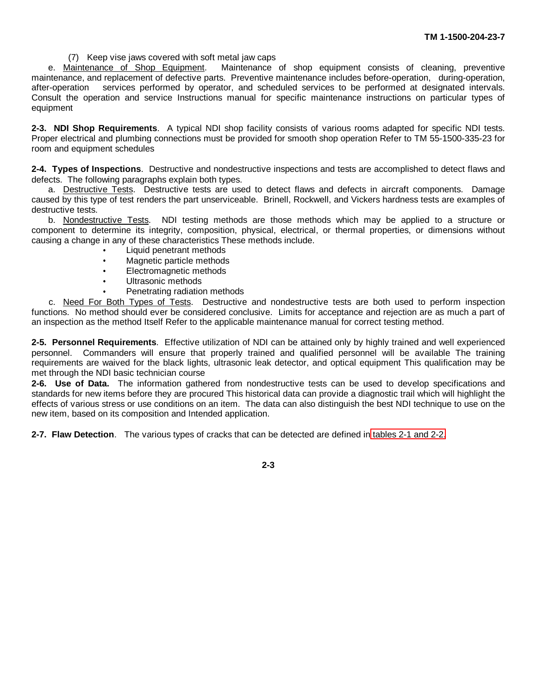(7) Keep vise jaws covered with soft metal jaw caps

e. Maintenance of Shop Equipment. Maintenance of shop equipment consists of cleaning, preventive maintenance, and replacement of defective parts. Preventive maintenance includes before-operation, during-operation, after-operation services performed by operator, and scheduled services to be performed at designated intervals. Consult the operation and service Instructions manual for specific maintenance instructions on particular types of equipment

**2-3. NDI Shop Requirements**. A typical NDI shop facility consists of various rooms adapted for specific NDI tests. Proper electrical and plumbing connections must be provided for smooth shop operation Refer to TM 55-1500-335-23 for room and equipment schedules

**2-4. Types of Inspections**. Destructive and nondestructive inspections and tests are accomplished to detect flaws and defects. The following paragraphs explain both types.

a. Destructive Tests. Destructive tests are used to detect flaws and defects in aircraft components. Damage caused by this type of test renders the part unserviceable. Brinell, Rockwell, and Vickers hardness tests are examples of destructive tests.

b. Nondestructive Tests. NDI testing methods are those methods which may be applied to a structure or component to determine its integrity, composition, physical, electrical, or thermal properties, or dimensions without causing a change in any of these characteristics These methods include.

- Liquid penetrant methods
- Magnetic particle methods
- Electromagnetic methods
- Ultrasonic methods
- Penetrating radiation methods

c. Need For Both Types of Tests. Destructive and nondestructive tests are both used to perform inspection functions. No method should ever be considered conclusive. Limits for acceptance and rejection are as much a part of an inspection as the method Itself Refer to the applicable maintenance manual for correct testing method.

**2-5. Personnel Requirements**. Effective utilization of NDI can be attained only by highly trained and well experienced personnel. Commanders will ensure that properly trained and qualified personnel will be available The training requirements are waived for the black lights, ultrasonic leak detector, and optical equipment This qualification may be met through the NDI basic technician course

**2-6. Use of Data.** The information gathered from nondestructive tests can be used to develop specifications and standards for new items before they are procured This historical data can provide a diagnostic trail which will highlight the effects of various stress or use conditions on an item. The data can also distinguish the best NDI technique to use on the new item, based on its composition and Intended application.

**2-7. Flaw Detection**. The various types of cracks that can be detected are defined in [tables 2-1 and 2-2.](#page-12-0)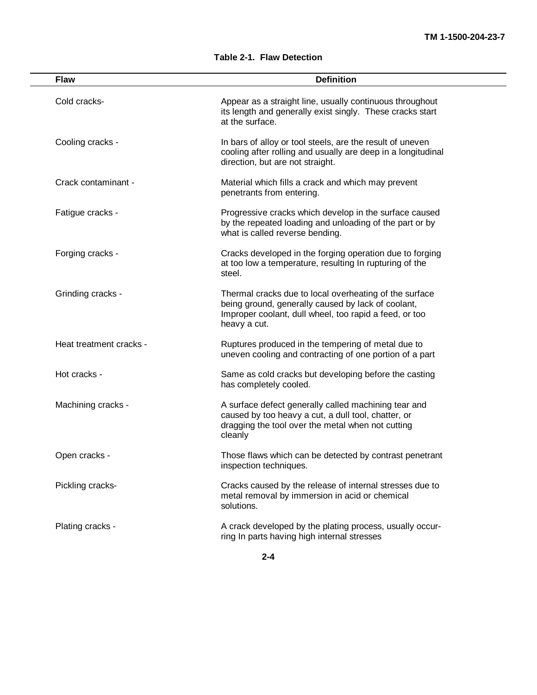| <b>Flaw</b>             | <b>Definition</b>                                                                                                                                                                      |
|-------------------------|----------------------------------------------------------------------------------------------------------------------------------------------------------------------------------------|
| Cold cracks-            | Appear as a straight line, usually continuous throughout<br>its length and generally exist singly. These cracks start<br>at the surface.                                               |
| Cooling cracks -        | In bars of alloy or tool steels, are the result of uneven<br>cooling after rolling and usually are deep in a longitudinal<br>direction, but are not straight.                          |
| Crack contaminant -     | Material which fills a crack and which may prevent<br>penetrants from entering.                                                                                                        |
| Fatigue cracks -        | Progressive cracks which develop in the surface caused<br>by the repeated loading and unloading of the part or by<br>what is called reverse bending.                                   |
| Forging cracks -        | Cracks developed in the forging operation due to forging<br>at too low a temperature, resulting In rupturing of the<br>steel.                                                          |
| Grinding cracks -       | Thermal cracks due to local overheating of the surface<br>being ground, generally caused by lack of coolant,<br>Improper coolant, dull wheel, too rapid a feed, or too<br>heavy a cut. |
| Heat treatment cracks - | Ruptures produced in the tempering of metal due to<br>uneven cooling and contracting of one portion of a part                                                                          |
| Hot cracks -            | Same as cold cracks but developing before the casting<br>has completely cooled.                                                                                                        |
| Machining cracks -      | A surface defect generally called machining tear and<br>caused by too heavy a cut, a dull tool, chatter, or<br>dragging the tool over the metal when not cutting<br>cleanly            |
| Open cracks -           | Those flaws which can be detected by contrast penetrant<br>inspection techniques.                                                                                                      |
| Pickling cracks-        | Cracks caused by the release of internal stresses due to<br>metal removal by immersion in acid or chemical<br>solutions.                                                               |
| Plating cracks -        | A crack developed by the plating process, usually occur-<br>ring In parts having high internal stresses                                                                                |

#### **Table 2-1. Flaw Detection**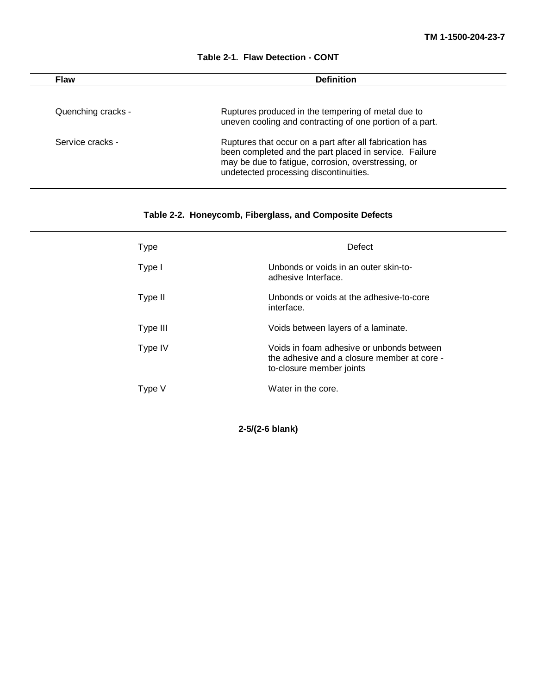<span id="page-12-0"></span>

| Flaw               | <b>Definition</b>                                                                                                                                                                                                  |  |
|--------------------|--------------------------------------------------------------------------------------------------------------------------------------------------------------------------------------------------------------------|--|
| Quenching cracks - | Ruptures produced in the tempering of metal due to<br>uneven cooling and contracting of one portion of a part.                                                                                                     |  |
| Service cracks -   | Ruptures that occur on a part after all fabrication has<br>been completed and the part placed in service. Failure<br>may be due to fatigue, corrosion, overstressing, or<br>undetected processing discontinuities. |  |

#### **Table 2-1. Flaw Detection - CONT**

# **Table 2-2. Honeycomb, Fiberglass, and Composite Defects**

| <b>Type</b> | Defect                                                                                                               |
|-------------|----------------------------------------------------------------------------------------------------------------------|
| Type I      | Unbonds or voids in an outer skin-to-<br>adhesive Interface.                                                         |
| Type II     | Unbonds or voids at the adhesive-to-core<br>interface.                                                               |
| Type III    | Voids between layers of a laminate.                                                                                  |
| Type IV     | Voids in foam adhesive or unbonds between<br>the adhesive and a closure member at core -<br>to-closure member joints |
| Type V      | Water in the core.                                                                                                   |

**2-5/(2-6 blank)**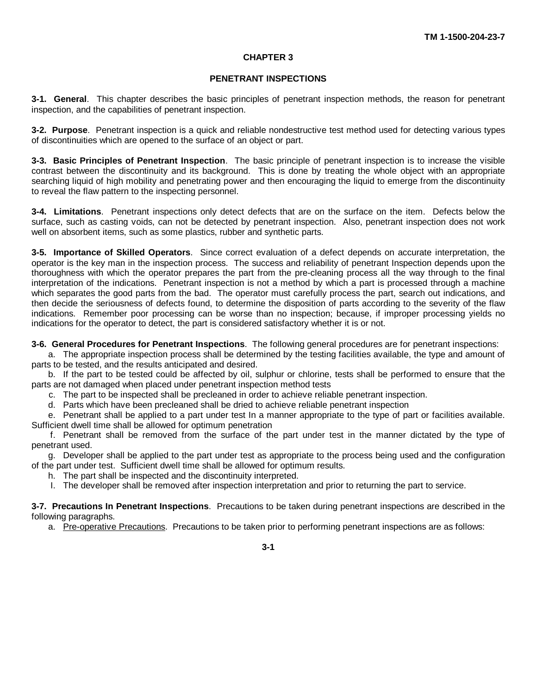#### **CHAPTER 3**

#### **PENETRANT INSPECTIONS**

<span id="page-13-0"></span>**3-1. General**. This chapter describes the basic principles of penetrant inspection methods, the reason for penetrant inspection, and the capabilities of penetrant inspection.

**3-2. Purpose**. Penetrant inspection is a quick and reliable nondestructive test method used for detecting various types of discontinuities which are opened to the surface of an object or part.

**3-3. Basic Principles of Penetrant Inspection**. The basic principle of penetrant inspection is to increase the visible contrast between the discontinuity and its background. This is done by treating the whole object with an appropriate searching liquid of high mobility and penetrating power and then encouraging the liquid to emerge from the discontinuity to reveal the flaw pattern to the inspecting personnel.

**3-4. Limitations**. Penetrant inspections only detect defects that are on the surface on the item. Defects below the surface, such as casting voids, can not be detected by penetrant inspection. Also, penetrant inspection does not work well on absorbent items, such as some plastics, rubber and synthetic parts.

**3-5. Importance of Skilled Operators**. Since correct evaluation of a defect depends on accurate interpretation, the operator is the key man in the inspection process. The success and reliability of penetrant Inspection depends upon the thoroughness with which the operator prepares the part from the pre-cleaning process all the way through to the final interpretation of the indications. Penetrant inspection is not a method by which a part is processed through a machine which separates the good parts from the bad. The operator must carefully process the part, search out indications, and then decide the seriousness of defects found, to determine the disposition of parts according to the severity of the flaw indications. Remember poor processing can be worse than no inspection; because, if improper processing yields no indications for the operator to detect, the part is considered satisfactory whether it is or not.

**3-6. General Procedures for Penetrant Inspections**. The following general procedures are for penetrant inspections:

a. The appropriate inspection process shall be determined by the testing facilities available, the type and amount of parts to be tested, and the results anticipated and desired.

b. If the part to be tested could be affected by oil, sulphur or chlorine, tests shall be performed to ensure that the parts are not damaged when placed under penetrant inspection method tests

c. The part to be inspected shall be precleaned in order to achieve reliable penetrant inspection.

d. Parts which have been precleaned shall be dried to achieve reliable penetrant inspection

e. Penetrant shall be applied to a part under test In a manner appropriate to the type of part or facilities available. Sufficient dwell time shall be allowed for optimum penetration

f. Penetrant shall be removed from the surface of the part under test in the manner dictated by the type of penetrant used.

g. Developer shall be applied to the part under test as appropriate to the process being used and the configuration of the part under test. Sufficient dwell time shall be allowed for optimum results.

h. The part shall be inspected and the discontinuity interpreted.

I. The developer shall be removed after inspection interpretation and prior to returning the part to service.

**3-7. Precautions In Penetrant Inspections**. Precautions to be taken during penetrant inspections are described in the following paragraphs.

a. Pre-operative Precautions. Precautions to be taken prior to performing penetrant inspections are as follows: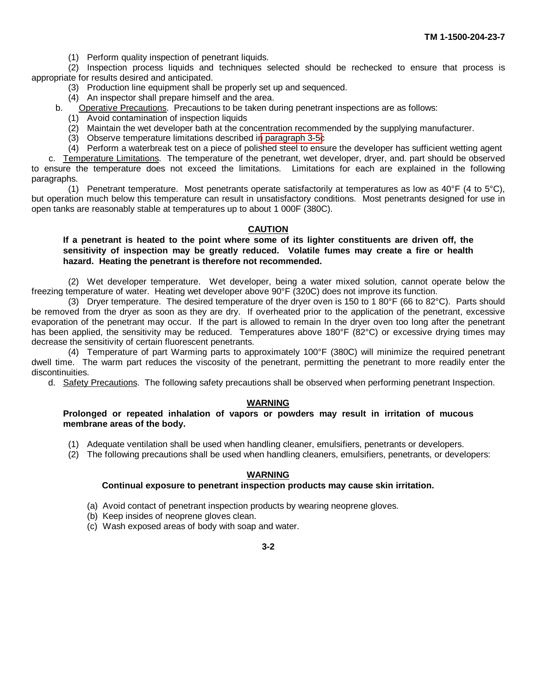(1) Perform quality inspection of penetrant liquids.

(2) Inspection process liquids and techniques selected should be rechecked to ensure that process is appropriate for results desired and anticipated.

- (3) Production line equipment shall be properly set up and sequenced.
- (4) An inspector shall prepare himself and the area.
- b. Operative Precautions. Precautions to be taken during penetrant inspections are as follows:
	- (1) Avoid contamination of inspection liquids
	- (2) Maintain the wet developer bath at the concentration recommended by the supplying manufacturer.
	- (3) Observe temperature limitations described i[n paragraph 3-5c](#page-13-0)
	- (4) Perform a waterbreak test on a piece of polished steel to ensure the developer has sufficient wetting agent

c. Temperature Limitations. The temperature of the penetrant, wet developer, dryer, and. part should be observed to ensure the temperature does not exceed the limitations. Limitations for each are explained in the following paragraphs.

(1) Penetrant temperature. Most penetrants operate satisfactorily at temperatures as low as 40°F (4 to 5°C), but operation much below this temperature can result in unsatisfactory conditions. Most penetrants designed for use in open tanks are reasonably stable at temperatures up to about 1 000F (380C).

#### **CAUTION**

#### **If a penetrant is heated to the point where some of its lighter constituents are driven off, the sensitivity of inspection may be greatly reduced. Volatile fumes may create a fire or health hazard. Heating the penetrant is therefore not recommended.**

(2) Wet developer temperature. Wet developer, being a water mixed solution, cannot operate below the freezing temperature of water. Heating wet developer above 90°F (320C) does not improve its function.

(3) Dryer temperature. The desired temperature of the dryer oven is 150 to 1 80°F (66 to 82°C). Parts should be removed from the dryer as soon as they are dry. If overheated prior to the application of the penetrant, excessive evaporation of the penetrant may occur. If the part is allowed to remain In the dryer oven too long after the penetrant has been applied, the sensitivity may be reduced. Temperatures above 180°F (82°C) or excessive drying times may decrease the sensitivity of certain fluorescent penetrants.

(4) Temperature of part Warming parts to approximately 100°F (380C) will minimize the required penetrant dwell time. The warm part reduces the viscosity of the penetrant, permitting the penetrant to more readily enter the discontinuities.

d. Safety Precautions. The following safety precautions shall be observed when performing penetrant Inspection.

#### **WARNING**

#### **Prolonged or repeated inhalation of vapors or powders may result in irritation of mucous membrane areas of the body.**

- (1) Adequate ventilation shall be used when handling cleaner, emulsifiers, penetrants or developers.
- (2) The following precautions shall be used when handling cleaners, emulsifiers, penetrants, or developers:

#### **WARNING**

#### **Continual exposure to penetrant inspection products may cause skin irritation.**

- (a) Avoid contact of penetrant inspection products by wearing neoprene gloves.
- (b) Keep insides of neoprene gloves clean.
- (c) Wash exposed areas of body with soap and water.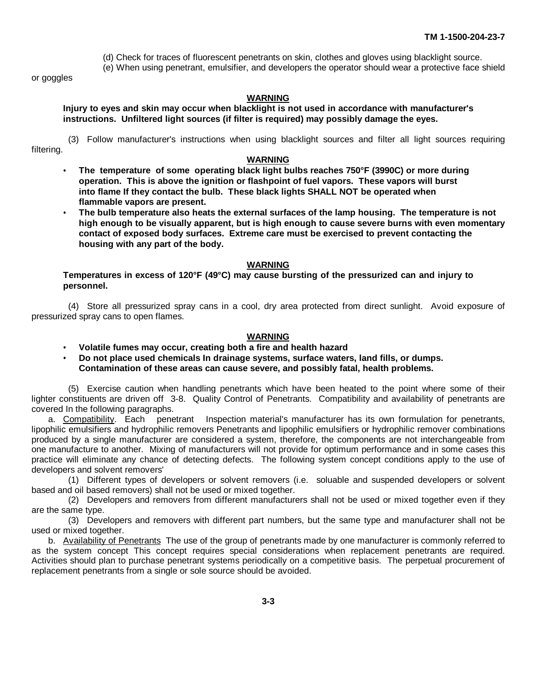(d) Check for traces of fluorescent penetrants on skin, clothes and gloves using blacklight source.

(e) When using penetrant, emulsifier, and developers the operator should wear a protective face shield

or goggles

#### **WARNING**

**Injury to eyes and skin may occur when blacklight is not used in accordance with manufacturer's instructions. Unfiltered light sources (if filter is required) may possibly damage the eyes.**

(3) Follow manufacturer's instructions when using blacklight sources and filter all light sources requiring filtering.

#### **WARNING**

- **The temperature of some operating black light bulbs reaches 750°F (3990C) or more during operation. This is above the ignition or flashpoint of fuel vapors. These vapors will burst into flame If they contact the bulb. These black lights SHALL NOT be operated when flammable vapors are present.**
- **The bulb temperature also heats the external surfaces of the lamp housing. The temperature is not high enough to be visually apparent, but is high enough to cause severe burns with even momentary contact of exposed body surfaces. Extreme care must be exercised to prevent contacting the housing with any part of the body.**

#### **WARNING**

**Temperatures in excess of 120°F (49°C) may cause bursting of the pressurized can and injury to personnel.**

(4) Store all pressurized spray cans in a cool, dry area protected from direct sunlight. Avoid exposure of pressurized spray cans to open flames.

#### **WARNING**

- **Volatile fumes may occur, creating both a fire and health hazard**
- **Do not place used chemicals In drainage systems, surface waters, land fills, or dumps. Contamination of these areas can cause severe, and possibly fatal, health problems.**

(5) Exercise caution when handling penetrants which have been heated to the point where some of their lighter constituents are driven off 3-8. Quality Control of Penetrants. Compatibility and availability of penetrants are covered In the following paragraphs.

a. Compatibility. Each penetrant Inspection material's manufacturer has its own formulation for penetrants, lipophilic emulsifiers and hydrophilic removers Penetrants and lipophilic emulsifiers or hydrophilic remover combinations produced by a single manufacturer are considered a system, therefore, the components are not interchangeable from one manufacture to another. Mixing of manufacturers will not provide for optimum performance and in some cases this practice will eliminate any chance of detecting defects. The following system concept conditions apply to the use of developers and solvent removers'

(1) Different types of developers or solvent removers (i.e. soluable and suspended developers or solvent based and oil based removers) shall not be used or mixed together.

(2) Developers and removers from different manufacturers shall not be used or mixed together even if they are the same type.

(3) Developers and removers with different part numbers, but the same type and manufacturer shall not be used or mixed together.

b. Availability of Penetrants The use of the group of penetrants made by one manufacturer is commonly referred to as the system concept This concept requires special considerations when replacement penetrants are required. Activities should plan to purchase penetrant systems periodically on a competitive basis. The perpetual procurement of replacement penetrants from a single or sole source should be avoided.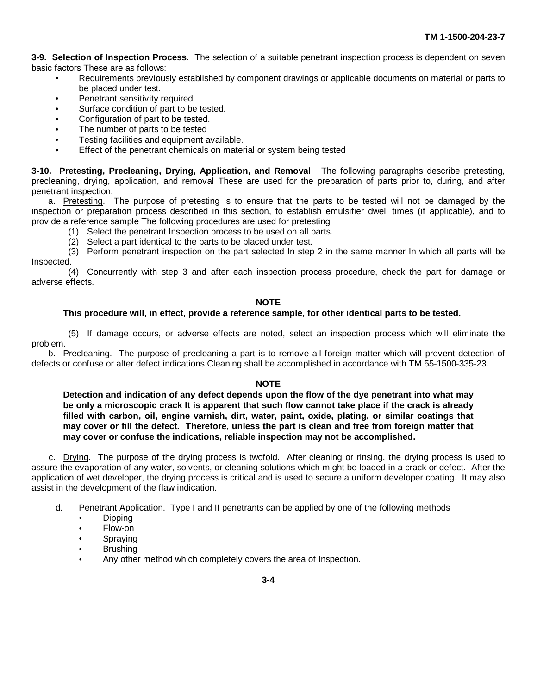**3-9. Selection of Inspection Process**. The selection of a suitable penetrant inspection process is dependent on seven basic factors These are as follows:

- Requirements previously established by component drawings or applicable documents on material or parts to be placed under test.
- Penetrant sensitivity required.
- Surface condition of part to be tested.
- Configuration of part to be tested.
- The number of parts to be tested
- Testing facilities and equipment available.
- Effect of the penetrant chemicals on material or system being tested

**3-10. Pretesting, Precleaning, Drying, Application, and Removal**. The following paragraphs describe pretesting, precleaning, drying, application, and removal These are used for the preparation of parts prior to, during, and after penetrant inspection.

a. Pretesting. The purpose of pretesting is to ensure that the parts to be tested will not be damaged by the inspection or preparation process described in this section, to establish emulsifier dwell times (if applicable), and to provide a reference sample The following procedures are used for pretesting

- (1) Select the penetrant Inspection process to be used on all parts.
- (2) Select a part identical to the parts to be placed under test.

(3) Perform penetrant inspection on the part selected In step 2 in the same manner In which all parts will be Inspected.

(4) Concurrently with step 3 and after each inspection process procedure, check the part for damage or adverse effects.

#### **NOTE**

#### **This procedure will, in effect, provide a reference sample, for other identical parts to be tested.**

(5) If damage occurs, or adverse effects are noted, select an inspection process which will eliminate the problem.

b. Precleaning. The purpose of precleaning a part is to remove all foreign matter which will prevent detection of defects or confuse or alter defect indications Cleaning shall be accomplished in accordance with TM 55-1500-335-23.

#### **NOTE**

**Detection and indication of any defect depends upon the flow of the dye penetrant into what may be only a microscopic crack It is apparent that such flow cannot take place if the crack is already filled with carbon, oil, engine varnish, dirt, water, paint, oxide, plating, or similar coatings that may cover or fill the defect. Therefore, unless the part is clean and free from foreign matter that may cover or confuse the indications, reliable inspection may not be accomplished.**

c. Drying. The purpose of the drying process is twofold. After cleaning or rinsing, the drying process is used to assure the evaporation of any water, solvents, or cleaning solutions which might be loaded in a crack or defect. After the application of wet developer, the drying process is critical and is used to secure a uniform developer coating. It may also assist in the development of the flaw indication.

- d. Penetrant Application. Type I and II penetrants can be applied by one of the following methods
	- Dipping
	- Flow-on
	- Spraying
	- **Brushing**
	- Any other method which completely covers the area of Inspection.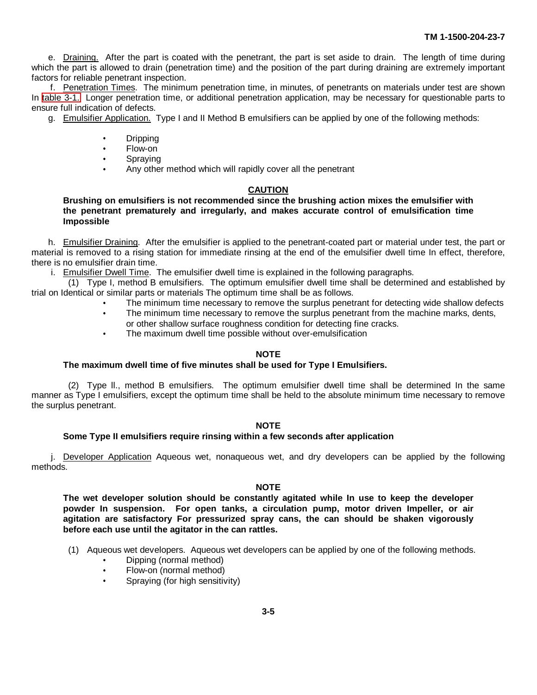e. Draining. After the part is coated with the penetrant, the part is set aside to drain. The length of time during which the part is allowed to drain (penetration time) and the position of the part during draining are extremely important factors for reliable penetrant inspection.

f. Penetration Times. The minimum penetration time, in minutes, of penetrants on materials under test are shown In [table 3-1.](#page-18-0) Longer penetration time, or additional penetration application, may be necessary for questionable parts to ensure full indication of defects.

g. Emulsifier Application. Type I and II Method B emulsifiers can be applied by one of the following methods:

- $\bullet$ Dripping
- $\bullet$ Flow-on
- Spraying  $\bullet$
- Any other method which will rapidly cover all the penetrant

#### **CAUTION**

**Brushing on emulsifiers is not recommended since the brushing action mixes the emulsifier with the penetrant prematurely and irregularly, and makes accurate control of emulsification time Impossible**

h. Emulsifier Draining. After the emulsifier is applied to the penetrant-coated part or material under test, the part or material is removed to a rising station for immediate rinsing at the end of the emulsifier dwell time In effect, therefore, there is no emulsifier drain time.

i. Emulsifier Dwell Time. The emulsifier dwell time is explained in the following paragraphs.

(1) Type I, method B emulsifiers. The optimum emulsifier dwell time shall be determined and established by trial on Identical or similar parts or materials The optimum time shall be as follows.

- The minimum time necessary to remove the surplus penetrant for detecting wide shallow defects
- $\bullet$ The minimum time necessary to remove the surplus penetrant from the machine marks, dents,
- or other shallow surface roughness condition for detecting fine cracks. The maximum dwell time possible without over-emulsification

#### **NOTE**

#### **The maximum dwell time of five minutes shall be used for Type I Emulsifiers.**

(2) Type ll., method B emulsifiers. The optimum emulsifier dwell time shall be determined In the same manner as Type I emulsifiers, except the optimum time shall be held to the absolute minimum time necessary to remove the surplus penetrant.

#### **NOTE**

#### **Some Type II emulsifiers require rinsing within a few seconds after application**

j. Developer Application Aqueous wet, nonaqueous wet, and dry developers can be applied by the following methods.

#### **NOTE**

**The wet developer solution should be constantly agitated while In use to keep the developer powder In suspension. For open tanks, a circulation pump, motor driven Impeller, or air agitation are satisfactory For pressurized spray cans, the can should be shaken vigorously before each use until the agitator in the can rattles.**

- (1) Aqueous wet developers. Aqueous wet developers can be applied by one of the following methods.
	- Dipping (normal method)
	- Flow-on (normal method)
	- Spraying (for high sensitivity)  $\bullet$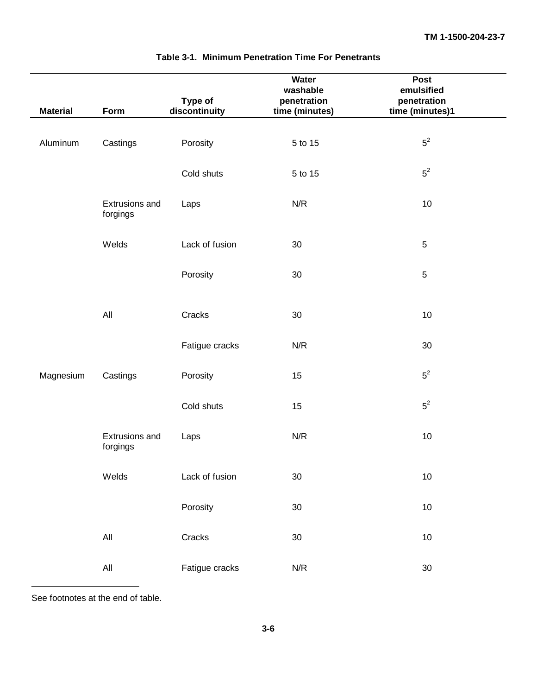<span id="page-18-0"></span>

| <b>Material</b> | Form                       | Type of<br>discontinuity | Water<br>washable<br>penetration<br>time (minutes) | Post<br>emulsified<br>penetration<br>time (minutes)1 |
|-----------------|----------------------------|--------------------------|----------------------------------------------------|------------------------------------------------------|
|                 |                            |                          |                                                    |                                                      |
| Aluminum        | Castings                   | Porosity                 | 5 to 15                                            | $5^2$                                                |
|                 |                            | Cold shuts               | 5 to 15                                            | $5^2$                                                |
|                 | Extrusions and<br>forgings | Laps                     | N/R                                                | 10                                                   |
|                 | Welds                      | Lack of fusion           | 30                                                 | $\sqrt{5}$                                           |
|                 |                            | Porosity                 | 30                                                 | $\sqrt{5}$                                           |
|                 | All                        | Cracks                   | 30                                                 | 10                                                   |
|                 |                            | Fatigue cracks           | N/R                                                | 30                                                   |
| Magnesium       | Castings                   | Porosity                 | 15                                                 | $5^2$                                                |
|                 |                            | Cold shuts               | 15                                                 | $5^2$                                                |
|                 | Extrusions and<br>forgings | Laps                     | N/R                                                | 10                                                   |
|                 | Welds                      | Lack of fusion           | 30                                                 | $10$                                                 |
|                 |                            | Porosity                 | $30\,$                                             | $10$                                                 |
|                 | $\mathsf{All}$             | Cracks                   | $30\,$                                             | $10$                                                 |
|                 | $\mathsf{All}$             | Fatigue cracks           | N/R                                                | $30\,$                                               |

#### **Table 3-1. Minimum Penetration Time For Penetrants**

See footnotes at the end of table.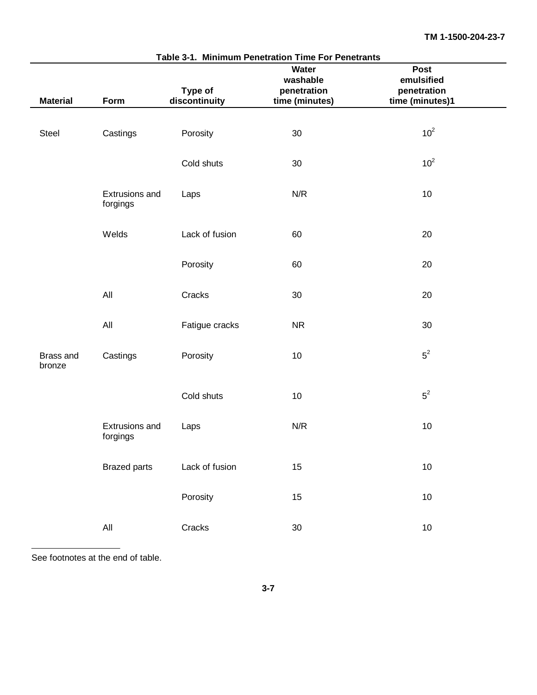|                     | Table 3-1. Minimum Penetration Time For Penetrants<br>Post<br>Water<br>washable<br>emulsified |                          |                               |                                |  |  |  |
|---------------------|-----------------------------------------------------------------------------------------------|--------------------------|-------------------------------|--------------------------------|--|--|--|
| <b>Material</b>     | Form                                                                                          | Type of<br>discontinuity | penetration<br>time (minutes) | penetration<br>time (minutes)1 |  |  |  |
|                     |                                                                                               |                          |                               |                                |  |  |  |
| Steel               | Castings                                                                                      | Porosity                 | 30                            | 10 <sup>2</sup>                |  |  |  |
|                     |                                                                                               | Cold shuts               | 30                            | 10 <sup>2</sup>                |  |  |  |
|                     | Extrusions and<br>forgings                                                                    | Laps                     | N/R                           | $10$                           |  |  |  |
|                     | Welds                                                                                         | Lack of fusion           | 60                            | 20                             |  |  |  |
|                     |                                                                                               | Porosity                 | 60                            | 20                             |  |  |  |
|                     | All                                                                                           | Cracks                   | 30                            | 20                             |  |  |  |
|                     | All                                                                                           | Fatigue cracks           | <b>NR</b>                     | 30                             |  |  |  |
| Brass and<br>bronze | Castings                                                                                      | Porosity                 | 10                            | $5^2$                          |  |  |  |
|                     |                                                                                               | Cold shuts               | $10$                          | $5^2$                          |  |  |  |
|                     | Extrusions and<br>forgings                                                                    | Laps                     | N/R                           | $10$                           |  |  |  |
|                     | <b>Brazed parts</b>                                                                           | Lack of fusion           | 15                            | $10$                           |  |  |  |
|                     |                                                                                               | Porosity                 | 15                            | $10$                           |  |  |  |
|                     | $\mathsf{All}$                                                                                | Cracks                   | $30\,$                        | $10$                           |  |  |  |

See footnotes at the end of table.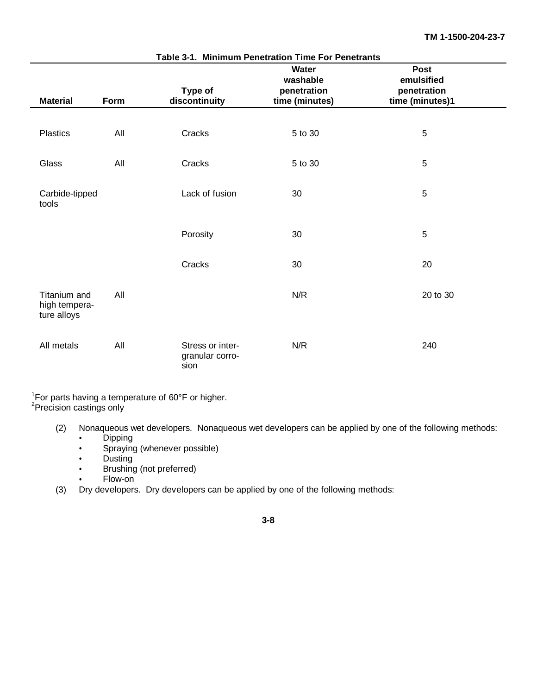| <b>Material</b>                              | Form | Type of<br>discontinuity                    | Water<br>washable<br>penetration<br>time (minutes) | <b>Post</b><br>emulsified<br>penetration<br>time (minutes)1 |
|----------------------------------------------|------|---------------------------------------------|----------------------------------------------------|-------------------------------------------------------------|
|                                              |      |                                             |                                                    |                                                             |
| <b>Plastics</b>                              | All  | Cracks                                      | 5 to 30                                            | 5                                                           |
| Glass                                        | All  | Cracks                                      | 5 to 30                                            | 5                                                           |
| Carbide-tipped<br>tools                      |      | Lack of fusion                              | 30                                                 | 5                                                           |
|                                              |      | Porosity                                    | 30                                                 | $\sqrt{5}$                                                  |
|                                              |      | Cracks                                      | 30                                                 | 20                                                          |
| Titanium and<br>high tempera-<br>ture alloys | All  |                                             | N/R                                                | 20 to 30                                                    |
| All metals                                   | All  | Stress or inter-<br>granular corro-<br>sion | N/R                                                | 240                                                         |

<sup>1</sup>For parts having a temperature of 60°F or higher.<br><sup>2</sup>Precision castings only

- (2) Nonaqueous wet developers. Nonaqueous wet developers can be applied by one of the following methods:
	- Dipping
	- Spraying (whenever possible)  $\bullet$
	- Dusting  $\bullet$
	- Brushing (not preferred)  $\bullet$
	- Flow-on
- (3) Dry developers. Dry developers can be applied by one of the following methods: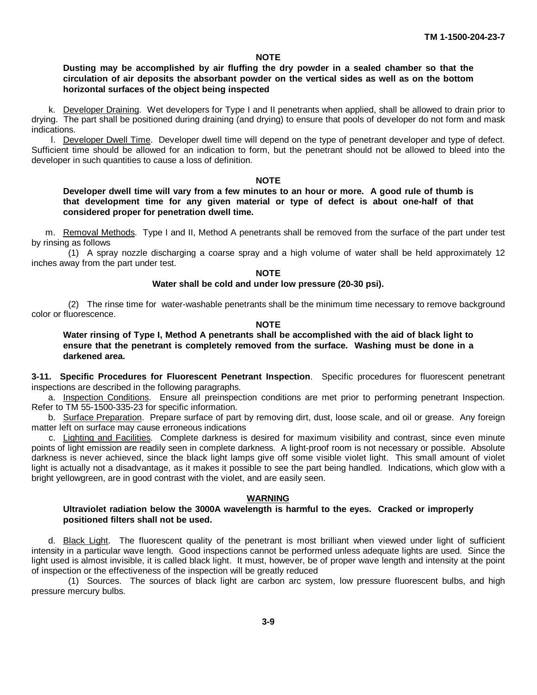#### **NOTE**

#### **Dusting may be accomplished by air fluffing the dry powder in a sealed chamber so that the circulation of air deposits the absorbant powder on the vertical sides as well as on the bottom horizontal surfaces of the object being inspected**

k. Developer Draining. Wet developers for Type I and II penetrants when applied, shall be allowed to drain prior to drying. The part shall be positioned during draining (and drying) to ensure that pools of developer do not form and mask indications.

l. Developer Dwell Time. Developer dwell time will depend on the type of penetrant developer and type of defect. Sufficient time should be allowed for an indication to form, but the penetrant should not be allowed to bleed into the developer in such quantities to cause a loss of definition.

#### **NOTE**

**Developer dwell time will vary from a few minutes to an hour or more. A good rule of thumb is that development time for any given material or type of defect is about one-half of that considered proper for penetration dwell time.**

m. Removal Methods. Type I and II, Method A penetrants shall be removed from the surface of the part under test by rinsing as follows

(1) A spray nozzle discharging a coarse spray and a high volume of water shall be held approximately 12 inches away from the part under test.

#### **NOTE**

#### **Water shall be cold and under low pressure (20-30 psi).**

(2) The rinse time for water-washable penetrants shall be the minimum time necessary to remove background color or fluorescence.

#### **NOTE**

**Water rinsing of Type I, Method A penetrants shall be accomplished with the aid of black light to ensure that the penetrant is completely removed from the surface. Washing must be done in a darkened area.**

**3-11. Specific Procedures for Fluorescent Penetrant Inspection**. Specific procedures for fluorescent penetrant inspections are described in the following paragraphs.

a. Inspection Conditions. Ensure all preinspection conditions are met prior to performing penetrant Inspection. Refer to TM 55-1500-335-23 for specific information.

b. Surface Preparation. Prepare surface of part by removing dirt, dust, loose scale, and oil or grease. Any foreign matter left on surface may cause erroneous indications

c. Lighting and Facilities. Complete darkness is desired for maximum visibility and contrast, since even minute points of light emission are readily seen in complete darkness. A light-proof room is not necessary or possible. Absolute darkness is never achieved, since the black light lamps give off some visible violet light. This small amount of violet light is actually not a disadvantage, as it makes it possible to see the part being handled. Indications, which glow with a bright yellowgreen, are in good contrast with the violet, and are easily seen.

#### **WARNING**

#### **Ultraviolet radiation below the 3000A wavelength is harmful to the eyes. Cracked or improperly positioned filters shall not be used.**

d. Black Light. The fluorescent quality of the penetrant is most brilliant when viewed under light of sufficient intensity in a particular wave length. Good inspections cannot be performed unless adequate lights are used. Since the light used is almost invisible, it is called black light. It must, however, be of proper wave length and intensity at the point of inspection or the effectiveness of the inspection will be greatly reduced

(1) Sources. The sources of black light are carbon arc system, low pressure fluorescent bulbs, and high pressure mercury bulbs.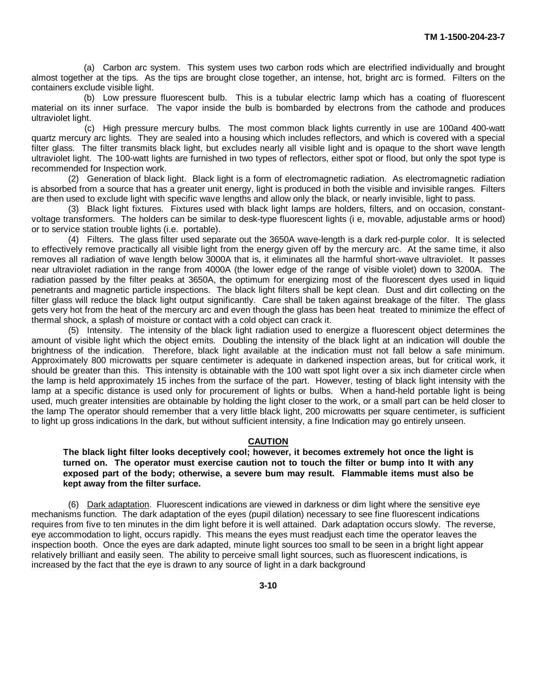(a) Carbon arc system. This system uses two carbon rods which are electrified individually and brought almost together at the tips. As the tips are brought close together, an intense, hot, bright arc is formed. Filters on the containers exclude visible light.

(b) Low pressure fluorescent bulb. This is a tubular electric lamp which has a coating of fluorescent material on its inner surface. The vapor inside the bulb is bombarded by electrons from the cathode and produces ultraviolet light.

(c) High pressure mercury bulbs. The most common black lights currently in use are 100and 400-watt quartz mercury arc lights. They are sealed into a housing which includes reflectors, and which is covered with a special filter glass. The filter transmits black light, but excludes nearly all visible light and is opaque to the short wave length ultraviolet light. The 100-watt lights are furnished in two types of reflectors, either spot or flood, but only the spot type is recommended for Inspection work.

(2) Generation of black light. Black light is a form of electromagnetic radiation. As electromagnetic radiation is absorbed from a source that has a greater unit energy, light is produced in both the visible and invisible ranges. Filters are then used to exclude light with specific wave lengths and allow only the black, or nearly invisible, light to pass.

(3) Black light fixtures. Fixtures used with black light lamps are holders, filters, and on occasion, constantvoltage transformers. The holders can be similar to desk-type fluorescent lights (i e, movable, adjustable arms or hood) or to service station trouble lights (i.e. portable).

(4) Filters. The glass filter used separate out the 3650A wave-length is a dark red-purple color. It is selected to effectively remove practically all visible light from the energy given off by the mercury arc. At the same time, it also removes all radiation of wave length below 3000A that is, it eliminates all the harmful short-wave ultraviolet. It passes near ultraviolet radiation in the range from 4000A (the lower edge of the range of visible violet) down to 3200A. The radiation passed by the filter peaks at 3650A, the optimum for energizing most of the fluorescent dyes used in liquid penetrants and magnetic particle inspections. The black light filters shall be kept clean. Dust and dirt collecting on the filter glass will reduce the black light output significantly. Care shall be taken against breakage of the filter. The glass gets very hot from the heat of the mercury arc and even though the glass has been heat treated to minimize the effect of thermal shock, a splash of moisture or contact with a cold object can crack it.

(5) Intensity. The intensity of the black light radiation used to energize a fluorescent object determines the amount of visible light which the object emits. Doubling the intensity of the black light at an indication will double the brightness of the indication. Therefore, black light available at the indication must not fall below a safe minimum. Approximately 800 microwatts per square centimeter is adequate in darkened inspection areas, but for critical work, it should be greater than this. This intensity is obtainable with the 100 watt spot light over a six inch diameter circle when the lamp is held approximately 15 inches from the surface of the part. However, testing of black light intensity with the lamp at a specific distance is used only for procurement of lights or bulbs. When a hand-held portable light is being used, much greater intensities are obtainable by holding the light closer to the work, or a small part can be held closer to the lamp The operator should remember that a very little black light, 200 microwatts per square centimeter, is sufficient to light up gross indications In the dark, but without sufficient intensity, a fine Indication may go entirely unseen.

#### **CAUTION**

**The black light filter looks deceptively cool; however, it becomes extremely hot once the light is turned on. The operator must exercise caution not to touch the filter or bump into It with any exposed part of the body; otherwise, a severe bum may result. Flammable items must also be kept away from the filter surface.**

(6) Dark adaptation. Fluorescent indications are viewed in darkness or dim light where the sensitive eye mechanisms function. The dark adaptation of the eyes (pupil dilation) necessary to see fine fluorescent indications requires from five to ten minutes in the dim light before it is well attained. Dark adaptation occurs slowly. The reverse, eye accommodation to light, occurs rapidly. This means the eyes must readjust each time the operator leaves the inspection booth. Once the eyes are dark adapted, minute light sources too small to be seen in a bright light appear relatively brilliant and easily seen. The ability to perceive small light sources, such as fluorescent indications, is increased by the fact that the eye is drawn to any source of light in a dark background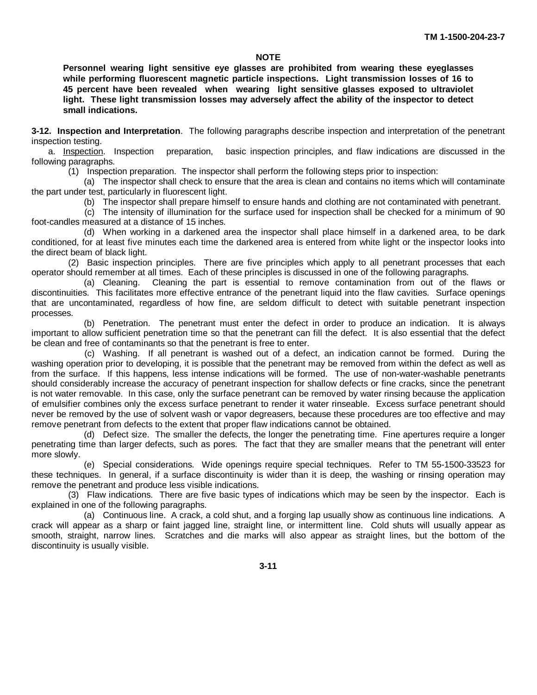#### **NOTE**

**Personnel wearing light sensitive eye glasses are prohibited from wearing these eyeglasses while performing fluorescent magnetic particle inspections. Light transmission losses of 16 to 45 percent have been revealed when wearing light sensitive glasses exposed to ultraviolet light. These light transmission losses may adversely affect the ability of the inspector to detect small indications.**

<span id="page-23-0"></span>**3-12. Inspection and Interpretation**. The following paragraphs describe inspection and interpretation of the penetrant inspection testing.

a. Inspection. Inspection preparation, basic inspection principles, and flaw indications are discussed in the following paragraphs.

(1) Inspection preparation. The inspector shall perform the following steps prior to inspection:

(a) The inspector shall check to ensure that the area is clean and contains no items which will contaminate the part under test, particularly in fluorescent light.

(b) The inspector shall prepare himself to ensure hands and clothing are not contaminated with penetrant.

(c) The intensity of illumination for the surface used for inspection shall be checked for a minimum of 90 foot-candles measured at a distance of 15 inches.

(d) When working in a darkened area the inspector shall place himself in a darkened area, to be dark conditioned, for at least five minutes each time the darkened area is entered from white light or the inspector looks into the direct beam of black light.

(2) Basic inspection principles. There are five principles which apply to all penetrant processes that each operator should remember at all times. Each of these principles is discussed in one of the following paragraphs.

(a) Cleaning. Cleaning the part is essential to remove contamination from out of the flaws or discontinuities. This facilitates more effective entrance of the penetrant liquid into the flaw cavities. Surface openings that are uncontaminated, regardless of how fine, are seldom difficult to detect with suitable penetrant inspection processes.

(b) Penetration. The penetrant must enter the defect in order to produce an indication. It is always important to allow sufficient penetration time so that the penetrant can fill the defect. It is also essential that the defect be clean and free of contaminants so that the penetrant is free to enter.

(c) Washing. If all penetrant is washed out of a defect, an indication cannot be formed. During the washing operation prior to developing, it is possible that the penetrant may be removed from within the defect as well as from the surface. If this happens, less intense indications will be formed. The use of non-water-washable penetrants should considerably increase the accuracy of penetrant inspection for shallow defects or fine cracks, since the penetrant is not water removable. In this case, only the surface penetrant can be removed by water rinsing because the application of emulsifier combines only the excess surface penetrant to render it water rinseable. Excess surface penetrant should never be removed by the use of solvent wash or vapor degreasers, because these procedures are too effective and may remove penetrant from defects to the extent that proper flaw indications cannot be obtained.

(d) Defect size. The smaller the defects, the longer the penetrating time. Fine apertures require a longer penetrating time than larger defects, such as pores. The fact that they are smaller means that the penetrant will enter more slowly.

(e) Special considerations. Wide openings require special techniques. Refer to TM 55-1500-33523 for these techniques. In general, if a surface discontinuity is wider than it is deep, the washing or rinsing operation may remove the penetrant and produce less visible indications.

(3) Flaw indications. There are five basic types of indications which may be seen by the inspector. Each is explained in one of the following paragraphs.

(a) Continuous line. A crack, a cold shut, and a forging lap usually show as continuous line indications. A crack will appear as a sharp or faint jagged line, straight line, or intermittent line. Cold shuts will usually appear as smooth, straight, narrow lines. Scratches and die marks will also appear as straight lines, but the bottom of the discontinuity is usually visible.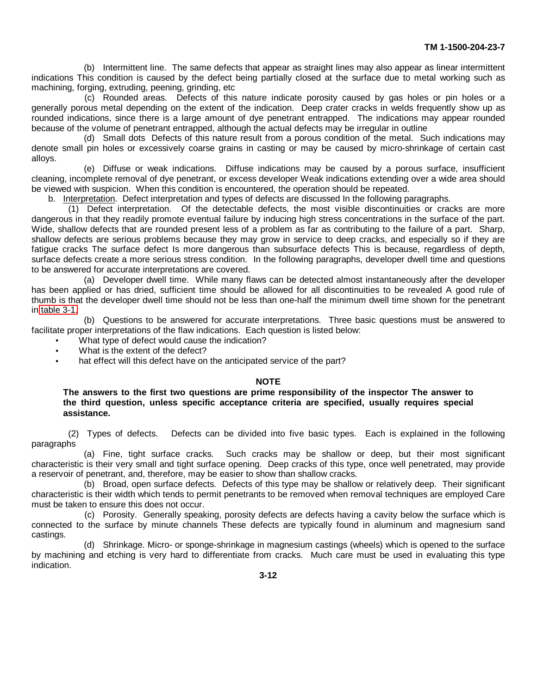(b) Intermittent line. The same defects that appear as straight lines may also appear as linear intermittent indications This condition is caused by the defect being partially closed at the surface due to metal working such as machining, forging, extruding, peening, grinding, etc

(c) Rounded areas. Defects of this nature indicate porosity caused by gas holes or pin holes or a generally porous metal depending on the extent of the indication. Deep crater cracks in welds frequently show up as rounded indications, since there is a large amount of dye penetrant entrapped. The indications may appear rounded because of the volume of penetrant entrapped, although the actual defects may be irregular in outline

(d) Small dots Defects of this nature result from a porous condition of the metal. Such indications may denote small pin holes or excessively coarse grains in casting or may be caused by micro-shrinkage of certain cast alloys.

(e) Diffuse or weak indications. Diffuse indications may be caused by a porous surface, insufficient cleaning, incomplete removal of dye penetrant, or excess developer Weak indications extending over a wide area should be viewed with suspicion. When this condition is encountered, the operation should be repeated.

b. Interpretation. Defect interpretation and types of defects are discussed In the following paragraphs.

(1) Defect interpretation. Of the detectable defects, the most visible discontinuities or cracks are more dangerous in that they readily promote eventual failure by inducing high stress concentrations in the surface of the part. Wide, shallow defects that are rounded present less of a problem as far as contributing to the failure of a part. Sharp, shallow defects are serious problems because they may grow in service to deep cracks, and especially so if they are fatigue cracks The surface defect Is more dangerous than subsurface defects This is because, regardless of depth, surface defects create a more serious stress condition. In the following paragraphs, developer dwell time and questions to be answered for accurate interpretations are covered.

(a) Developer dwell time. While many flaws can be detected almost instantaneously after the developer has been applied or has dried, sufficient time should be allowed for all discontinuities to be revealed A good rule of thumb is that the developer dwell time should not be less than one-half the minimum dwell time shown for the penetrant in [table 3-1.](#page-18-0)

(b) Questions to be answered for accurate interpretations. Three basic questions must be answered to facilitate proper interpretations of the flaw indications. Each question is listed below:

What type of defect would cause the indication?

- What is the extent of the defect?
- hat effect will this defect have on the anticipated service of the part?

#### **NOTE**

**The answers to the first two questions are prime responsibility of the inspector The answer to the third question, unless specific acceptance criteria are specified, usually requires special assistance.**

(2) Types of defects. Defects can be divided into five basic types. Each is explained in the following paragraphs

(a) Fine, tight surface cracks. Such cracks may be shallow or deep, but their most significant characteristic is their very small and tight surface opening. Deep cracks of this type, once well penetrated, may provide a reservoir of penetrant, and, therefore, may be easier to show than shallow cracks.

(b) Broad, open surface defects. Defects of this type may be shallow or relatively deep. Their significant characteristic is their width which tends to permit penetrants to be removed when removal techniques are employed Care must be taken to ensure this does not occur.

(c) Porosity. Generally speaking, porosity defects are defects having a cavity below the surface which is connected to the surface by minute channels These defects are typically found in aluminum and magnesium sand castings.

(d) Shrinkage. Micro- or sponge-shrinkage in magnesium castings (wheels) which is opened to the surface by machining and etching is very hard to differentiate from cracks. Much care must be used in evaluating this type indication.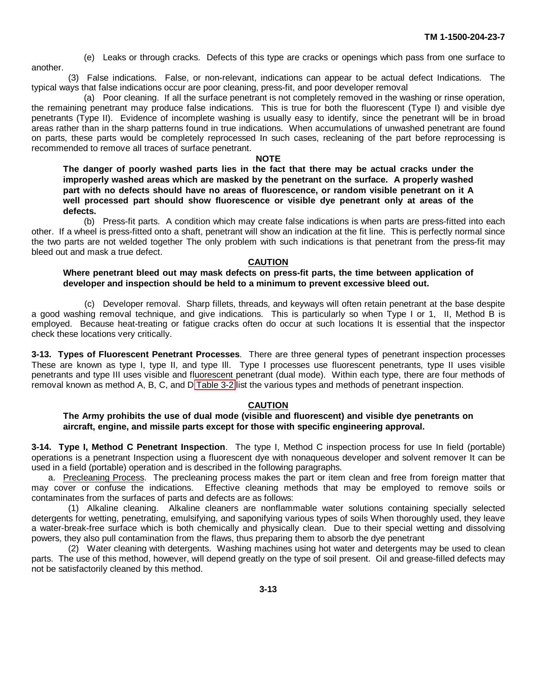(e) Leaks or through cracks. Defects of this type are cracks or openings which pass from one surface to

(3) False indications. False, or non-relevant, indications can appear to be actual defect Indications. The typical ways that false indications occur are poor cleaning, press-fit, and poor developer removal

<span id="page-25-0"></span>another.

(a) Poor cleaning. If all the surface penetrant is not completely removed in the washing or rinse operation, the remaining penetrant may produce false indications. This is true for both the fluorescent (Type I) and visible dye penetrants (Type II). Evidence of incomplete washing is usually easy to identify, since the penetrant will be in broad areas rather than in the sharp patterns found in true indications. When accumulations of unwashed penetrant are found on parts, these parts would be completely reprocessed In such cases, recleaning of the part before reprocessing is recommended to remove all traces of surface penetrant.

#### **NOTE**

**The danger of poorly washed parts lies in the fact that there may be actual cracks under the improperly washed areas which are masked by the penetrant on the surface. A properly washed part with no defects should have no areas of fluorescence, or random visible penetrant on it A well processed part should show fluorescence or visible dye penetrant only at areas of the defects.**

(b) Press-fit parts. A condition which may create false indications is when parts are press-fitted into each other. If a wheel is press-fitted onto a shaft, penetrant will show an indication at the fit line. This is perfectly normal since the two parts are not welded together The only problem with such indications is that penetrant from the press-fit may bleed out and mask a true defect.

#### **CAUTION**

#### **Where penetrant bleed out may mask defects on press-fit parts, the time between application of developer and inspection should be held to a minimum to prevent excessive bleed out.**

(c) Developer removal. Sharp fillets, threads, and keyways will often retain penetrant at the base despite a good washing removal technique, and give indications. This is particularly so when Type I or 1, II, Method B is employed. Because heat-treating or fatigue cracks often do occur at such locations It is essential that the inspector check these locations very critically.

**3-13. Types of Fluorescent Penetrant Processes**. There are three general types of penetrant inspection processes These are known as type I, type II, and type Ill. Type I processes use fluorescent penetrants, type II uses visible penetrants and type III uses visible and fluorescent penetrant (dual mode). Within each type, there are four methods of removal known as method A, B, C, and D [Table 3-2](#page-26-0) list the various types and methods of penetrant inspection.

#### **CAUTION**

**The Army prohibits the use of dual mode (visible and fluorescent) and visible dye penetrants on aircraft, engine, and missile parts except for those with specific engineering approval.**

**3-14. Type I, Method C Penetrant Inspection**. The type I, Method C inspection process for use In field (portable) operations is a penetrant Inspection using a fluorescent dye with nonaqueous developer and solvent remover It can be used in a field (portable) operation and is described in the following paragraphs.

a. Precleaning Process. The precleaning process makes the part or item clean and free from foreign matter that may cover or confuse the indications. Effective cleaning methods that may be employed to remove soils or contaminates from the surfaces of parts and defects are as follows:

(1) Alkaline cleaning. Alkaline cleaners are nonflammable water solutions containing specially selected detergents for wetting, penetrating, emulsifying, and saponifying various types of soils When thoroughly used, they leave a water-break-free surface which is both chemically and physically clean. Due to their special wetting and dissolving powers, they also pull contamination from the flaws, thus preparing them to absorb the dye penetrant

(2) Water cleaning with detergents. Washing machines using hot water and detergents may be used to clean parts. The use of this method, however, will depend greatly on the type of soil present. Oil and grease-filled defects may not be satisfactorily cleaned by this method.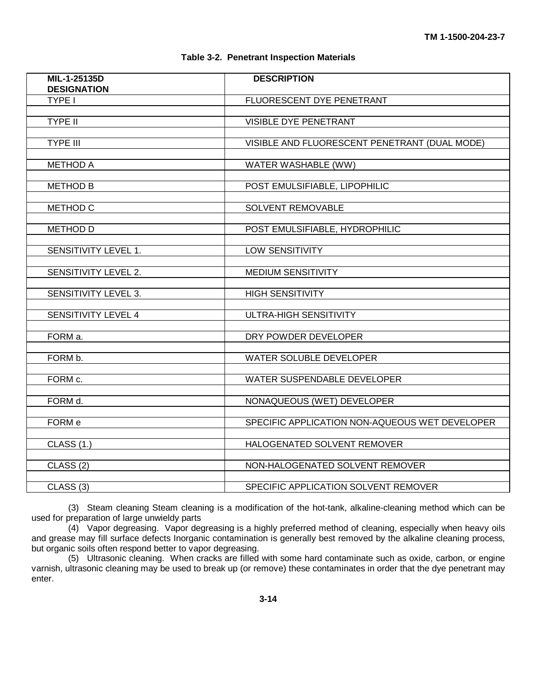#### **Table 3-2. Penetrant Inspection Materials**

<span id="page-26-0"></span>

| MIL-1-25135D<br><b>DESIGNATION</b> | <b>DESCRIPTION</b>                             |
|------------------------------------|------------------------------------------------|
| TYPE I                             | FLUORESCENT DYE PENETRANT                      |
| <b>TYPE II</b>                     | VISIBLE DYE PENETRANT                          |
|                                    |                                                |
| <b>TYPE III</b>                    | VISIBLE AND FLUORESCENT PENETRANT (DUAL MODE)  |
|                                    |                                                |
| <b>METHOD A</b>                    | <b>WATER WASHABLE (WW)</b>                     |
| <b>METHOD B</b>                    | POST EMULSIFIABLE, LIPOPHILIC                  |
|                                    |                                                |
| METHOD C                           | <b>SOLVENT REMOVABLE</b>                       |
|                                    |                                                |
| <b>METHOD D</b>                    | POST EMULSIFIABLE, HYDROPHILIC                 |
| SENSITIVITY LEVEL 1.               | LOW SENSITIVITY                                |
|                                    |                                                |
| SENSITIVITY LEVEL 2.               | <b>MEDIUM SENSITIVITY</b>                      |
|                                    |                                                |
| SENSITIVITY LEVEL 3.               | <b>HIGH SENSITIVITY</b>                        |
| SENSITIVITY LEVEL 4                | ULTRA-HIGH SENSITIVITY                         |
|                                    |                                                |
| FORM a.                            | DRY POWDER DEVELOPER                           |
|                                    |                                                |
| FORM b.                            | WATER SOLUBLE DEVELOPER                        |
| FORM c.                            | WATER SUSPENDABLE DEVELOPER                    |
|                                    |                                                |
| FORM d.                            | NONAQUEOUS (WET) DEVELOPER                     |
|                                    |                                                |
| FORM e                             | SPECIFIC APPLICATION NON-AQUEOUS WET DEVELOPER |
| CLASS (1.)                         | HALOGENATED SOLVENT REMOVER                    |
|                                    |                                                |
| CLASS <sub>(2)</sub>               | NON-HALOGENATED SOLVENT REMOVER                |
|                                    |                                                |
| CLASS <sub>(3)</sub>               | SPECIFIC APPLICATION SOLVENT REMOVER           |

(3) Steam cleaning Steam cleaning is a modification of the hot-tank, alkaline-cleaning method which can be used for preparation of large unwieldy parts

(4) Vapor degreasing. Vapor degreasing is a highly preferred method of cleaning, especially when heavy oils and grease may fill surface defects Inorganic contamination is generally best removed by the alkaline cleaning process, but organic soils often respond better to vapor degreasing.

(5) Ultrasonic cleaning. When cracks are filled with some hard contaminate such as oxide, carbon, or engine varnish, ultrasonic cleaning may be used to break up (or remove) these contaminates in order that the dye penetrant may enter.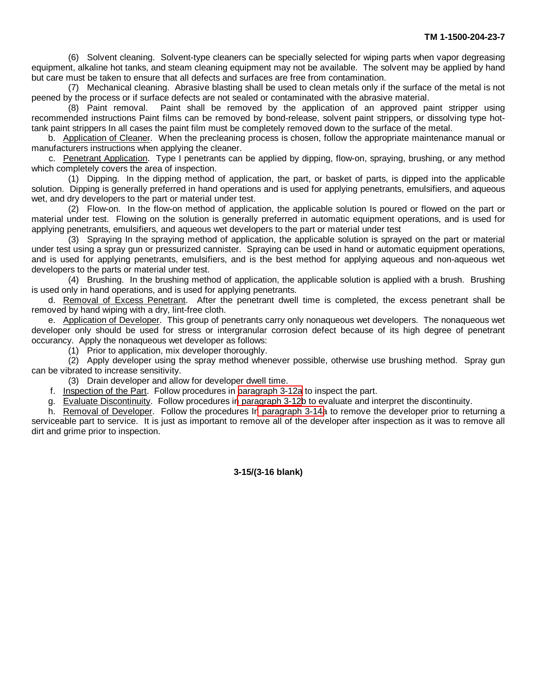(6) Solvent cleaning. Solvent-type cleaners can be specially selected for wiping parts when vapor degreasing equipment, alkaline hot tanks, and steam cleaning equipment may not be available. The solvent may be applied by hand but care must be taken to ensure that all defects and surfaces are free from contamination.

(7) Mechanical cleaning. Abrasive blasting shall be used to clean metals only if the surface of the metal is not peened by the process or if surface defects are not sealed or contaminated with the abrasive material.

(8) Paint removal. Paint shall be removed by the application of an approved paint stripper using recommended instructions Paint films can be removed by bond-release, solvent paint strippers, or dissolving type hottank paint strippers In all cases the paint film must be completely removed down to the surface of the metal.

b. Application of Cleaner. When the precleaning process is chosen, follow the appropriate maintenance manual or manufacturers instructions when applying the cleaner.

c. Penetrant Application. Type I penetrants can be applied by dipping, flow-on, spraying, brushing, or any method which completely covers the area of inspection.

(1) Dipping. In the dipping method of application, the part, or basket of parts, is dipped into the applicable solution. Dipping is generally preferred in hand operations and is used for applying penetrants, emulsifiers, and aqueous wet, and dry developers to the part or material under test.

(2) Flow-on. In the flow-on method of application, the applicable solution Is poured or flowed on the part or material under test. Flowing on the solution is generally preferred in automatic equipment operations, and is used for applying penetrants, emulsifiers, and aqueous wet developers to the part or material under test

(3) Spraying In the spraying method of application, the applicable solution is sprayed on the part or material under test using a spray gun or pressurized cannister. Spraying can be used in hand or automatic equipment operations, and is used for applying penetrants, emulsifiers, and is the best method for applying aqueous and non-aqueous wet developers to the parts or material under test.

(4) Brushing. In the brushing method of application, the applicable solution is applied with a brush. Brushing is used only in hand operations, and is used for applying penetrants.

d. Removal of Excess Penetrant. After the penetrant dwell time is completed, the excess penetrant shall be removed by hand wiping with a dry, lint-free cloth.

e. Application of Developer. This group of penetrants carry only nonaqueous wet developers. The nonaqueous wet developer only should be used for stress or intergranular corrosion defect because of its high degree of penetrant occurancy. Apply the nonaqueous wet developer as follows:

(1) Prior to application, mix developer thoroughly.

(2) Apply developer using the spray method whenever possible, otherwise use brushing method. Spray gun can be vibrated to increase sensitivity.

(3) Drain developer and allow for developer dwell time.

f. Inspection of the Part. Follow procedures in [paragraph 3-12a](#page-23-0) to inspect the part.

g. Evaluate Discontinuity. Follow procedures i[n paragraph 3-12b](#page-23-0) to evaluate and interpret the discontinuity.

h. Removal of Developer. Follow the procedures I[n paragraph 3-14a](#page-25-0) to remove the developer prior to returning a serviceable part to service. It is just as important to remove all of the developer after inspection as it was to remove all dirt and grime prior to inspection.

**3-15/(3-16 blank)**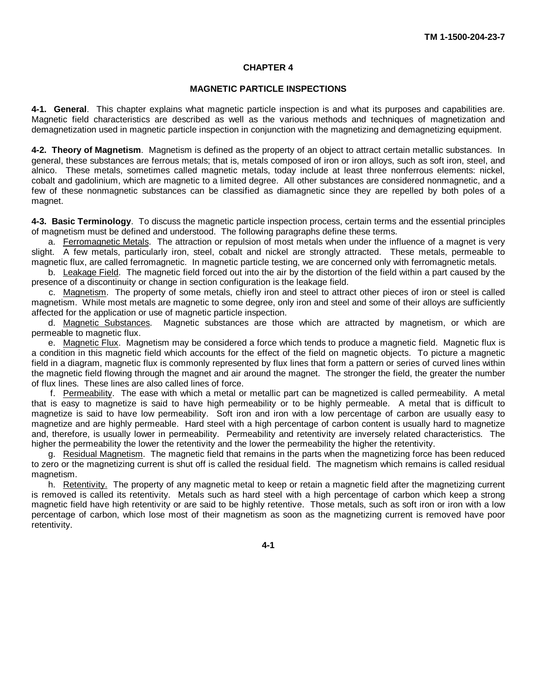#### **CHAPTER 4**

#### **MAGNETIC PARTICLE INSPECTIONS**

<span id="page-28-0"></span>**4-1. General**. This chapter explains what magnetic particle inspection is and what its purposes and capabilities are. Magnetic field characteristics are described as well as the various methods and techniques of magnetization and demagnetization used in magnetic particle inspection in conjunction with the magnetizing and demagnetizing equipment.

**4-2. Theory of Magnetism**. Magnetism is defined as the property of an object to attract certain metallic substances. In general, these substances are ferrous metals; that is, metals composed of iron or iron alloys, such as soft iron, steel, and alnico. These metals, sometimes called magnetic metals, today include at least three nonferrous elements: nickel, cobalt and gadolinium, which are magnetic to a limited degree. All other substances are considered nonmagnetic, and a few of these nonmagnetic substances can be classified as diamagnetic since they are repelled by both poles of a magnet.

**4-3. Basic Terminology**. To discuss the magnetic particle inspection process, certain terms and the essential principles of magnetism must be defined and understood. The following paragraphs define these terms.

a. Ferromagnetic Metals. The attraction or repulsion of most metals when under the influence of a magnet is very slight. A few metals, particularly iron, steel, cobalt and nickel are strongly attracted. These metals, permeable to magnetic flux, are called ferromagnetic. In magnetic particle testing, we are concerned only with ferromagnetic metals.

b. Leakage Field. The magnetic field forced out into the air by the distortion of the field within a part caused by the presence of a discontinuity or change in section configuration is the leakage field.

c. Magnetism. The property of some metals, chiefly iron and steel to attract other pieces of iron or steel is called magnetism. While most metals are magnetic to some degree, only iron and steel and some of their alloys are sufficiently affected for the application or use of magnetic particle inspection.

d. Magnetic Substances. Magnetic substances are those which are attracted by magnetism, or which are permeable to magnetic flux.

e. Magnetic Flux. Magnetism may be considered a force which tends to produce a magnetic field. Magnetic flux is a condition in this magnetic field which accounts for the effect of the field on magnetic objects. To picture a magnetic field in a diagram, magnetic flux is commonly represented by flux lines that form a pattern or series of curved lines within the magnetic field flowing through the magnet and air around the magnet. The stronger the field, the greater the number of flux lines. These lines are also called lines of force.

f. Permeability. The ease with which a metal or metallic part can be magnetized is called permeability. A metal that is easy to magnetize is said to have high permeability or to be highly permeable. A metal that is difficult to magnetize is said to have low permeability. Soft iron and iron with a low percentage of carbon are usually easy to magnetize and are highly permeable. Hard steel with a high percentage of carbon content is usually hard to magnetize and, therefore, is usually lower in permeability. Permeability and retentivity are inversely related characteristics. The higher the permeability the lower the retentivity and the lower the permeability the higher the retentivity.

g. Residual Magnetism. The magnetic field that remains in the parts when the magnetizing force has been reduced to zero or the magnetizing current is shut off is called the residual field. The magnetism which remains is called residual magnetism.

h. Retentivity. The property of any magnetic metal to keep or retain a magnetic field after the magnetizing current is removed is called its retentivity. Metals such as hard steel with a high percentage of carbon which keep a strong magnetic field have high retentivity or are said to be highly retentive. Those metals, such as soft iron or iron with a low percentage of carbon, which lose most of their magnetism as soon as the magnetizing current is removed have poor retentivity.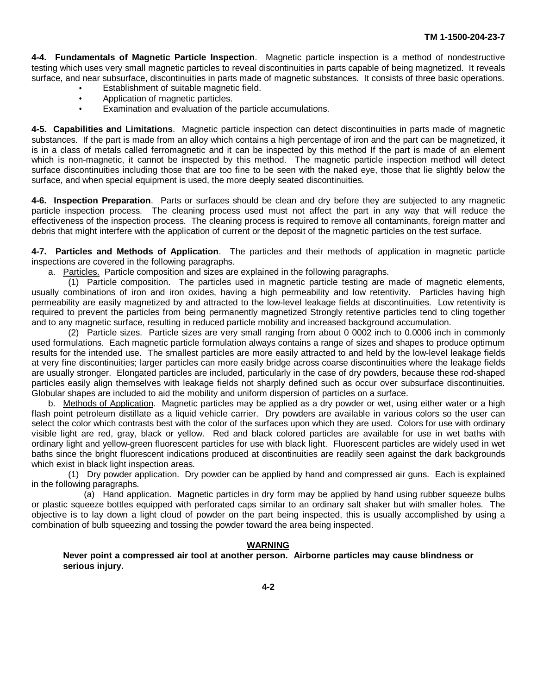**4-4. Fundamentals of Magnetic Particle Inspection**. Magnetic particle inspection is a method of nondestructive testing which uses very small magnetic particles to reveal discontinuities in parts capable of being magnetized. It reveals surface, and near subsurface, discontinuities in parts made of magnetic substances. It consists of three basic operations.

- Establishment of suitable magnetic field.
- Application of magnetic particles.  $\bullet$
- Examination and evaluation of the particle accumulations.

**4-5. Capabilities and Limitations**. Magnetic particle inspection can detect discontinuities in parts made of magnetic substances. If the part is made from an alloy which contains a high percentage of iron and the part can be magnetized, it is in a class of metals called ferromagnetic and it can be inspected by this method If the part is made of an element which is non-magnetic, it cannot be inspected by this method. The magnetic particle inspection method will detect surface discontinuities including those that are too fine to be seen with the naked eye, those that lie slightly below the surface, and when special equipment is used, the more deeply seated discontinuities.

**4-6. Inspection Preparation**. Parts or surfaces should be clean and dry before they are subjected to any magnetic particle inspection process. The cleaning process used must not affect the part in any way that will reduce the effectiveness of the inspection process. The cleaning process is required to remove all contaminants, foreign matter and debris that might interfere with the application of current or the deposit of the magnetic particles on the test surface.

**4-7. Particles and Methods of Application**. The particles and their methods of application in magnetic particle inspections are covered in the following paragraphs.

a. Particles. Particle composition and sizes are explained in the following paragraphs.

(1) Particle composition. The particles used in magnetic particle testing are made of magnetic elements, usually combinations of iron and iron oxides, having a high permeability and low retentivity. Particles having high permeability are easily magnetized by and attracted to the low-level leakage fields at discontinuities. Low retentivity is required to prevent the particles from being permanently magnetized Strongly retentive particles tend to cling together and to any magnetic surface, resulting in reduced particle mobility and increased background accumulation.

(2) Particle sizes. Particle sizes are very small ranging from about 0 0002 inch to 0.0006 inch in commonly used formulations. Each magnetic particle formulation always contains a range of sizes and shapes to produce optimum results for the intended use. The smallest particles are more easily attracted to and held by the low-level leakage fields at very fine discontinuities; larger particles can more easily bridge across coarse discontinuities where the leakage fields are usually stronger. Elongated particles are included, particularly in the case of dry powders, because these rod-shaped particles easily align themselves with leakage fields not sharply defined such as occur over subsurface discontinuities. Globular shapes are included to aid the mobility and uniform dispersion of particles on a surface.

b. Methods of Application. Magnetic particles may be applied as a dry powder or wet, using either water or a high flash point petroleum distillate as a liquid vehicle carrier. Dry powders are available in various colors so the user can select the color which contrasts best with the color of the surfaces upon which they are used. Colors for use with ordinary visible light are red, gray, black or yellow. Red and black colored particles are available for use in wet baths with ordinary light and yellow-green fluorescent particles for use with black light. Fluorescent particles are widely used in wet baths since the bright fluorescent indications produced at discontinuities are readily seen against the dark backgrounds which exist in black light inspection areas.

(1) Dry powder application. Dry powder can be applied by hand and compressed air guns. Each is explained in the following paragraphs.

(a) Hand application. Magnetic particles in dry form may be applied by hand using rubber squeeze bulbs or plastic squeeze bottles equipped with perforated caps similar to an ordinary salt shaker but with smaller holes. The objective is to lay down a light cloud of powder on the part being inspected, this is usually accomplished by using a combination of bulb squeezing and tossing the powder toward the area being inspected.

#### **WARNING**

**Never point a compressed air tool at another person. Airborne particles may cause blindness or serious injury.**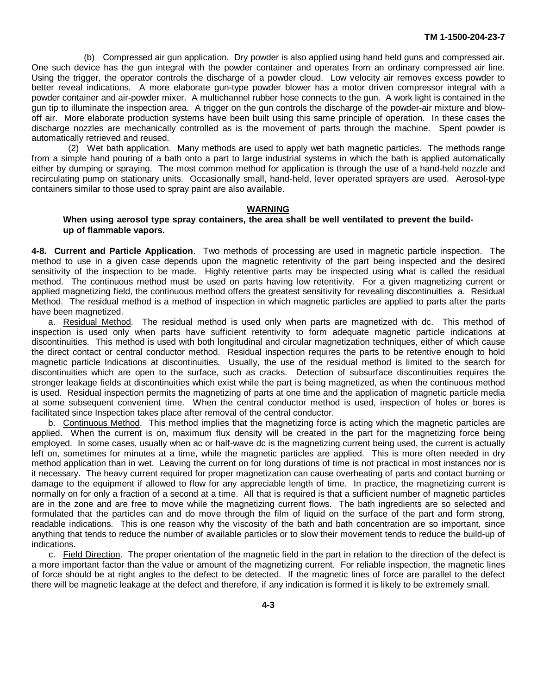(b) Compressed air gun application. Dry powder is also applied using hand held guns and compressed air. One such device has the gun integral with the powder container and operates from an ordinary compressed air line. Using the trigger, the operator controls the discharge of a powder cloud. Low velocity air removes excess powder to better reveal indications. A more elaborate gun-type powder blower has a motor driven compressor integral with a powder container and air-powder mixer. A multichannel rubber hose connects to the gun. A work light is contained in the gun tip to illuminate the inspection area. A trigger on the gun controls the discharge of the powder-air mixture and blowoff air. More elaborate production systems have been built using this same principle of operation. In these cases the discharge nozzles are mechanically controlled as is the movement of parts through the machine. Spent powder is automatically retrieved and reused.

(2) Wet bath application. Many methods are used to apply wet bath magnetic particles. The methods range from a simple hand pouring of a bath onto a part to large industrial systems in which the bath is applied automatically either by dumping or spraying. The most common method for application is through the use of a hand-held nozzle and recirculating pump on stationary units. Occasionally small, hand-held, lever operated sprayers are used. Aerosol-type containers similar to those used to spray paint are also available.

#### **WARNING**

#### **When using aerosol type spray containers, the area shall be well ventilated to prevent the buildup of flammable vapors.**

**4-8. Current and Particle Application**. Two methods of processing are used in magnetic particle inspection. The method to use in a given case depends upon the magnetic retentivity of the part being inspected and the desired sensitivity of the inspection to be made. Highly retentive parts may be inspected using what is called the residual method. The continuous method must be used on parts having low retentivity. For a given magnetizing current or applied magnetizing field, the continuous method offers the greatest sensitivity for revealing discontinuities a. Residual Method. The residual method is a method of inspection in which magnetic particles are applied to parts after the parts have been magnetized.

a. Residual Method. The residual method is used only when parts are magnetized with dc. This method of inspection is used only when parts have sufficient retentivity to form adequate magnetic particle indications at discontinuities. This method is used with both longitudinal and circular magnetization techniques, either of which cause the direct contact or central conductor method. Residual inspection requires the parts to be retentive enough to hold magnetic particle Indications at discontinuities. Usually, the use of the residual method is limited to the search for discontinuities which are open to the surface, such as cracks. Detection of subsurface discontinuities requires the stronger leakage fields at discontinuities which exist while the part is being magnetized, as when the continuous method is used. Residual inspection permits the magnetizing of parts at one time and the application of magnetic particle media at some subsequent convenient time. When the central conductor method is used, inspection of holes or bores is facilitated since Inspection takes place after removal of the central conductor.

b. Continuous Method. This method implies that the magnetizing force is acting which the magnetic particles are applied. When the current is on, maximum flux density will be created in the part for the magnetizing force being employed. In some cases, usually when ac or half-wave dc is the magnetizing current being used, the current is actually left on, sometimes for minutes at a time, while the magnetic particles are applied. This is more often needed in dry method application than in wet. Leaving the current on for long durations of time is not practical in most instances nor is it necessary. The heavy current required for proper magnetization can cause overheating of parts and contact burning or damage to the equipment if allowed to flow for any appreciable length of time. In practice, the magnetizing current is normally on for only a fraction of a second at a time. All that is required is that a sufficient number of magnetic particles are in the zone and are free to move while the magnetizing current flows. The bath ingredients are so selected and formulated that the particles can and do move through the film of liquid on the surface of the part and form strong, readable indications. This is one reason why the viscosity of the bath and bath concentration are so important, since anything that tends to reduce the number of available particles or to slow their movement tends to reduce the build-up of indications.

c. Field Direction. The proper orientation of the magnetic field in the part in relation to the direction of the defect is a more important factor than the value or amount of the magnetizing current. For reliable inspection, the magnetic lines of force should be at right angles to the defect to be detected. If the magnetic lines of force are parallel to the defect there will be magnetic leakage at the defect and therefore, if any indication is formed it is likely to be extremely small.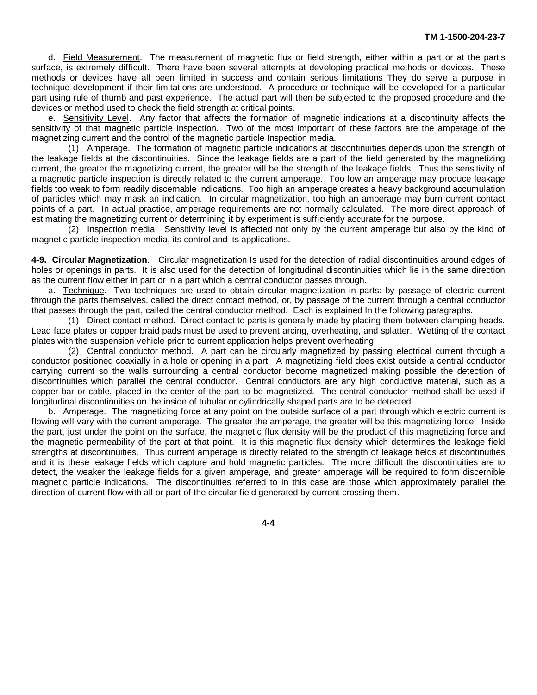d. Field Measurement. The measurement of magnetic flux or field strength, either within a part or at the part's surface, is extremely difficult. There have been several attempts at developing practical methods or devices. These methods or devices have all been limited in success and contain serious limitations They do serve a purpose in technique development if their limitations are understood. A procedure or technique will be developed for a particular part using rule of thumb and past experience. The actual part will then be subjected to the proposed procedure and the devices or method used to check the field strength at critical points.

e. Sensitivity Level. Any factor that affects the formation of magnetic indications at a discontinuity affects the sensitivity of that magnetic particle inspection. Two of the most important of these factors are the amperage of the magnetizing current and the control of the magnetic particle Inspection media.

(1) Amperage. The formation of magnetic particle indications at discontinuities depends upon the strength of the leakage fields at the discontinuities. Since the leakage fields are a part of the field generated by the magnetizing current, the greater the magnetizing current, the greater will be the strength of the leakage fields. Thus the sensitivity of a magnetic particle inspection is directly related to the current amperage. Too low an amperage may produce leakage fields too weak to form readily discernable indications. Too high an amperage creates a heavy background accumulation of particles which may mask an indication. In circular magnetization, too high an amperage may burn current contact points of a part. In actual practice, amperage requirements are not normally calculated. The more direct approach of estimating the magnetizing current or determining it by experiment is sufficiently accurate for the purpose.

(2) Inspection media. Sensitivity level is affected not only by the current amperage but also by the kind of magnetic particle inspection media, its control and its applications.

**4-9. Circular Magnetization**. Circular magnetization Is used for the detection of radial discontinuities around edges of holes or openings in parts. It is also used for the detection of longitudinal discontinuities which lie in the same direction as the current flow either in part or in a part which a central conductor passes through.

a. Technique. Two techniques are used to obtain circular magnetization in parts: by passage of electric current through the parts themselves, called the direct contact method, or, by passage of the current through a central conductor that passes through the part, called the central conductor method. Each is explained In the following paragraphs.

(1) Direct contact method. Direct contact to parts is generally made by placing them between clamping heads. Lead face plates or copper braid pads must be used to prevent arcing, overheating, and splatter. Wetting of the contact plates with the suspension vehicle prior to current application helps prevent overheating.

(2) Central conductor method. A part can be circularly magnetized by passing electrical current through a conductor positioned coaxially in a hole or opening in a part. A magnetizing field does exist outside a central conductor carrying current so the walls surrounding a central conductor become magnetized making possible the detection of discontinuities which parallel the central conductor. Central conductors are any high conductive material, such as a copper bar or cable, placed in the center of the part to be magnetized. The central conductor method shall be used if longitudinal discontinuities on the inside of tubular or cylindrically shaped parts are to be detected.

b. Amperage. The magnetizing force at any point on the outside surface of a part through which electric current is flowing will vary with the current amperage. The greater the amperage, the greater will be this magnetizing force. Inside the part, just under the point on the surface, the magnetic flux density will be the product of this magnetizing force and the magnetic permeability of the part at that point. It is this magnetic flux density which determines the leakage field strengths at discontinuities. Thus current amperage is directly related to the strength of leakage fields at discontinuities and it is these leakage fields which capture and hold magnetic particles. The more difficult the discontinuities are to detect, the weaker the leakage fields for a given amperage, and greater amperage will be required to form discernible magnetic particle indications. The discontinuities referred to in this case are those which approximately parallel the direction of current flow with all or part of the circular field generated by current crossing them.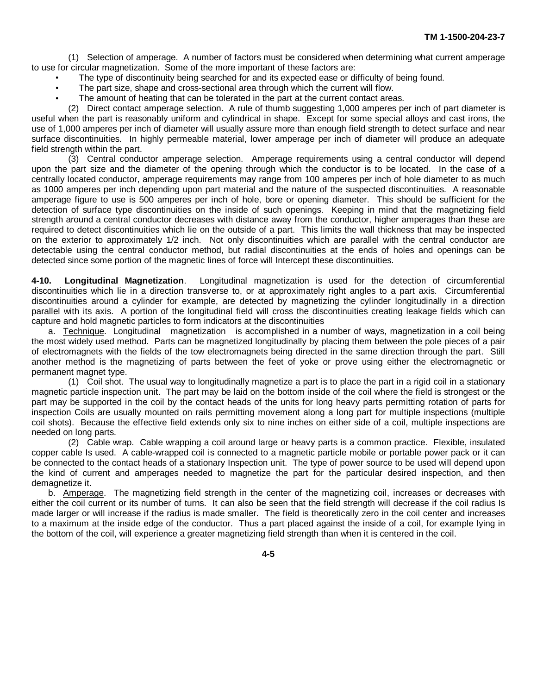(1) Selection of amperage. A number of factors must be considered when determining what current amperage to use for circular magnetization. Some of the more important of these factors are:

- The type of discontinuity being searched for and its expected ease or difficulty of being found.
- The part size, shape and cross-sectional area through which the current will flow.
- The amount of heating that can be tolerated in the part at the current contact areas.

(2) Direct contact amperage selection. A rule of thumb suggesting 1,000 amperes per inch of part diameter is useful when the part is reasonably uniform and cylindrical in shape. Except for some special alloys and cast irons, the use of 1,000 amperes per inch of diameter will usually assure more than enough field strength to detect surface and near surface discontinuities. In highly permeable material, lower amperage per inch of diameter will produce an adequate field strength within the part.

(3) Central conductor amperage selection. Amperage requirements using a central conductor will depend upon the part size and the diameter of the opening through which the conductor is to be located. In the case of a centrally located conductor, amperage requirements may range from 100 amperes per inch of hole diameter to as much as 1000 amperes per inch depending upon part material and the nature of the suspected discontinuities. A reasonable amperage figure to use is 500 amperes per inch of hole, bore or opening diameter. This should be sufficient for the detection of surface type discontinuities on the inside of such openings. Keeping in mind that the magnetizing field strength around a central conductor decreases with distance away from the conductor, higher amperages than these are required to detect discontinuities which lie on the outside of a part. This limits the wall thickness that may be inspected on the exterior to approximately 1/2 inch. Not only discontinuities which are parallel with the central conductor are detectable using the central conductor method, but radial discontinuities at the ends of holes and openings can be detected since some portion of the magnetic lines of force will Intercept these discontinuities.

**4-10. Longitudinal Magnetization**. Longitudinal magnetization is used for the detection of circumferential discontinuities which lie in a direction transverse to, or at approximately right angles to a part axis. Circumferential discontinuities around a cylinder for example, are detected by magnetizing the cylinder longitudinally in a direction parallel with its axis. A portion of the longitudinal field will cross the discontinuities creating leakage fields which can capture and hold magnetic particles to form indicators at the discontinuities

a. Technique. Longitudinal magnetization is accomplished in a number of ways, magnetization in a coil being the most widely used method. Parts can be magnetized longitudinally by placing them between the pole pieces of a pair of electromagnets with the fields of the tow electromagnets being directed in the same direction through the part. Still another method is the magnetizing of parts between the feet of yoke or prove using either the electromagnetic or permanent magnet type.

(1) Coil shot. The usual way to longitudinally magnetize a part is to place the part in a rigid coil in a stationary magnetic particle inspection unit. The part may be laid on the bottom inside of the coil where the field is strongest or the part may be supported in the coil by the contact heads of the units for long heavy parts permitting rotation of parts for inspection Coils are usually mounted on rails permitting movement along a long part for multiple inspections (multiple coil shots). Because the effective field extends only six to nine inches on either side of a coil, multiple inspections are needed on long parts.

(2) Cable wrap. Cable wrapping a coil around large or heavy parts is a common practice. Flexible, insulated copper cable Is used. A cable-wrapped coil is connected to a magnetic particle mobile or portable power pack or it can be connected to the contact heads of a stationary Inspection unit. The type of power source to be used will depend upon the kind of current and amperages needed to magnetize the part for the particular desired inspection, and then demagnetize it.

b. Amperage. The magnetizing field strength in the center of the magnetizing coil, increases or decreases with either the coil current or its number of turns. It can also be seen that the field strength will decrease if the coil radius Is made larger or will increase if the radius is made smaller. The field is theoretically zero in the coil center and increases to a maximum at the inside edge of the conductor. Thus a part placed against the inside of a coil, for example lying in the bottom of the coil, will experience a greater magnetizing field strength than when it is centered in the coil.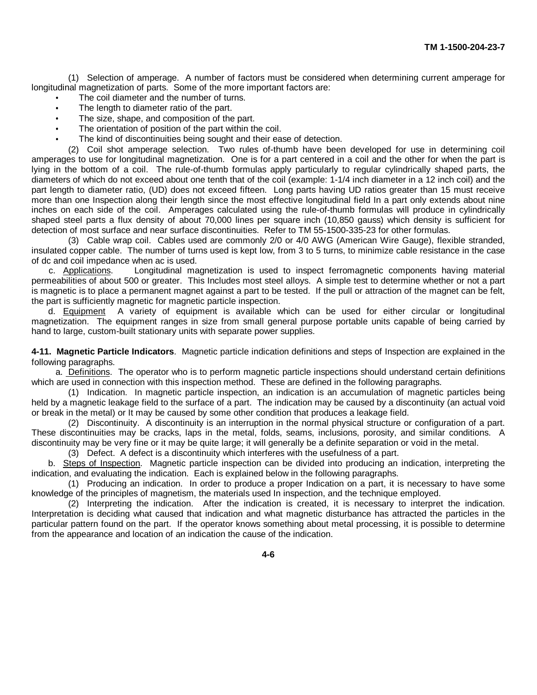(1) Selection of amperage. A number of factors must be considered when determining current amperage for longitudinal magnetization of parts. Some of the more important factors are:

The coil diameter and the number of turns.

- The length to diameter ratio of the part.
- The size, shape, and composition of the part.
- The orientation of position of the part within the coil.
- The kind of discontinuities being sought and their ease of detection.

(2) Coil shot amperage selection. Two rules of-thumb have been developed for use in determining coil amperages to use for longitudinal magnetization. One is for a part centered in a coil and the other for when the part is lying in the bottom of a coil. The rule-of-thumb formulas apply particularly to regular cylindrically shaped parts, the diameters of which do not exceed about one tenth that of the coil (example: 1-1/4 inch diameter in a 12 inch coil) and the part length to diameter ratio, (UD) does not exceed fifteen. Long parts having UD ratios greater than 15 must receive more than one Inspection along their length since the most effective longitudinal field In a part only extends about nine inches on each side of the coil. Amperages calculated using the rule-of-thumb formulas will produce in cylindrically shaped steel parts a flux density of about 70,000 lines per square inch (10,850 gauss) which density is sufficient for detection of most surface and near surface discontinuities. Refer to TM 55-1500-335-23 for other formulas.

(3) Cable wrap coil. Cables used are commonly 2/0 or 4/0 AWG (American Wire Gauge), flexible stranded, insulated copper cable. The number of turns used is kept low, from 3 to 5 turns, to minimize cable resistance in the case of dc and coil impedance when ac is used.

c. Applications. Longitudinal magnetization is used to inspect ferromagnetic components having material permeabilities of about 500 or greater. This Includes most steel alloys. A simple test to determine whether or not a part is magnetic is to place a permanent magnet against a part to be tested. If the pull or attraction of the magnet can be felt, the part is sufficiently magnetic for magnetic particle inspection.

d. Equipment A variety of equipment is available which can be used for either circular or longitudinal magnetization. The equipment ranges in size from small general purpose portable units capable of being carried by hand to large, custom-built stationary units with separate power supplies.

**4-11. Magnetic Particle Indicators**. Magnetic particle indication definitions and steps of Inspection are explained in the following paragraphs.

a. Definitions. The operator who is to perform magnetic particle inspections should understand certain definitions which are used in connection with this inspection method. These are defined in the following paragraphs.

(1) Indication. In magnetic particle inspection, an indication is an accumulation of magnetic particles being held by a magnetic leakage field to the surface of a part. The indication may be caused by a discontinuity (an actual void or break in the metal) or It may be caused by some other condition that produces a leakage field.

(2) Discontinuity. A discontinuity is an interruption in the normal physical structure or configuration of a part. These discontinuities may be cracks, laps in the metal, folds, seams, inclusions, porosity, and similar conditions. A discontinuity may be very fine or it may be quite large; it will generally be a definite separation or void in the metal.

(3) Defect. A defect is a discontinuity which interferes with the usefulness of a part.

b. Steps of Inspection. Magnetic particle inspection can be divided into producing an indication, interpreting the indication, and evaluating the indication. Each is explained below in the following paragraphs.

(1) Producing an indication. In order to produce a proper Indication on a part, it is necessary to have some knowledge of the principles of magnetism, the materials used In inspection, and the technique employed.

(2) Interpreting the indication. After the indication is created, it is necessary to interpret the indication. Interpretation is deciding what caused that indication and what magnetic disturbance has attracted the particles in the particular pattern found on the part. If the operator knows something about metal processing, it is possible to determine from the appearance and location of an indication the cause of the indication.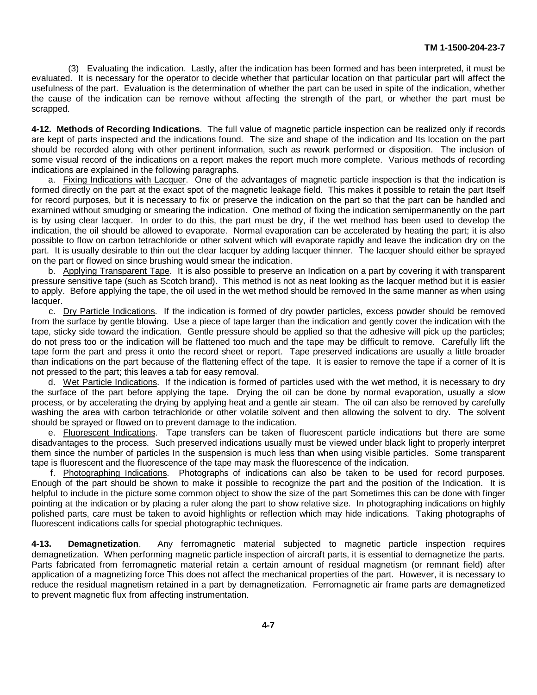(3) Evaluating the indication. Lastly, after the indication has been formed and has been interpreted, it must be evaluated. It is necessary for the operator to decide whether that particular location on that particular part will affect the usefulness of the part. Evaluation is the determination of whether the part can be used in spite of the indication, whether the cause of the indication can be remove without affecting the strength of the part, or whether the part must be scrapped.

**4-12. Methods of Recording Indications**. The full value of magnetic particle inspection can be realized only if records are kept of parts inspected and the indications found. The size and shape of the indication and Its location on the part should be recorded along with other pertinent information, such as rework performed or disposition. The inclusion of some visual record of the indications on a report makes the report much more complete. Various methods of recording indications are explained in the following paragraphs.

a. Fixing Indications with Lacquer. One of the advantages of magnetic particle inspection is that the indication is formed directly on the part at the exact spot of the magnetic leakage field. This makes it possible to retain the part Itself for record purposes, but it is necessary to fix or preserve the indication on the part so that the part can be handled and examined without smudging or smearing the indication. One method of fixing the indication semipermanently on the part is by using clear lacquer. In order to do this, the part must be dry, if the wet method has been used to develop the indication, the oil should be allowed to evaporate. Normal evaporation can be accelerated by heating the part; it is also possible to flow on carbon tetrachloride or other solvent which will evaporate rapidly and leave the indication dry on the part. It is usually desirable to thin out the clear lacquer by adding lacquer thinner. The lacquer should either be sprayed on the part or flowed on since brushing would smear the indication.

b. Applying Transparent Tape. It is also possible to preserve an Indication on a part by covering it with transparent pressure sensitive tape (such as Scotch brand). This method is not as neat looking as the lacquer method but it is easier to apply. Before applying the tape, the oil used in the wet method should be removed In the same manner as when using lacquer.

c. Dry Particle Indications. If the indication is formed of dry powder particles, excess powder should be removed from the surface by gentle blowing. Use a piece of tape larger than the indication and gently cover the indication with the tape, sticky side toward the indication. Gentle pressure should be applied so that the adhesive will pick up the particles; do not press too or the indication will be flattened too much and the tape may be difficult to remove. Carefully lift the tape form the part and press it onto the record sheet or report. Tape preserved indications are usually a little broader than indications on the part because of the flattening effect of the tape. It is easier to remove the tape if a corner of It is not pressed to the part; this leaves a tab for easy removal.

d. Wet Particle Indications. If the indication is formed of particles used with the wet method, it is necessary to dry the surface of the part before applying the tape. Drying the oil can be done by normal evaporation, usually a slow process, or by accelerating the drying by applying heat and a gentle air steam. The oil can also be removed by carefully washing the area with carbon tetrachloride or other volatile solvent and then allowing the solvent to dry. The solvent should be sprayed or flowed on to prevent damage to the indication.

e. Fluorescent Indications. Tape transfers can be taken of fluorescent particle indications but there are some disadvantages to the process. Such preserved indications usually must be viewed under black light to properly interpret them since the number of particles In the suspension is much less than when using visible particles. Some transparent tape is fluorescent and the fluorescence of the tape may mask the fluorescence of the indication.

f. Photographing Indications. Photographs of indications can also be taken to be used for record purposes. Enough of the part should be shown to make it possible to recognize the part and the position of the Indication. It is helpful to include in the picture some common object to show the size of the part Sometimes this can be done with finger pointing at the indication or by placing a ruler along the part to show relative size. In photographing indications on highly polished parts, care must be taken to avoid highlights or reflection which may hide indications. Taking photographs of fluorescent indications calls for special photographic techniques.

**4-13. Demagnetization**. Any ferromagnetic material subjected to magnetic particle inspection requires demagnetization. When performing magnetic particle inspection of aircraft parts, it is essential to demagnetize the parts. Parts fabricated from ferromagnetic material retain a certain amount of residual magnetism (or remnant field) after application of a magnetizing force This does not affect the mechanical properties of the part. However, it is necessary to reduce the residual magnetism retained in a part by demagnetization. Ferromagnetic air frame parts are demagnetized to prevent magnetic flux from affecting instrumentation.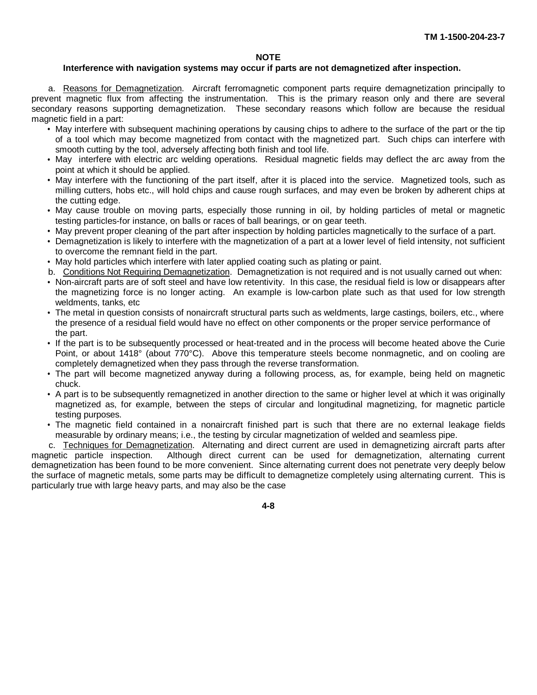#### **NOTE**

#### **Interference with navigation systems may occur if parts are not demagnetized after inspection.**

a. Reasons for Demagnetization. Aircraft ferromagnetic component parts require demagnetization principally to prevent magnetic flux from affecting the instrumentation. This is the primary reason only and there are several secondary reasons supporting demagnetization. These secondary reasons which follow are because the residual magnetic field in a part:

- May interfere with subsequent machining operations by causing chips to adhere to the surface of the part or the tip of a tool which may become magnetized from contact with the magnetized part. Such chips can interfere with smooth cutting by the tool, adversely affecting both finish and tool life.
- May interfere with electric arc welding operations. Residual magnetic fields may deflect the arc away from the point at which it should be applied.
- May interfere with the functioning of the part itself, after it is placed into the service. Magnetized tools, such as milling cutters, hobs etc., will hold chips and cause rough surfaces, and may even be broken by adherent chips at the cutting edge.
- May cause trouble on moving parts, especially those running in oil, by holding particles of metal or magnetic testing particles-for instance, on balls or races of ball bearings, or on gear teeth.
- May prevent proper cleaning of the part after inspection by holding particles magnetically to the surface of a part.
- Demagnetization is likely to interfere with the magnetization of a part at a lower level of field intensity, not sufficient to overcome the remnant field in the part.
- May hold particles which interfere with later applied coating such as plating or paint.
- b. Conditions Not Requiring Demagnetization. Demagnetization is not required and is not usually carned out when:
- Non-aircraft parts are of soft steel and have low retentivity. In this case, the residual field is low or disappears after the magnetizing force is no longer acting. An example is low-carbon plate such as that used for low strength weldments, tanks, etc
- The metal in question consists of nonaircraft structural parts such as weldments, large castings, boilers, etc., where the presence of a residual field would have no effect on other components or the proper service performance of the part.
- If the part is to be subsequently processed or heat-treated and in the process will become heated above the Curie Point, or about 1418° (about 770°C). Above this temperature steels become nonmagnetic, and on cooling are completely demagnetized when they pass through the reverse transformation.
- The part will become magnetized anyway during a following process, as, for example, being held on magnetic chuck.
- A part is to be subsequently remagnetized in another direction to the same or higher level at which it was originally magnetized as, for example, between the steps of circular and longitudinal magnetizing, for magnetic particle testing purposes.
- The magnetic field contained in a nonaircraft finished part is such that there are no external leakage fields measurable by ordinary means; i.e., the testing by circular magnetization of welded and seamless pipe.

c. Techniques for Demagnetization. Alternating and direct current are used in demagnetizing aircraft parts after magnetic particle inspection. Although direct current can be used for demagnetization, alternating current demagnetization has been found to be more convenient. Since alternating current does not penetrate very deeply below the surface of magnetic metals, some parts may be difficult to demagnetize completely using alternating current. This is particularly true with large heavy parts, and may also be the case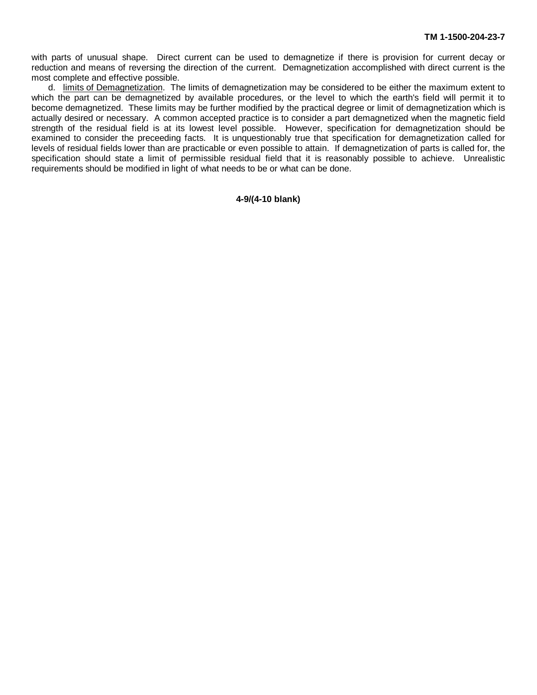with parts of unusual shape. Direct current can be used to demagnetize if there is provision for current decay or reduction and means of reversing the direction of the current. Demagnetization accomplished with direct current is the most complete and effective possible.

d. limits of Demagnetization. The limits of demagnetization may be considered to be either the maximum extent to which the part can be demagnetized by available procedures, or the level to which the earth's field will permit it to become demagnetized. These limits may be further modified by the practical degree or limit of demagnetization which is actually desired or necessary. A common accepted practice is to consider a part demagnetized when the magnetic field strength of the residual field is at its lowest level possible. However, specification for demagnetization should be examined to consider the preceeding facts. It is unquestionably true that specification for demagnetization called for levels of residual fields lower than are practicable or even possible to attain. If demagnetization of parts is called for, the specification should state a limit of permissible residual field that it is reasonably possible to achieve. Unrealistic requirements should be modified in light of what needs to be or what can be done.

#### **4-9/(4-10 blank)**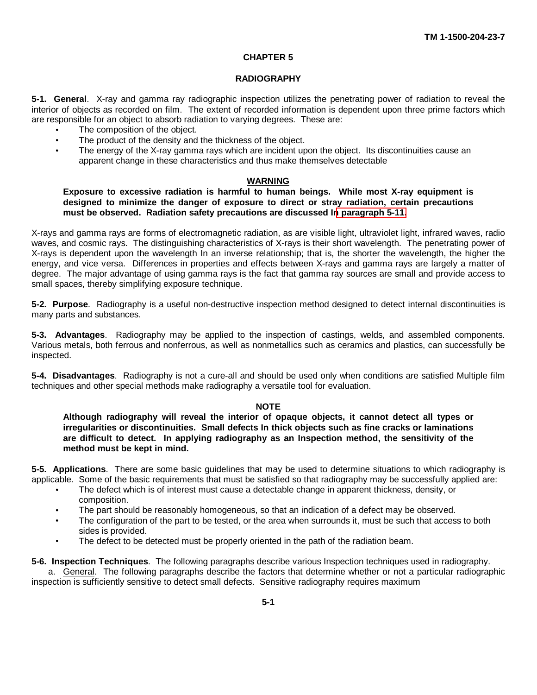#### **CHAPTER 5**

#### **RADIOGRAPHY**

<span id="page-37-0"></span>**5-1. General**. X-ray and gamma ray radiographic inspection utilizes the penetrating power of radiation to reveal the interior of objects as recorded on film. The extent of recorded information is dependent upon three prime factors which are responsible for an object to absorb radiation to varying degrees. These are:

- The composition of the object.
- $\bullet$ The product of the density and the thickness of the object.
- The energy of the X-ray gamma rays which are incident upon the object. Its discontinuities cause an apparent change in these characteristics and thus make themselves detectable

#### **WARNING**

**Exposure to excessive radiation is harmful to human beings. While most X-ray equipment is designed to minimize the danger of exposure to direct or stray radiation, certain precautions must be observed. Radiation safety precautions are discussed I[n paragraph 5-11.](#page-42-0)**

X-rays and gamma rays are forms of electromagnetic radiation, as are visible light, ultraviolet light, infrared waves, radio waves, and cosmic rays. The distinguishing characteristics of X-rays is their short wavelength. The penetrating power of X-rays is dependent upon the wavelength In an inverse relationship; that is, the shorter the wavelength, the higher the energy, and vice versa. Differences in properties and effects between X-rays and gamma rays are largely a matter of degree. The major advantage of using gamma rays is the fact that gamma ray sources are small and provide access to small spaces, thereby simplifying exposure technique.

**5-2. Purpose**. Radiography is a useful non-destructive inspection method designed to detect internal discontinuities is many parts and substances.

**5-3. Advantages**. Radiography may be applied to the inspection of castings, welds, and assembled components. Various metals, both ferrous and nonferrous, as well as nonmetallics such as ceramics and plastics, can successfully be inspected.

**5-4. Disadvantages**. Radiography is not a cure-all and should be used only when conditions are satisfied Multiple film techniques and other special methods make radiography a versatile tool for evaluation.

#### **NOTE**

**Although radiography will reveal the interior of opaque objects, it cannot detect all types or irregularities or discontinuities. Small defects In thick objects such as fine cracks or laminations are difficult to detect. In applying radiography as an Inspection method, the sensitivity of the method must be kept in mind.**

**5-5. Applications**. There are some basic guidelines that may be used to determine situations to which radiography is applicable. Some of the basic requirements that must be satisfied so that radiography may be successfully applied are:

- The defect which is of interest must cause a detectable change in apparent thickness, density, or composition.
- The part should be reasonably homogeneous, so that an indication of a defect may be observed.
- The configuration of the part to be tested, or the area when surrounds it, must be such that access to both  $\bullet$ sides is provided.
- The defect to be detected must be properly oriented in the path of the radiation beam.

**5-6. Inspection Techniques**. The following paragraphs describe various Inspection techniques used in radiography. a. General. The following paragraphs describe the factors that determine whether or not a particular radiographic inspection is sufficiently sensitive to detect small defects. Sensitive radiography requires maximum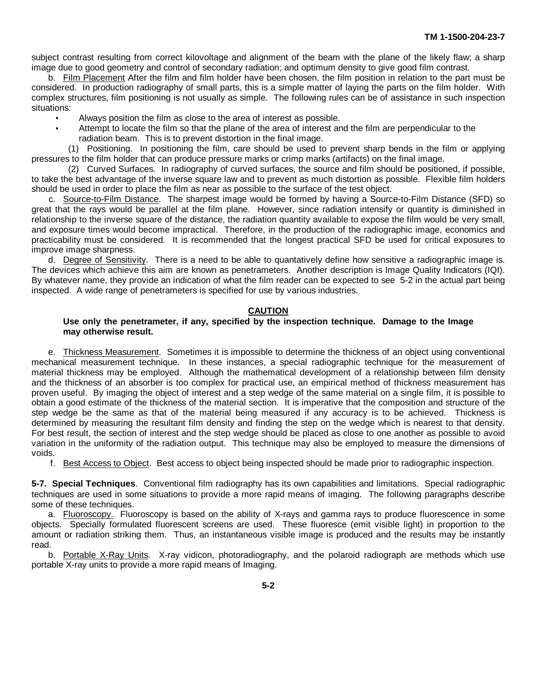subject contrast resulting from correct kilovoltage and alignment of the beam with the plane of the likely flaw; a sharp image due to good geometry and control of secondary radiation; and optimum density to give good film contrast.

b. Film Placement After the film and film holder have been chosen, the film position in relation to the part must be considered. In production radiography of small parts, this is a simple matter of laying the parts on the film holder. With complex structures, film positioning is not usually as simple. The following rules can be of assistance in such inspection situations:

- Always position the film as close to the area of interest as possible.
	- Attempt to locate the film so that the plane of the area of interest and the film are perpendicular to the radiation beam. This is to prevent distortion in the final image.

(1) Positioning. In positioning the film, care should be used to prevent sharp bends in the film or applying pressures to the film holder that can produce pressure marks or crimp marks (artifacts) on the final image.

(2) Curved Surfaces. In radiography of curved surfaces, the source and film should be positioned, if possible, to take the best advantage of the inverse square law and to prevent as much distortion as possible. Flexible film holders should be used in order to place the film as near as possible to the surface of the test object.

c. Source-to-Film Distance. The sharpest image would be formed by having a Source-to-Film Distance (SFD) so great that the rays would be parallel at the film plane. However, since radiation intensify or quantity is diminished in relationship to the inverse square of the distance, the radiation quantity available to expose the film would be very small, and exposure times would become impractical. Therefore, in the production of the radiographic image, economics and practicability must be considered. It is recommended that the longest practical SFD be used for critical exposures to improve image sharpness.

d. Degree of Sensitivity. There is a need to be able to quantatively define how sensitive a radiographic image is. The devices which achieve this aim are known as penetrameters. Another description is Image Quality Indicators (IQI). By whatever name, they provide an indication of what the film reader can be expected to see 5-2 in the actual part being inspected. A wide range of penetrameters is specified for use by various industries.

#### **CAUTION**

#### **Use only the penetrameter, if any, specified by the inspection technique. Damage to the Image may otherwise result.**

e. Thickness Measurement. Sometimes it is impossible to determine the thickness of an object using conventional mechanical measurement technique. In these instances, a special radiographic technique for the measurement of material thickness may be employed. Although the mathematical development of a relationship between film density and the thickness of an absorber is too complex for practical use, an empirical method of thickness measurement has proven useful. By imaging the object of interest and a step wedge of the same material on a single film, it is possible to obtain a good estimate of the thickness of the material section. It is imperative that the composition and structure of the step wedge be the same as that of the material being measured if any accuracy is to be achieved. Thickness is determined by measuring the resultant film density and finding the step on the wedge which is nearest to that density. For best result, the section of interest and the step wedge should be placed as close to one another as possible to avoid variation in the uniformity of the radiation output. This technique may also be employed to measure the dimensions of voids.

f. Best Access to Object. Best access to object being inspected should be made prior to radiographic inspection.

**5-7. Special Techniques**. Conventional film radiography has its own capabilities and limitations. Special radiographic techniques are used in some situations to provide a more rapid means of imaging. The following paragraphs describe some of these techniques.

a. Fluoroscopy. Fluoroscopy is based on the ability of X-rays and gamma rays to produce fluorescence in some objects. Specially formulated fluorescent screens are used. These fluoresce (emit visible light) in proportion to the amount or radiation striking them. Thus, an instantaneous visible image is produced and the results may be instantly read.

b. Portable X-Ray Units. X-ray vidicon, photoradiography, and the polaroid radiograph are methods which use portable X-ray units to provide a more rapid means of Imaging.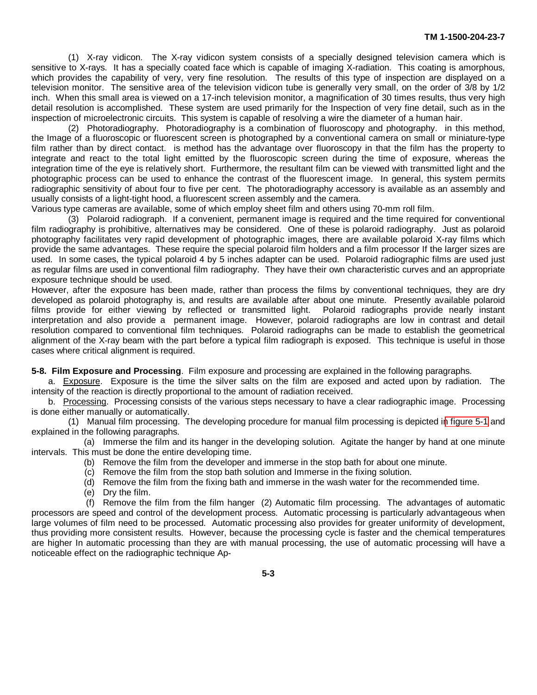(1) X-ray vidicon. The X-ray vidicon system consists of a specially designed television camera which is sensitive to X-rays. It has a specially coated face which is capable of imaging X-radiation. This coating is amorphous, which provides the capability of very, very fine resolution. The results of this type of inspection are displayed on a television monitor. The sensitive area of the television vidicon tube is generally very small, on the order of 3/8 by 1/2 inch. When this small area is viewed on a 17-inch television monitor, a magnification of 30 times results, thus very high detail resolution is accomplished. These system are used primarily for the Inspection of very fine detail, such as in the inspection of microelectronic circuits. This system is capable of resolving a wire the diameter of a human hair.

(2) Photoradiography. Photoradiography is a combination of fluoroscopy and photography. in this method, the Image of a fluoroscopic or fluorescent screen is photographed by a conventional camera on small or miniature-type film rather than by direct contact. is method has the advantage over fluoroscopy in that the film has the property to integrate and react to the total light emitted by the fluoroscopic screen during the time of exposure, whereas the integration time of the eye is relatively short. Furthermore, the resultant film can be viewed with transmitted light and the photographic process can be used to enhance the contrast of the fluorescent image. In general, this system permits radiographic sensitivity of about four to five per cent. The photoradiography accessory is available as an assembly and usually consists of a light-tight hood, a fluorescent screen assembly and the camera.

Various type cameras are available, some of which employ sheet film and others using 70-mm roll film.

(3) Polaroid radiograph. If a convenient, permanent image is required and the time required for conventional film radiography is prohibitive, alternatives may be considered. One of these is polaroid radiography. Just as polaroid photography facilitates very rapid development of photographic images, there are available polaroid X-ray films which provide the same advantages. These require the special polaroid film holders and a film processor If the larger sizes are used. In some cases, the typical polaroid 4 by 5 inches adapter can be used. Polaroid radiographic films are used just as regular films are used in conventional film radiography. They have their own characteristic curves and an appropriate exposure technique should be used.

However, after the exposure has been made, rather than process the films by conventional techniques, they are dry developed as polaroid photography is, and results are available after about one minute. Presently available polaroid films provide for either viewing by reflected or transmitted light. Polaroid radiographs provide nearly instant interpretation and also provide a permanent image. However, polaroid radiographs are low in contrast and detail resolution compared to conventional film techniques. Polaroid radiographs can be made to establish the geometrical alignment of the X-ray beam with the part before a typical film radiograph is exposed. This technique is useful in those cases where critical alignment is required.

**5-8. Film Exposure and Processing**. Film exposure and processing are explained in the following paragraphs.

a. Exposure. Exposure is the time the silver salts on the film are exposed and acted upon by radiation. The intensity of the reaction is directly proportional to the amount of radiation received.

b. Processing. Processing consists of the various steps necessary to have a clear radiographic image. Processing is done either manually or automatically.

(1) Manual film processing. The developing procedure for manual film processing is depicted i[n figure 5-1](#page-40-0) and explained in the following paragraphs.

(a) Immerse the film and its hanger in the developing solution. Agitate the hanger by hand at one minute intervals. This must be done the entire developing time.

- (b) Remove the film from the developer and immerse in the stop bath for about one minute.
- (c) Remove the film from the stop bath solution and Immerse in the fixing solution.
- (d) Remove the film from the fixing bath and immerse in the wash water for the recommended time.
- (e) Dry the film.

(f) Remove the film from the film hanger (2) Automatic film processing. The advantages of automatic processors are speed and control of the development process. Automatic processing is particularly advantageous when large volumes of film need to be processed. Automatic processing also provides for greater uniformity of development, thus providing more consistent results. However, because the processing cycle is faster and the chemical temperatures are higher In automatic processing than they are with manual processing, the use of automatic processing will have a noticeable effect on the radiographic technique Ap-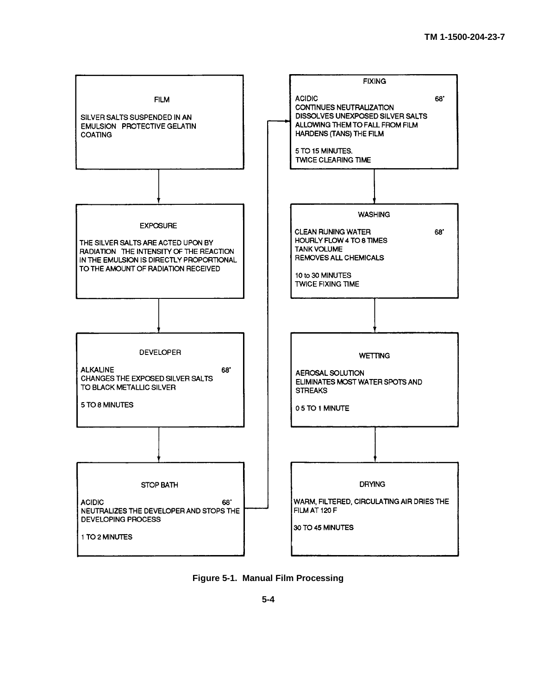<span id="page-40-0"></span>

**Figure 5-1. Manual Film Processing**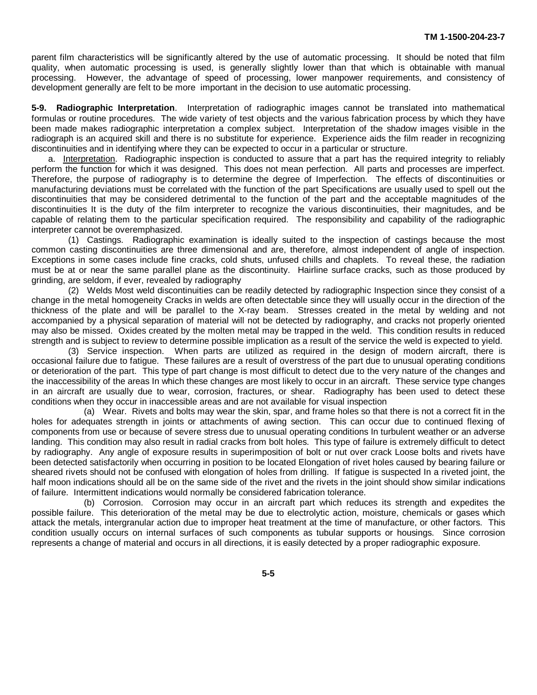parent film characteristics will be significantly altered by the use of automatic processing. It should be noted that film quality, when automatic processing is used, is generally slightly lower than that which is obtainable with manual processing. However, the advantage of speed of processing, lower manpower requirements, and consistency of development generally are felt to be more important in the decision to use automatic processing.

**5-9. Radiographic Interpretation**. Interpretation of radiographic images cannot be translated into mathematical formulas or routine procedures. The wide variety of test objects and the various fabrication process by which they have been made makes radiographic interpretation a complex subject. Interpretation of the shadow images visible in the radiograph is an acquired skill and there is no substitute for experience. Experience aids the film reader in recognizing discontinuities and in identifying where they can be expected to occur in a particular or structure.

a. Interpretation. Radiographic inspection is conducted to assure that a part has the required integrity to reliably perform the function for which it was designed. This does not mean perfection. All parts and processes are imperfect. Therefore, the purpose of radiography is to determine the degree of Imperfection. The effects of discontinuities or manufacturing deviations must be correlated with the function of the part Specifications are usually used to spell out the discontinuities that may be considered detrimental to the function of the part and the acceptable magnitudes of the discontinuities It is the duty of the film interpreter to recognize the various discontinuities, their magnitudes, and be capable of relating them to the particular specification required. The responsibility and capability of the radiographic interpreter cannot be overemphasized.

(1) Castings. Radiographic examination is ideally suited to the inspection of castings because the most common casting discontinuities are three dimensional and are, therefore, almost independent of angle of inspection. Exceptions in some cases include fine cracks, cold shuts, unfused chills and chaplets. To reveal these, the radiation must be at or near the same parallel plane as the discontinuity. Hairline surface cracks, such as those produced by grinding, are seldom, if ever, revealed by radiography

(2) Welds Most weld discontinuities can be readily detected by radiographic Inspection since they consist of a change in the metal homogeneity Cracks in welds are often detectable since they will usually occur in the direction of the thickness of the plate and will be parallel to the X-ray beam. Stresses created in the metal by welding and not accompanied by a physical separation of material will not be detected by radiography, and cracks not properly oriented may also be missed. Oxides created by the molten metal may be trapped in the weld. This condition results in reduced strength and is subject to review to determine possible implication as a result of the service the weld is expected to yield.

(3) Service inspection. When parts are utilized as required in the design of modern aircraft, there is occasional failure due to fatigue. These failures are a result of overstress of the part due to unusual operating conditions or deterioration of the part. This type of part change is most difficult to detect due to the very nature of the changes and the inaccessibility of the areas In which these changes are most likely to occur in an aircraft. These service type changes in an aircraft are usually due to wear, corrosion, fractures, or shear. Radiography has been used to detect these conditions when they occur in inaccessible areas and are not available for visual inspection

(a) Wear. Rivets and bolts may wear the skin, spar, and frame holes so that there is not a correct fit in the holes for adequates strength in joints or attachments of awing section. This can occur due to continued flexing of components from use or because of severe stress due to unusual operating conditions In turbulent weather or an adverse landing. This condition may also result in radial cracks from bolt holes. This type of failure is extremely difficult to detect by radiography. Any angle of exposure results in superimposition of bolt or nut over crack Loose bolts and rivets have been detected satisfactorily when occurring in position to be located Elongation of rivet holes caused by bearing failure or sheared rivets should not be confused with elongation of holes from drilling. If fatigue is suspected In a riveted joint, the half moon indications should all be on the same side of the rivet and the rivets in the joint should show similar indications of failure. Intermittent indications would normally be considered fabrication tolerance.

(b) Corrosion. Corrosion may occur in an aircraft part which reduces its strength and expedites the possible failure. This deterioration of the metal may be due to electrolytic action, moisture, chemicals or gases which attack the metals, intergranular action due to improper heat treatment at the time of manufacture, or other factors. This condition usually occurs on internal surfaces of such components as tubular supports or housings. Since corrosion represents a change of material and occurs in all directions, it is easily detected by a proper radiographic exposure.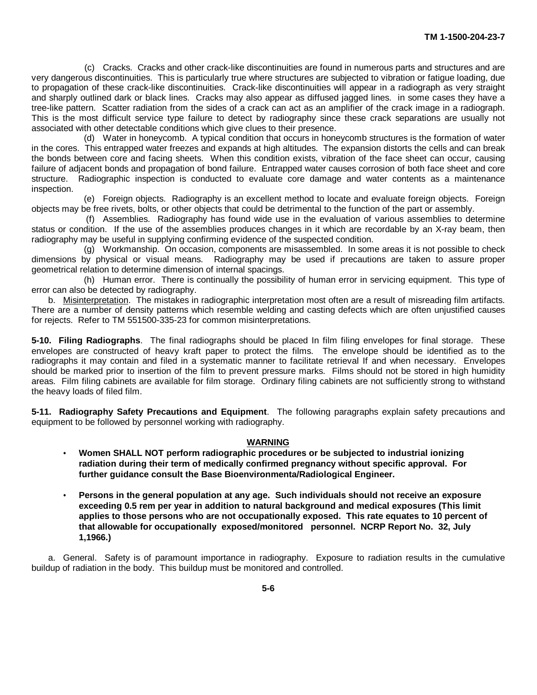<span id="page-42-0"></span>(c) Cracks. Cracks and other crack-like discontinuities are found in numerous parts and structures and are very dangerous discontinuities. This is particularly true where structures are subjected to vibration or fatigue loading, due to propagation of these crack-like discontinuities. Crack-like discontinuities will appear in a radiograph as very straight and sharply outlined dark or black lines. Cracks may also appear as diffused jagged lines. in some cases they have a tree-like pattern. Scatter radiation from the sides of a crack can act as an amplifier of the crack image in a radiograph. This is the most difficult service type failure to detect by radiography since these crack separations are usually not associated with other detectable conditions which give clues to their presence.

(d) Water in honeycomb. A typical condition that occurs in honeycomb structures is the formation of water in the cores. This entrapped water freezes and expands at high altitudes. The expansion distorts the cells and can break the bonds between core and facing sheets. When this condition exists, vibration of the face sheet can occur, causing failure of adjacent bonds and propagation of bond failure. Entrapped water causes corrosion of both face sheet and core structure. Radiographic inspection is conducted to evaluate core damage and water contents as a maintenance inspection.

(e) Foreign objects. Radiography is an excellent method to locate and evaluate foreign objects. Foreign objects may be free rivets, bolts, or other objects that could be detrimental to the function of the part or assembly.

(f) Assemblies. Radiography has found wide use in the evaluation of various assemblies to determine status or condition. If the use of the assemblies produces changes in it which are recordable by an X-ray beam, then radiography may be useful in supplying confirming evidence of the suspected condition.

(g) Workmanship. On occasion, components are misassembled. In some areas it is not possible to check dimensions by physical or visual means. Radiography may be used if precautions are taken to assure proper geometrical relation to determine dimension of internal spacings.

(h) Human error. There is continually the possibility of human error in servicing equipment. This type of error can also be detected by radiography.

b. Misinterpretation. The mistakes in radiographic interpretation most often are a result of misreading film artifacts. There are a number of density patterns which resemble welding and casting defects which are often unjustified causes for rejects. Refer to TM 551500-335-23 for common misinterpretations.

**5-10. Filing Radiographs**. The final radiographs should be placed In film filing envelopes for final storage. These envelopes are constructed of heavy kraft paper to protect the films. The envelope should be identified as to the radiographs it may contain and filed in a systematic manner to facilitate retrieval If and when necessary. Envelopes should be marked prior to insertion of the film to prevent pressure marks. Films should not be stored in high humidity areas. Film filing cabinets are available for film storage. Ordinary filing cabinets are not sufficiently strong to withstand the heavy loads of filed film.

**5-11. Radiography Safety Precautions and Equipment**. The following paragraphs explain safety precautions and equipment to be followed by personnel working with radiography.

#### **WARNING**

- **Women SHALL NOT perform radiographic procedures or be subjected to industrial ionizing radiation during their term of medically confirmed pregnancy without specific approval. For further guidance consult the Base Bioenvironmenta/Radiological Engineer.**
- **Persons in the general population at any age. Such individuals should not receive an exposure exceeding 0.5 rem per year in addition to natural background and medical exposures (This limit applies to those persons who are not occupationally exposed. This rate equates to 10 percent of that allowable for occupationally exposed/monitored personnel. NCRP Report No. 32, July 1,1966.)**

a. General. Safety is of paramount importance in radiography. Exposure to radiation results in the cumulative buildup of radiation in the body. This buildup must be monitored and controlled.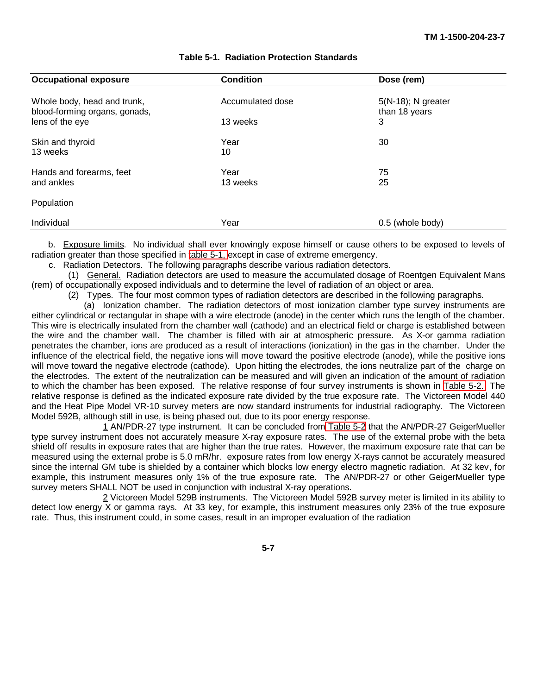<span id="page-43-0"></span>

| <b>Occupational exposure</b>                                 | <b>Condition</b> | Dose (rem)                             |  |
|--------------------------------------------------------------|------------------|----------------------------------------|--|
| Whole body, head and trunk,<br>blood-forming organs, gonads, | Accumulated dose | $5(N-18)$ ; N greater<br>than 18 years |  |
| lens of the eye                                              | 13 weeks         | 3                                      |  |
| Skin and thyroid<br>13 weeks                                 | Year<br>10       | 30                                     |  |
| Hands and forearms, feet<br>and ankles                       | Year<br>13 weeks | 75<br>25                               |  |
| Population                                                   |                  |                                        |  |
| Individual                                                   | Year             | $0.5$ (whole body)                     |  |

#### **Table 5-1. Radiation Protection Standards**

b. Exposure limits. No individual shall ever knowingly expose himself or cause others to be exposed to levels of radiation greater than those specified in [table 5-1, e](#page-43-0)xcept in case of extreme emergency.

c. Radiation Detectors. The following paragraphs describe various radiation detectors.

(1) General. Radiation detectors are used to measure the accumulated dosage of Roentgen Equivalent Mans (rem) of occupationally exposed individuals and to determine the level of radiation of an object or area.

(2) Types. The four most common types of radiation detectors are described in the following paragraphs.

(a) Ionization chamber. The radiation detectors of most ionization clamber type survey instruments are either cylindrical or rectangular in shape with a wire electrode (anode) in the center which runs the length of the chamber. This wire is electrically insulated from the chamber wall (cathode) and an electrical field or charge is established between the wire and the chamber wall. The chamber is filled with air at atmospheric pressure. As X-or gamma radiation penetrates the chamber, ions are produced as a result of interactions (ionization) in the gas in the chamber. Under the influence of the electrical field, the negative ions will move toward the positive electrode (anode), while the positive ions will move toward the negative electrode (cathode). Upon hitting the electrodes, the ions neutralize part of the charge on the electrodes. The extent of the neutralization can be measured and will given an indication of the amount of radiation to which the chamber has been exposed. The relative response of four survey instruments is shown in [Table 5-2.](#page-44-0) The relative response is defined as the indicated exposure rate divided by the true exposure rate. The Victoreen Model 440 and the Heat Pipe Model VR-10 survey meters are now standard instruments for industrial radiography. The Victoreen Model 592B, although still in use, is being phased out, due to its poor energy response.

1 AN/PDR-27 type instrument. It can be concluded fro[m Table 5-2](#page-44-0) that the AN/PDR-27 GeigerMueller type survey instrument does not accurately measure X-ray exposure rates. The use of the external probe with the beta shield off results in exposure rates that are higher than the true rates. However, the maximum exposure rate that can be measured using the external probe is 5.0 mR/hr. exposure rates from low energy X-rays cannot be accurately measured since the internal GM tube is shielded by a container which blocks low energy electro magnetic radiation. At 32 kev, for example, this instrument measures only 1% of the true exposure rate. The AN/PDR-27 or other GeigerMueller type survey meters SHALL NOT be used in conjunction with industral X-ray operations.

2 Victoreen Model 529B instruments. The Victoreen Model 592B survey meter is limited in its ability to detect low energy X or gamma rays. At 33 key, for example, this instrument measures only 23% of the true exposure rate. Thus, this instrument could, in some cases, result in an improper evaluation of the radiation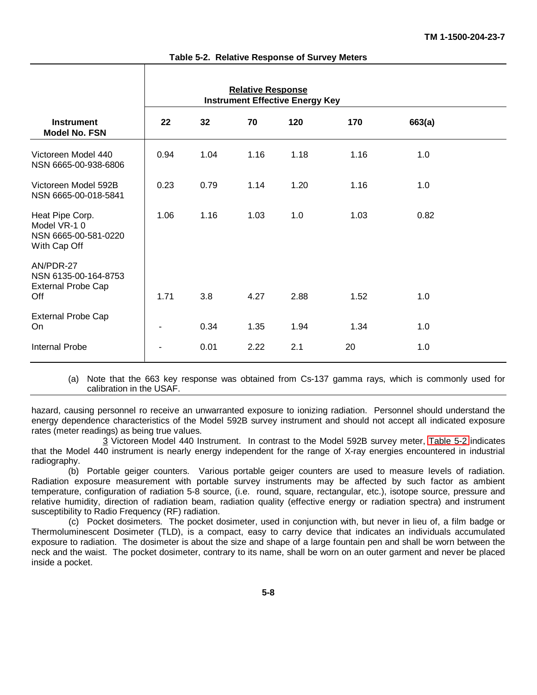<span id="page-44-0"></span>

|                                                                        | <b>Relative Response</b><br><b>Instrument Effective Energy Key</b> |      |      |      |      |        |  |
|------------------------------------------------------------------------|--------------------------------------------------------------------|------|------|------|------|--------|--|
| <b>Instrument</b><br>Model No. FSN                                     | 22                                                                 | 32   | 70   | 120  | 170  | 663(a) |  |
| Victoreen Model 440<br>NSN 6665-00-938-6806                            | 0.94                                                               | 1.04 | 1.16 | 1.18 | 1.16 | 1.0    |  |
| Victoreen Model 592B<br>NSN 6665-00-018-5841                           | 0.23                                                               | 0.79 | 1.14 | 1.20 | 1.16 | 1.0    |  |
| Heat Pipe Corp.<br>Model VR-10<br>NSN 6665-00-581-0220<br>With Cap Off | 1.06                                                               | 1.16 | 1.03 | 1.0  | 1.03 | 0.82   |  |
| AN/PDR-27<br>NSN 6135-00-164-8753<br><b>External Probe Cap</b><br>Off  | 1.71                                                               | 3.8  | 4.27 | 2.88 | 1.52 | 1.0    |  |
| <b>External Probe Cap</b><br>On                                        | $\blacksquare$                                                     | 0.34 | 1.35 | 1.94 | 1.34 | 1.0    |  |
| <b>Internal Probe</b>                                                  |                                                                    | 0.01 | 2.22 | 2.1  | 20   | 1.0    |  |

**Table 5-2. Relative Response of Survey Meters**

(a) Note that the 663 key response was obtained from Cs-137 gamma rays, which is commonly used for calibration in the USAF.

hazard, causing personnel ro receive an unwarranted exposure to ionizing radiation. Personnel should understand the energy dependence characteristics of the Model 592B survey instrument and should not accept all indicated exposure rates (meter readings) as being true values.

3 Victoreen Model 440 Instrument. In contrast to the Model 592B survey meter, [Table 5-2](#page-44-0) indicates that the Model 440 instrument is nearly energy independent for the range of X-ray energies encountered in industrial radiography.

(b) Portable geiger counters. Various portable geiger counters are used to measure levels of radiation. Radiation exposure measurement with portable survey instruments may be affected by such factor as ambient temperature, configuration of radiation 5-8 source, (i.e. round, square, rectangular, etc.), isotope source, pressure and relative humidity, direction of radiation beam, radiation quality (effective energy or radiation spectra) and instrument susceptibility to Radio Frequency (RF) radiation.

(c) Pocket dosimeters. The pocket dosimeter, used in conjunction with, but never in lieu of, a film badge or Thermoluminescent Dosimeter (TLD), is a compact, easy to carry device that indicates an individuals accumulated exposure to radiation. The dosimeter is about the size and shape of a large fountain pen and shall be worn between the neck and the waist. The pocket dosimeter, contrary to its name, shall be worn on an outer garment and never be placed inside a pocket.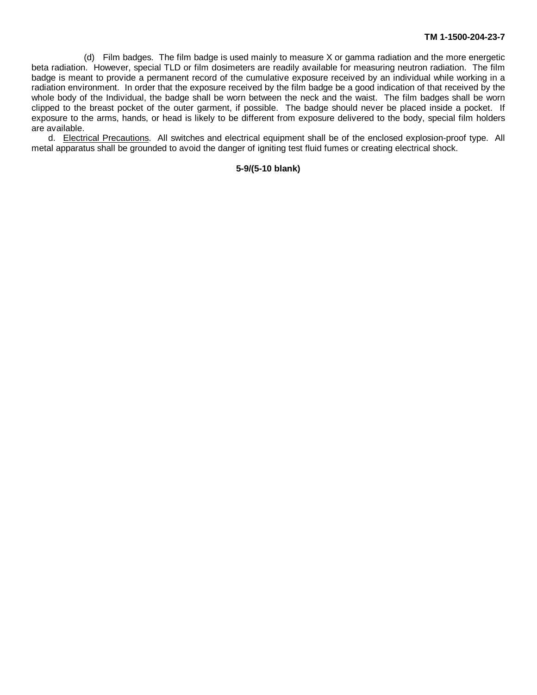(d) Film badges. The film badge is used mainly to measure X or gamma radiation and the more energetic beta radiation. However, special TLD or film dosimeters are readily available for measuring neutron radiation. The film badge is meant to provide a permanent record of the cumulative exposure received by an individual while working in a radiation environment. In order that the exposure received by the film badge be a good indication of that received by the whole body of the Individual, the badge shall be worn between the neck and the waist. The film badges shall be worn clipped to the breast pocket of the outer garment, if possible. The badge should never be placed inside a pocket. If exposure to the arms, hands, or head is likely to be different from exposure delivered to the body, special film holders are available.

d. Electrical Precautions. All switches and electrical equipment shall be of the enclosed explosion-proof type. All metal apparatus shall be grounded to avoid the danger of igniting test fluid fumes or creating electrical shock.

#### **5-9/(5-10 blank)**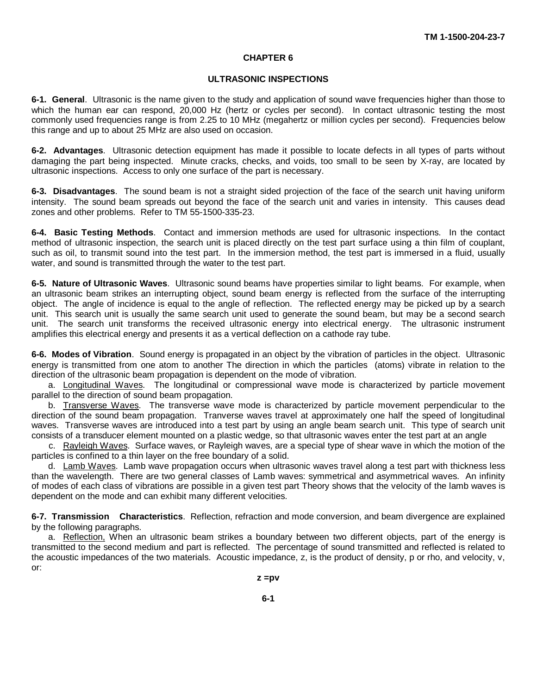#### **CHAPTER 6**

#### **ULTRASONIC INSPECTIONS**

<span id="page-46-0"></span>**6-1. General**. Ultrasonic is the name given to the study and application of sound wave frequencies higher than those to which the human ear can respond, 20,000 Hz (hertz or cycles per second). In contact ultrasonic testing the most commonly used frequencies range is from 2.25 to 10 MHz (megahertz or million cycles per second). Frequencies below this range and up to about 25 MHz are also used on occasion.

**6-2. Advantages**. Ultrasonic detection equipment has made it possible to locate defects in all types of parts without damaging the part being inspected. Minute cracks, checks, and voids, too small to be seen by X-ray, are located by ultrasonic inspections. Access to only one surface of the part is necessary.

**6-3. Disadvantages**. The sound beam is not a straight sided projection of the face of the search unit having uniform intensity. The sound beam spreads out beyond the face of the search unit and varies in intensity. This causes dead zones and other problems. Refer to TM 55-1500-335-23.

**6-4. Basic Testing Methods**. Contact and immersion methods are used for ultrasonic inspections. In the contact method of ultrasonic inspection, the search unit is placed directly on the test part surface using a thin film of couplant, such as oil, to transmit sound into the test part. In the immersion method, the test part is immersed in a fluid, usually water, and sound is transmitted through the water to the test part.

**6-5. Nature of Ultrasonic Waves**. Ultrasonic sound beams have properties similar to light beams. For example, when an ultrasonic beam strikes an interrupting object, sound beam energy is reflected from the surface of the interrupting object. The angle of incidence is equal to the angle of reflection. The reflected energy may be picked up by a search unit. This search unit is usually the same search unit used to generate the sound beam, but may be a second search unit. The search unit transforms the received ultrasonic energy into electrical energy. The ultrasonic instrument amplifies this electrical energy and presents it as a vertical deflection on a cathode ray tube.

**6-6. Modes of Vibration**. Sound energy is propagated in an object by the vibration of particles in the object. Ultrasonic energy is transmitted from one atom to another The direction in which the particles (atoms) vibrate in relation to the direction of the ultrasonic beam propagation is dependent on the mode of vibration.

a. Longitudinal Waves. The longitudinal or compressional wave mode is characterized by particle movement parallel to the direction of sound beam propagation.

b. Transverse Waves. The transverse wave mode is characterized by particle movement perpendicular to the direction of the sound beam propagation. Tranverse waves travel at approximately one half the speed of longitudinal waves. Transverse waves are introduced into a test part by using an angle beam search unit. This type of search unit consists of a transducer element mounted on a plastic wedge, so that ultrasonic waves enter the test part at an angle

c. Rayleigh Waves. Surface waves, or Rayleigh waves, are a special type of shear wave in which the motion of the particles is confined to a thin layer on the free boundary of a solid.

d. Lamb Waves. Lamb wave propagation occurs when ultrasonic waves travel along a test part with thickness less than the wavelength. There are two general classes of Lamb waves: symmetrical and asymmetrical waves. An infinity of modes of each class of vibrations are possible in a given test part Theory shows that the velocity of the lamb waves is dependent on the mode and can exhibit many different velocities.

**6-7. Transmission Characteristics**. Reflection, refraction and mode conversion, and beam divergence are explained by the following paragraphs.

a. Reflection, When an ultrasonic beam strikes a boundary between two different objects, part of the energy is transmitted to the second medium and part is reflected. The percentage of sound transmitted and reflected is related to the acoustic impedances of the two materials. Acoustic impedance, z, is the product of density, p or rho, and velocity, v, or: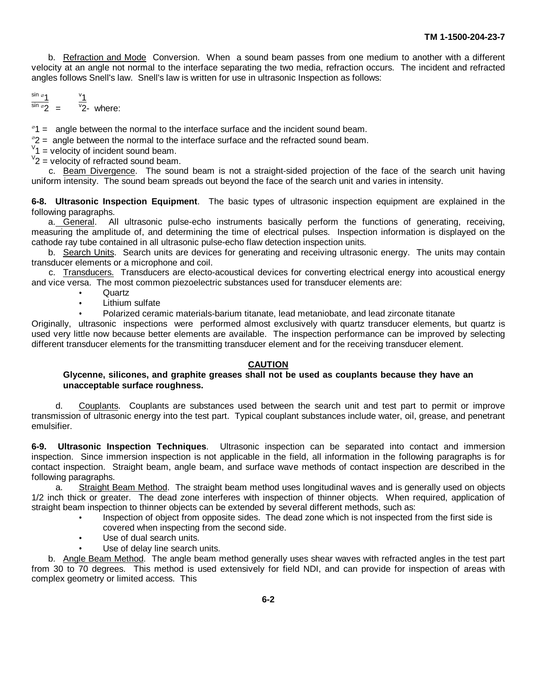b. Refraction and Mode Conversion. When a sound beam passes from one medium to another with a different velocity at an angle not normal to the interface separating the two media, refraction occurs. The incident and refracted angles follows Snell's law. Snell's law is written for use in ultrasonic Inspection as follows:

$$
\frac{\sin \varphi_1}{\sin \varphi_2} = \frac{\frac{v_1}{2}}{v_2}
$$
 where:

 $\textdegree$ 1 = angle between the normal to the interface surface and the incident sound beam.

 $\degree$ 2 = angle between the normal to the interface surface and the refracted sound beam.

 $V_1$  = velocity of incident sound beam.

 $V$ <sub>2</sub> = velocity of refracted sound beam.

c. Beam Divergence. The sound beam is not a straight-sided projection of the face of the search unit having uniform intensity. The sound beam spreads out beyond the face of the search unit and varies in intensity.

**6-8. Ultrasonic Inspection Equipment**. The basic types of ultrasonic inspection equipment are explained in the following paragraphs.

a. General. All ultrasonic pulse-echo instruments basically perform the functions of generating, receiving, measuring the amplitude of, and determining the time of electrical pulses. Inspection information is displayed on the cathode ray tube contained in all ultrasonic pulse-echo flaw detection inspection units.

b. Search Units. Search units are devices for generating and receiving ultrasonic energy. The units may contain transducer elements or a microphone and coil.

c. Transducers. Transducers are electo-acoustical devices for converting electrical energy into acoustical energy and vice versa. The most common piezoelectric substances used for transducer elements are:

- **Quartz**
- $\bullet$ Lithium sulfate

Polarized ceramic materials-barium titanate, lead metaniobate, and lead zirconate titanate

Originally, ultrasonic inspections were performed almost exclusively with quartz transducer elements, but quartz is used very little now because better elements are available. The inspection performance can be improved by selecting different transducer elements for the transmitting transducer element and for the receiving transducer element.

#### **CAUTION**

#### **Glycenne, silicones, and graphite greases shall not be used as couplants because they have an unacceptable surface roughness.**

d. Couplants. Couplants are substances used between the search unit and test part to permit or improve transmission of ultrasonic energy into the test part. Typical couplant substances include water, oil, grease, and penetrant emulsifier.

**6-9. Ultrasonic Inspection Techniques**. Ultrasonic inspection can be separated into contact and immersion inspection. Since immersion inspection is not applicable in the field, all information in the following paragraphs is for contact inspection. Straight beam, angle beam, and surface wave methods of contact inspection are described in the following paragraphs.

a. Straight Beam Method. The straight beam method uses longitudinal waves and is generally used on objects 1/2 inch thick or greater. The dead zone interferes with inspection of thinner objects. When required, application of straight beam inspection to thinner objects can be extended by several different methods, such as:

- Inspection of object from opposite sides. The dead zone which is not inspected from the first side is covered when inspecting from the second side.
- Use of dual search units.
- Use of delay line search units.

b. Angle Beam Method. The angle beam method generally uses shear waves with refracted angles in the test part from 30 to 70 degrees. This method is used extensively for field NDI, and can provide for inspection of areas with complex geometry or limited access. This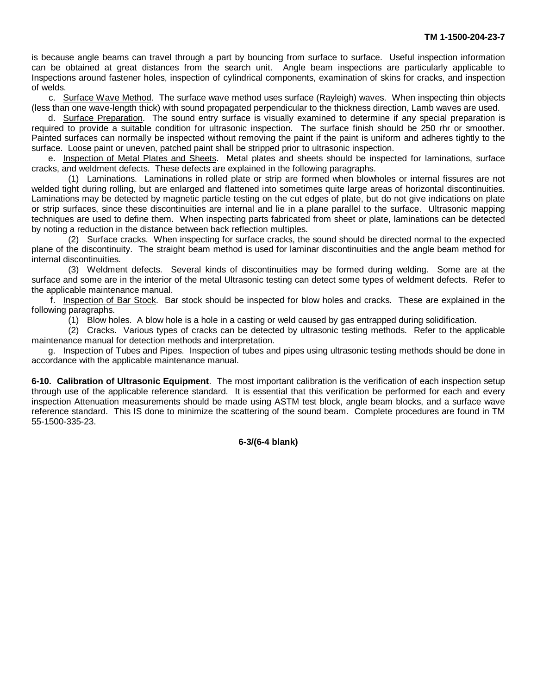is because angle beams can travel through a part by bouncing from surface to surface. Useful inspection information can be obtained at great distances from the search unit. Angle beam inspections are particularly applicable to Inspections around fastener holes, inspection of cylindrical components, examination of skins for cracks, and inspection of welds.

c. Surface Wave Method. The surface wave method uses surface (Rayleigh) waves. When inspecting thin objects (less than one wave-length thick) with sound propagated perpendicular to the thickness direction, Lamb waves are used.

d. Surface Preparation. The sound entry surface is visually examined to determine if any special preparation is required to provide a suitable condition for ultrasonic inspection. The surface finish should be 250 rhr or smoother. Painted surfaces can normally be inspected without removing the paint if the paint is uniform and adheres tightly to the surface. Loose paint or uneven, patched paint shall be stripped prior to ultrasonic inspection.

e. Inspection of Metal Plates and Sheets. Metal plates and sheets should be inspected for laminations, surface cracks, and weldment defects. These defects are explained in the following paragraphs.

(1) Laminations. Laminations in rolled plate or strip are formed when blowholes or internal fissures are not welded tight during rolling, but are enlarged and flattened into sometimes quite large areas of horizontal discontinuities. Laminations may be detected by magnetic particle testing on the cut edges of plate, but do not give indications on plate or strip surfaces, since these discontinuities are internal and lie in a plane parallel to the surface. Ultrasonic mapping techniques are used to define them. When inspecting parts fabricated from sheet or plate, laminations can be detected by noting a reduction in the distance between back reflection multiples.

(2) Surface cracks. When inspecting for surface cracks, the sound should be directed normal to the expected plane of the discontinuity. The straight beam method is used for laminar discontinuities and the angle beam method for internal discontinuities.

(3) Weldment defects. Several kinds of discontinuities may be formed during welding. Some are at the surface and some are in the interior of the metal Ultrasonic testing can detect some types of weldment defects. Refer to the applicable maintenance manual.

f. Inspection of Bar Stock. Bar stock should be inspected for blow holes and cracks. These are explained in the following paragraphs.

(1) Blow holes. A blow hole is a hole in a casting or weld caused by gas entrapped during solidification.

(2) Cracks. Various types of cracks can be detected by ultrasonic testing methods. Refer to the applicable maintenance manual for detection methods and interpretation.

g. Inspection of Tubes and Pipes. Inspection of tubes and pipes using ultrasonic testing methods should be done in accordance with the applicable maintenance manual.

**6-10. Calibration of Ultrasonic Equipment**. The most important calibration is the verification of each inspection setup through use of the applicable reference standard. It is essential that this verification be performed for each and every inspection Attenuation measurements should be made using ASTM test block, angle beam blocks, and a surface wave reference standard. This IS done to minimize the scattering of the sound beam. Complete procedures are found in TM 55-1500-335-23.

#### **6-3/(6-4 blank)**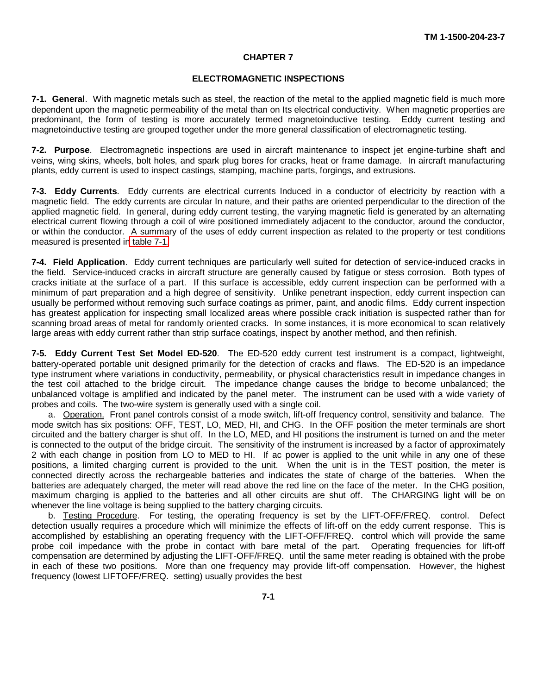#### **CHAPTER 7**

#### **ELECTROMAGNETIC INSPECTIONS**

<span id="page-49-0"></span>**7-1. General**. With magnetic metals such as steel, the reaction of the metal to the applied magnetic field is much more dependent upon the magnetic permeability of the metal than on Its electrical conductivity. When magnetic properties are predominant, the form of testing is more accurately termed magnetoinductive testing. Eddy current testing and magnetoinductive testing are grouped together under the more general classification of electromagnetic testing.

**7-2. Purpose**. Electromagnetic inspections are used in aircraft maintenance to inspect jet engine-turbine shaft and veins, wing skins, wheels, bolt holes, and spark plug bores for cracks, heat or frame damage. In aircraft manufacturing plants, eddy current is used to inspect castings, stamping, machine parts, forgings, and extrusions.

**7-3. Eddy Currents**. Eddy currents are electrical currents Induced in a conductor of electricity by reaction with a magnetic field. The eddy currents are circular In nature, and their paths are oriented perpendicular to the direction of the applied magnetic field. In general, during eddy current testing, the varying magnetic field is generated by an alternating electrical current flowing through a coil of wire positioned immediately adjacent to the conductor, around the conductor, or within the conductor. A summary of the uses of eddy current inspection as related to the property or test conditions measured is presented i[n table 7-1.](#page-50-0)

**7-4. Field Application**. Eddy current techniques are particularly well suited for detection of service-induced cracks in the field. Service-induced cracks in aircraft structure are generally caused by fatigue or stess corrosion. Both types of cracks initiate at the surface of a part. If this surface is accessible, eddy current inspection can be performed with a minimum of part preparation and a high degree of sensitivity. Unlike penetrant inspection, eddy current inspection can usually be performed without removing such surface coatings as primer, paint, and anodic films. Eddy current inspection has greatest application for inspecting small localized areas where possible crack initiation is suspected rather than for scanning broad areas of metal for randomly oriented cracks. In some instances, it is more economical to scan relatively large areas with eddy current rather than strip surface coatings, inspect by another method, and then refinish.

**7-5. Eddy Current Test Set Model ED-520**. The ED-520 eddy current test instrument is a compact, lightweight, battery-operated portable unit designed primarily for the detection of cracks and flaws. The ED-520 is an impedance type instrument where variations in conductivity, permeability, or physical characteristics result in impedance changes in the test coil attached to the bridge circuit. The impedance change causes the bridge to become unbalanced; the unbalanced voltage is amplified and indicated by the panel meter. The instrument can be used with a wide variety of probes and coils. The two-wire system is generally used with a single coil.

a. Operation. Front panel controls consist of a mode switch, lift-off frequency control, sensitivity and balance. The mode switch has six positions: OFF, TEST, LO, MED, HI, and CHG. In the OFF position the meter terminals are short circuited and the battery charger is shut off. In the LO, MED, and HI positions the instrument is turned on and the meter is connected to the output of the bridge circuit. The sensitivity of the instrument is increased by a factor of approximately 2 with each change in position from LO to MED to HI. If ac power is applied to the unit while in any one of these positions, a limited charging current is provided to the unit. When the unit is in the TEST position, the meter is connected directly across the rechargeable batteries and indicates the state of charge of the batteries. When the batteries are adequately charged, the meter will read above the red line on the face of the meter. In the CHG position, maximum charging is applied to the batteries and all other circuits are shut off. The CHARGING light will be on whenever the line voltage is being supplied to the battery charging circuits.

b. Testing Procedure. For testing, the operating frequency is set by the LIFT-OFF/FREQ. control. Defect detection usually requires a procedure which will minimize the effects of lift-off on the eddy current response. This is accomplished by establishing an operating frequency with the LIFT-OFF/FREQ. control which will provide the same probe coil impedance with the probe in contact with bare metal of the part. Operating frequencies for lift-off compensation are determined by adjusting the LIFT-OFF/FREQ. until the same meter reading is obtained with the probe in each of these two positions. More than one frequency may provide lift-off compensation. However, the highest frequency (lowest LIFTOFF/FREQ. setting) usually provides the best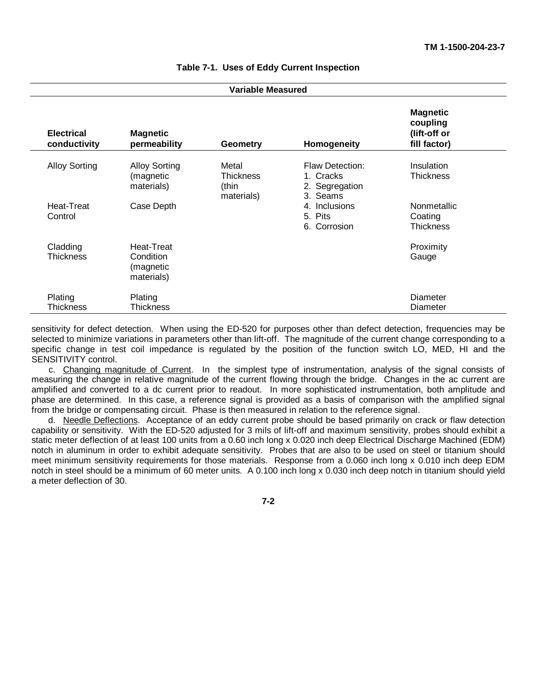<span id="page-50-0"></span>

| <b>Variable Measured</b>          |                                                    |                                                  |                                                                   |                                                             |
|-----------------------------------|----------------------------------------------------|--------------------------------------------------|-------------------------------------------------------------------|-------------------------------------------------------------|
| <b>Electrical</b><br>conductivity | <b>Magnetic</b><br>permeability                    | <b>Geometry</b>                                  | Homogeneity                                                       | <b>Magnetic</b><br>coupling<br>(lift-off or<br>fill factor) |
| <b>Alloy Sorting</b>              | <b>Alloy Sorting</b><br>(magnetic<br>materials)    | Metal<br><b>Thickness</b><br>(thin<br>materials) | <b>Flaw Detection:</b><br>1. Cracks<br>2. Segregation<br>3. Seams | Insulation<br><b>Thickness</b>                              |
| Heat-Treat<br>Control             | Case Depth                                         |                                                  | 4. Inclusions<br>5. Pits<br>6. Corrosion                          | Nonmetallic<br>Coating<br>Thickness                         |
| Cladding<br>Thickness             | Heat-Treat<br>Condition<br>(magnetic<br>materials) |                                                  |                                                                   | Proximity<br>Gauge                                          |
| Plating<br><b>Thickness</b>       | Plating<br><b>Thickness</b>                        |                                                  |                                                                   | Diameter<br>Diameter                                        |

#### **Table 7-1. Uses of Eddy Current Inspection**

sensitivity for defect detection. When using the ED-520 for purposes other than defect detection, frequencies may be selected to minimize variations in parameters other than lift-off. The magnitude of the current change corresponding to a specific change in test coil impedance is regulated by the position of the function switch LO, MED, HI and the SENSITIVITY control.

c. Changing magnitude of Current. In the simplest type of instrumentation, analysis of the signal consists of measuring the change in relative magnitude of the current flowing through the bridge. Changes in the ac current are amplified and converted to a dc current prior to readout. In more sophisticated instrumentation, both amplitude and phase are determined. In this case, a reference signal is provided as a basis of comparison with the amplified signal from the bridge or compensating circuit. Phase is then measured in relation to the reference signal.

d. Needle Deflections. Acceptance of an eddy current probe should be based primarily on crack or flaw detection capability or sensitivity. With the ED-520 adjusted for 3 mils of lift-off and maximum sensitivity, probes should exhibit a static meter deflection of at least 100 units from a 0.60 inch long x 0.020 inch deep Electrical Discharge Machined (EDM) notch in aluminum in order to exhibit adequate sensitivity. Probes that are also to be used on steel or titanium should meet minimum sensitivity requirements for those materials. Response from a 0.060 inch long x 0.010 inch deep EDM notch in steel should be a minimum of 60 meter units. A 0.100 inch long x 0.030 inch deep notch in titanium should yield a meter deflection of 30.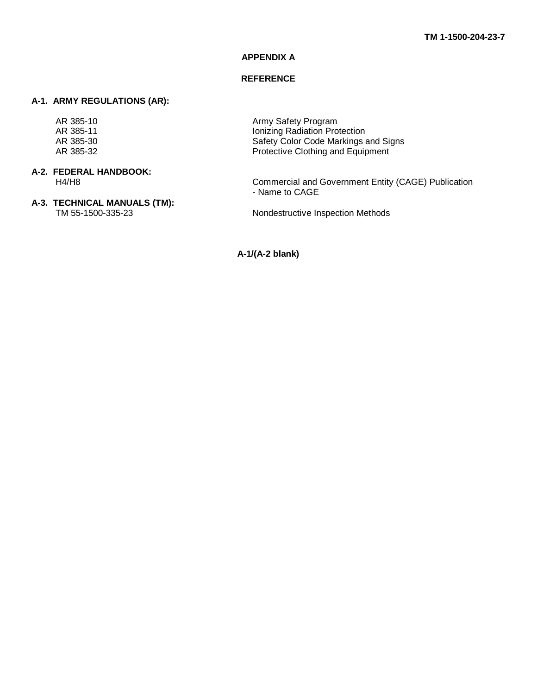#### **APPENDIX A**

#### **REFERENCE**

#### <span id="page-51-0"></span>**A-1. ARMY REGULATIONS (AR):**

# **A-2. FEDERAL HANDBOOK:**

**A-3. TECHNICAL MANUALS (TM):**

AR 385-10<br>AR 385-11 **AR 385-11** AR 385-11 Ionizing Radiation Protection AR 385-30 Safety Color Code Markings and Signs<br>AR 385-32 **Safety Color Code Markings and Signs**<br>Protective Clothing and Equipment Protective Clothing and Equipment

H4/H8 Commercial and Government Entity (CAGE) Publication - Name to CAGE

Nondestructive Inspection Methods

**A-1/(A-2 blank)**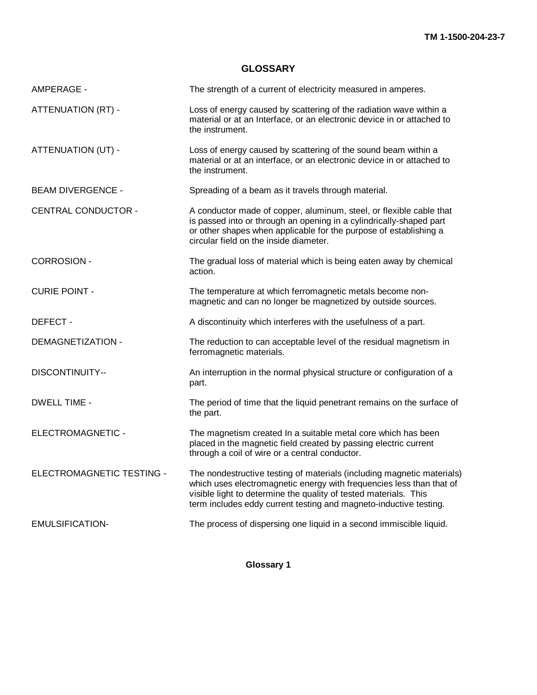### **GLOSSARY**

<span id="page-52-0"></span>

| AMPERAGE -                 | The strength of a current of electricity measured in amperes.                                                                                                                                                                                                                           |
|----------------------------|-----------------------------------------------------------------------------------------------------------------------------------------------------------------------------------------------------------------------------------------------------------------------------------------|
| <b>ATTENUATION (RT) -</b>  | Loss of energy caused by scattering of the radiation wave within a<br>material or at an Interface, or an electronic device in or attached to<br>the instrument.                                                                                                                         |
| ATTENUATION (UT) -         | Loss of energy caused by scattering of the sound beam within a<br>material or at an interface, or an electronic device in or attached to<br>the instrument.                                                                                                                             |
| <b>BEAM DIVERGENCE -</b>   | Spreading of a beam as it travels through material.                                                                                                                                                                                                                                     |
| <b>CENTRAL CONDUCTOR -</b> | A conductor made of copper, aluminum, steel, or flexible cable that<br>is passed into or through an opening in a cylindrically-shaped part<br>or other shapes when applicable for the purpose of establishing a<br>circular field on the inside diameter.                               |
| <b>CORROSION -</b>         | The gradual loss of material which is being eaten away by chemical<br>action.                                                                                                                                                                                                           |
| <b>CURIE POINT -</b>       | The temperature at which ferromagnetic metals become non-<br>magnetic and can no longer be magnetized by outside sources.                                                                                                                                                               |
| DEFECT -                   | A discontinuity which interferes with the usefulness of a part.                                                                                                                                                                                                                         |
| <b>DEMAGNETIZATION -</b>   | The reduction to can acceptable level of the residual magnetism in<br>ferromagnetic materials.                                                                                                                                                                                          |
| <b>DISCONTINUITY--</b>     | An interruption in the normal physical structure or configuration of a<br>part.                                                                                                                                                                                                         |
| <b>DWELL TIME -</b>        | The period of time that the liquid penetrant remains on the surface of<br>the part.                                                                                                                                                                                                     |
| ELECTROMAGNETIC -          | The magnetism created In a suitable metal core which has been<br>placed in the magnetic field created by passing electric current<br>through a coil of wire or a central conductor.                                                                                                     |
| ELECTROMAGNETIC TESTING -  | The nondestructive testing of materials (including magnetic materials)<br>which uses electromagnetic energy with frequencies less than that of<br>visible light to determine the quality of tested materials. This<br>term includes eddy current testing and magneto-inductive testing. |
| <b>EMULSIFICATION-</b>     | The process of dispersing one liquid in a second immiscible liquid.                                                                                                                                                                                                                     |

**Glossary 1**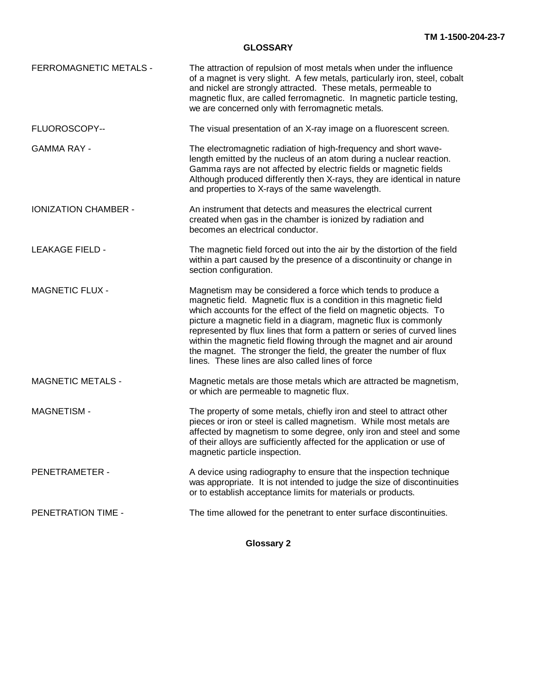#### **GLOSSARY**

| <b>FERROMAGNETIC METALS -</b> | The attraction of repulsion of most metals when under the influence<br>of a magnet is very slight. A few metals, particularly iron, steel, cobalt<br>and nickel are strongly attracted. These metals, permeable to<br>magnetic flux, are called ferromagnetic. In magnetic particle testing,<br>we are concerned only with ferromagnetic metals.                                                                                                                                                                                                           |
|-------------------------------|------------------------------------------------------------------------------------------------------------------------------------------------------------------------------------------------------------------------------------------------------------------------------------------------------------------------------------------------------------------------------------------------------------------------------------------------------------------------------------------------------------------------------------------------------------|
| FLUOROSCOPY--                 | The visual presentation of an X-ray image on a fluorescent screen.                                                                                                                                                                                                                                                                                                                                                                                                                                                                                         |
| <b>GAMMA RAY -</b>            | The electromagnetic radiation of high-frequency and short wave-<br>length emitted by the nucleus of an atom during a nuclear reaction.<br>Gamma rays are not affected by electric fields or magnetic fields<br>Although produced differently then X-rays, they are identical in nature<br>and properties to X-rays of the same wavelength.                                                                                                                                                                                                                 |
| <b>IONIZATION CHAMBER -</b>   | An instrument that detects and measures the electrical current<br>created when gas in the chamber is ionized by radiation and<br>becomes an electrical conductor.                                                                                                                                                                                                                                                                                                                                                                                          |
| <b>LEAKAGE FIELD -</b>        | The magnetic field forced out into the air by the distortion of the field<br>within a part caused by the presence of a discontinuity or change in<br>section configuration.                                                                                                                                                                                                                                                                                                                                                                                |
| <b>MAGNETIC FLUX -</b>        | Magnetism may be considered a force which tends to produce a<br>magnetic field. Magnetic flux is a condition in this magnetic field<br>which accounts for the effect of the field on magnetic objects. To<br>picture a magnetic field in a diagram, magnetic flux is commonly<br>represented by flux lines that form a pattern or series of curved lines<br>within the magnetic field flowing through the magnet and air around<br>the magnet. The stronger the field, the greater the number of flux<br>lines. These lines are also called lines of force |
| <b>MAGNETIC METALS -</b>      | Magnetic metals are those metals which are attracted be magnetism,<br>or which are permeable to magnetic flux.                                                                                                                                                                                                                                                                                                                                                                                                                                             |
| <b>MAGNETISM-</b>             | The property of some metals, chiefly iron and steel to attract other<br>pieces or iron or steel is called magnetism. While most metals are<br>affected by magnetism to some degree, only iron and steel and some<br>of their alloys are sufficiently affected for the application or use of<br>magnetic particle inspection.                                                                                                                                                                                                                               |
| PENETRAMETER -                | A device using radiography to ensure that the inspection technique<br>was appropriate. It is not intended to judge the size of discontinuities<br>or to establish acceptance limits for materials or products.                                                                                                                                                                                                                                                                                                                                             |
| PENETRATION TIME -            | The time allowed for the penetrant to enter surface discontinuities.                                                                                                                                                                                                                                                                                                                                                                                                                                                                                       |

**Glossary 2**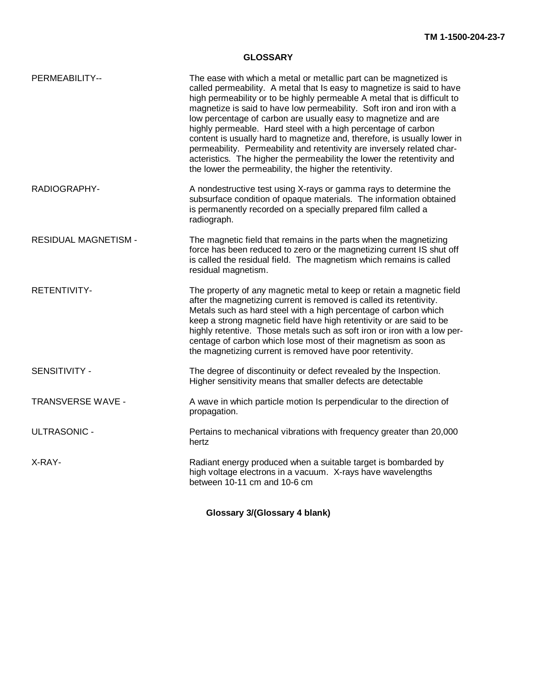#### **GLOSSARY**

| PERMEABILITY--              | The ease with which a metal or metallic part can be magnetized is<br>called permeability. A metal that Is easy to magnetize is said to have<br>high permeability or to be highly permeable A metal that is difficult to<br>magnetize is said to have low permeability. Soft iron and iron with a<br>low percentage of carbon are usually easy to magnetize and are<br>highly permeable. Hard steel with a high percentage of carbon<br>content is usually hard to magnetize and, therefore, is usually lower in<br>permeability. Permeability and retentivity are inversely related char-<br>acteristics. The higher the permeability the lower the retentivity and<br>the lower the permeability, the higher the retentivity. |
|-----------------------------|--------------------------------------------------------------------------------------------------------------------------------------------------------------------------------------------------------------------------------------------------------------------------------------------------------------------------------------------------------------------------------------------------------------------------------------------------------------------------------------------------------------------------------------------------------------------------------------------------------------------------------------------------------------------------------------------------------------------------------|
| RADIOGRAPHY-                | A nondestructive test using X-rays or gamma rays to determine the<br>subsurface condition of opaque materials. The information obtained<br>is permanently recorded on a specially prepared film called a<br>radiograph.                                                                                                                                                                                                                                                                                                                                                                                                                                                                                                        |
| <b>RESIDUAL MAGNETISM -</b> | The magnetic field that remains in the parts when the magnetizing<br>force has been reduced to zero or the magnetizing current IS shut off<br>is called the residual field. The magnetism which remains is called<br>residual magnetism.                                                                                                                                                                                                                                                                                                                                                                                                                                                                                       |
| <b>RETENTIVITY-</b>         | The property of any magnetic metal to keep or retain a magnetic field<br>after the magnetizing current is removed is called its retentivity.<br>Metals such as hard steel with a high percentage of carbon which<br>keep a strong magnetic field have high retentivity or are said to be<br>highly retentive. Those metals such as soft iron or iron with a low per-<br>centage of carbon which lose most of their magnetism as soon as<br>the magnetizing current is removed have poor retentivity.                                                                                                                                                                                                                           |
| SENSITIVITY -               | The degree of discontinuity or defect revealed by the Inspection.<br>Higher sensitivity means that smaller defects are detectable                                                                                                                                                                                                                                                                                                                                                                                                                                                                                                                                                                                              |
| TRANSVERSE WAVE -           | A wave in which particle motion Is perpendicular to the direction of<br>propagation.                                                                                                                                                                                                                                                                                                                                                                                                                                                                                                                                                                                                                                           |
| <b>ULTRASONIC -</b>         | Pertains to mechanical vibrations with frequency greater than 20,000<br>hertz                                                                                                                                                                                                                                                                                                                                                                                                                                                                                                                                                                                                                                                  |
| X-RAY-                      | Radiant energy produced when a suitable target is bombarded by<br>high voltage electrons in a vacuum. X-rays have wavelengths<br>between 10-11 cm and 10-6 cm                                                                                                                                                                                                                                                                                                                                                                                                                                                                                                                                                                  |

**Glossary 3/(Glossary 4 blank)**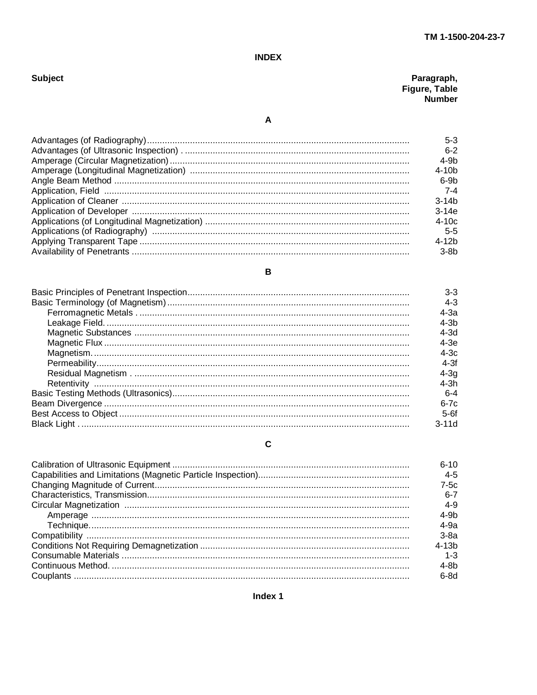#### **INDEX**

<span id="page-55-0"></span>

| Subject |  |  |
|---------|--|--|
|         |  |  |

| Paragraph,    |
|---------------|
| Figure, Table |
| Number        |

 $\mathbf{A}$ 

B

| $5-3$     |
|-----------|
| $6 - 2$   |
| $4-9b$    |
| $4 - 10h$ |
| 6-9b      |
| -7-4      |
| $3 - 14b$ |
| $3-14e$   |
| $4-10c$   |
| 5-5       |
| $4 - 12h$ |
| $3-8b$    |

#### $3-3$  $4 - 3$  $4-3a$  $4-3b$  $4-3d$  $4-3e$  $4-3c$  $4-3f$  $4-3q$  $4-3h$  $6 - 4$  $6-7c$  $5-6f$  $3-11d$

#### $\mathbf c$

| $6 - 10$   |
|------------|
| $4 - 5$    |
| $7-5c$     |
| $6 - 7$    |
| $4 - 9$    |
| $4-9b$     |
| $4-9a$     |
| $3-8a$     |
| $4 - 1.3b$ |
| $1 - 3$    |
| $4-8b$     |
| $6-8d$     |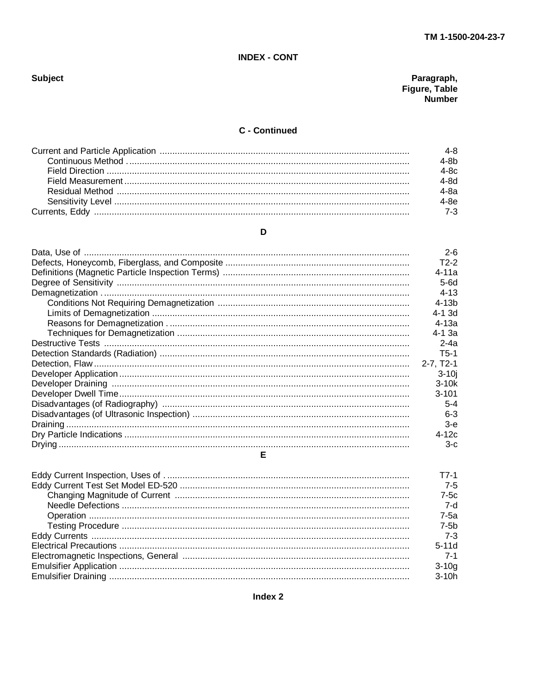### **INDEX - CONT**

# Paragraph,<br>Figure, Table<br>Number

# C - Continued

| 4-8     |
|---------|
| $4-8b$  |
| $4-8c$  |
| 4-8d    |
| 4-8a    |
| $1-8e$  |
| $7 - 3$ |

# D

|   | $2 - 6$         |
|---|-----------------|
|   | $T2-2$          |
|   | $4 - 11a$       |
|   | 5-6d            |
|   | $4 - 13$        |
|   | $4-13b$         |
|   | 4-1 3d          |
|   | 4-13a           |
|   | $4 - 1.3a$      |
|   | $2 - 4a$        |
|   | T5-1            |
|   | $2 - 7. T2 - 1$ |
|   | $3-10i$         |
|   | $3-10k$         |
|   | $3 - 101$       |
|   | $5 - 4$         |
|   | $6-3$           |
|   | $3-e$           |
|   | $4-12c$         |
|   | $3-c$           |
| Е |                 |

| T7-1    |
|---------|
| $7 - 5$ |
| $7-5c$  |
| 7-d     |
| $7-5a$  |
| $7-5b$  |
|         |
| $5-11d$ |
|         |
| $3-10g$ |
| $3-10h$ |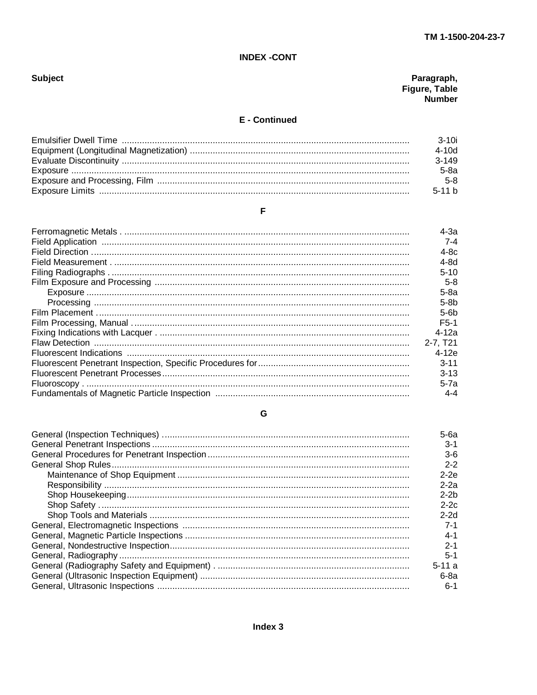### **INDEX -CONT**

# **Subject**

# Paragraph,<br>Figure, Table<br>Number

### **E** - Continued

| 3-10i    |
|----------|
| 4-10d    |
| $3-149$  |
| 5-8a     |
| $5-8$    |
| $5-11 h$ |

# $\bar{\mathsf{F}}$

| $4-3a$       |
|--------------|
| 7-4          |
| $4-8c$       |
| 4-8d         |
| $5-10$       |
| $5-8$        |
| $5-8a$       |
| $5-8b$       |
| $5-6b$       |
| F5-1         |
| 4-12a        |
| $2 - 7. T21$ |
| $4-12e$      |
| $3 - 11$     |
| $3-13$       |
| 5-7a         |
| $4 - 4$      |

### ${\mathsf G}$

| 5-6a    |
|---------|
| $3-1$   |
| $3-6$   |
| $2 - 2$ |
| $2-2e$  |
| $2-2a$  |
| $2-2b$  |
| $2-2c$  |
| $2-2d$  |
| 7-1     |
| $4 - 1$ |
| $2 - 1$ |
|         |
| $5 - 1$ |
| $5-11a$ |
| 6-8a    |
| $6-1$   |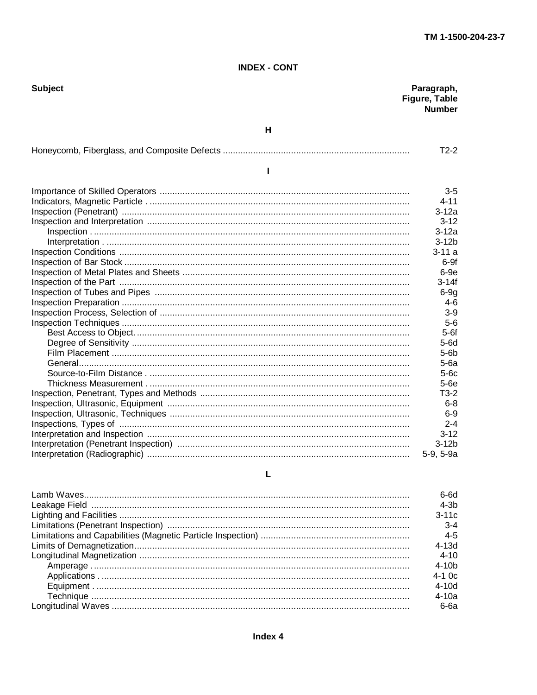#### **INDEX - CONT**

| <b>Subject</b> | Paragraph,<br>Figure, Table<br><b>Number</b> |
|----------------|----------------------------------------------|
| н              |                                              |
|                | $T2-2$                                       |
| ı              |                                              |
|                | $3-5$                                        |
|                | 4-11                                         |
|                | $3-12a$                                      |
|                | $3 - 12$                                     |
|                | $3-12a$                                      |
|                | $3-12b$                                      |
|                | $3 - 11a$                                    |
|                | $6-9f$                                       |
|                | $6-9e$                                       |
|                | $3 - 14f$                                    |
|                | $6-9g$                                       |
|                | $4-6$                                        |
|                | $3-9$                                        |
|                | $5-6$                                        |
|                | $5-6f$                                       |
|                | $5-6d$                                       |
|                | $5-6b$                                       |
|                | $5-6a$                                       |
|                | $5-6c$                                       |
|                | $5-6e$                                       |
|                | $T3-2$                                       |
|                | $6 - 8$                                      |
|                | $6-9$                                        |
|                | $2 - 4$                                      |
|                | $3 - 12$                                     |
|                | $3-12b$                                      |
|                | 5-9, 5-9a                                    |
| L              |                                              |

| 3-6d<br>4-3b<br>$3 - 11c$ |
|---------------------------|
| $3 - 4$                   |
| $4 - 5$                   |
| 4-13d                     |
| 4-10                      |
| 4-10b                     |
| 4-1 Oc                    |
| 4-10d                     |
| 4-10a                     |
| 6-6а                      |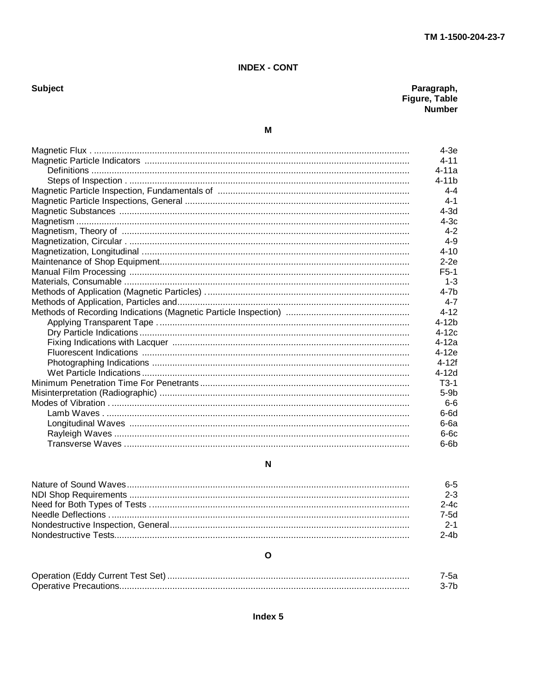## **INDEX - CONT**

# Subject

# Paragraph,<br>Figure, Table<br>Number

# $\mathsf{M}$

| $4-3e$    |
|-----------|
| $4 - 11$  |
| $4 - 11a$ |
| $4 - 11h$ |
| $4 - 4$   |
| $4 - 1$   |
| $4-3d$    |
| $4 - 3c$  |
| $4-2$     |
| $4 - 9$   |
| $4 - 10$  |
| $2-2e$    |
| $F5-1$    |
| $1 - 3$   |
| 4-7h      |
| $4 - 7$   |
| $4 - 12$  |
| $4-12b$   |
| $4-12c$   |
| $4-12a$   |
| $4-12e$   |
| $4 - 12f$ |
| $4 - 12d$ |
| $T3-1$    |
| $5-9b$    |
| $6-6$     |
| $6-6d$    |
| 6-6а      |
| $6-6c$    |
| $6-6b$    |

### $\overline{\mathsf{N}}$

| 6-5     |
|---------|
| $2 - 3$ |
| 2-4c    |
| 7-5d    |
| $2 - 1$ |
| 2-4h    |

# $\mathbf{o}$

| est<br>5e†<br>או זו –<br>. |  |
|----------------------------|--|
| AIII<br>.                  |  |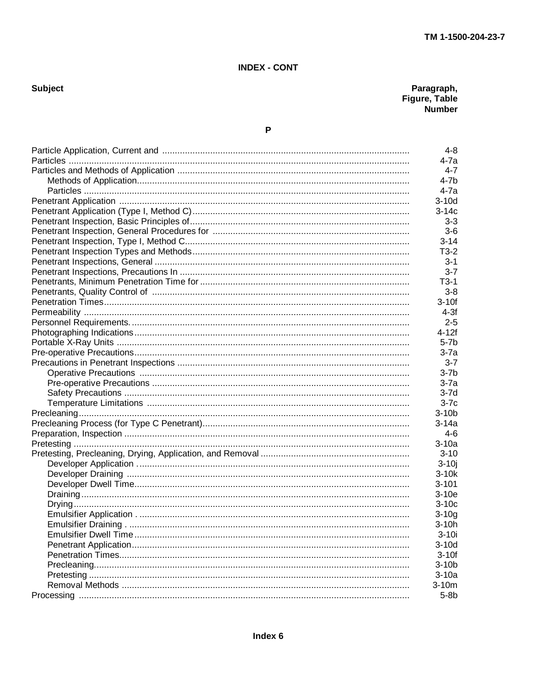Subject

Paragraph,<br>Figure, Table<br>Number

| $4 - 8$   |
|-----------|
| 4-7a      |
| $4 - 7$   |
| 4-7b      |
| 4-7a      |
| $3-10d$   |
| 3-14c     |
| $3 - 3$   |
| $3-6$     |
| $3 - 14$  |
| $T3-2$    |
| 3-1       |
| $3 - 7$   |
| $T3-1$    |
| $3 - 8$   |
| $3-10f$   |
| $4-3f$    |
| $2 - 5$   |
| 4-12f     |
| 5-7b      |
| $3-7a$    |
| $3 - 7$   |
| $3-7b$    |
| 3-7a      |
| 3-7d      |
| $3-7c$    |
| $3-10b$   |
| $3-14a$   |
| $4-6$     |
| $3-10a$   |
| 3-10      |
| $3-10j$   |
| $3-10k$   |
| $3 - 101$ |
| $3-10e$   |
| $3-10c$   |
| $3-10g$   |
| $3-10h$   |
| $3-10i$   |
| $3-10d$   |
| $3-10f$   |
| $3-10b$   |
| $3-10a$   |
| $3-10m$   |
| 5-8b      |
|           |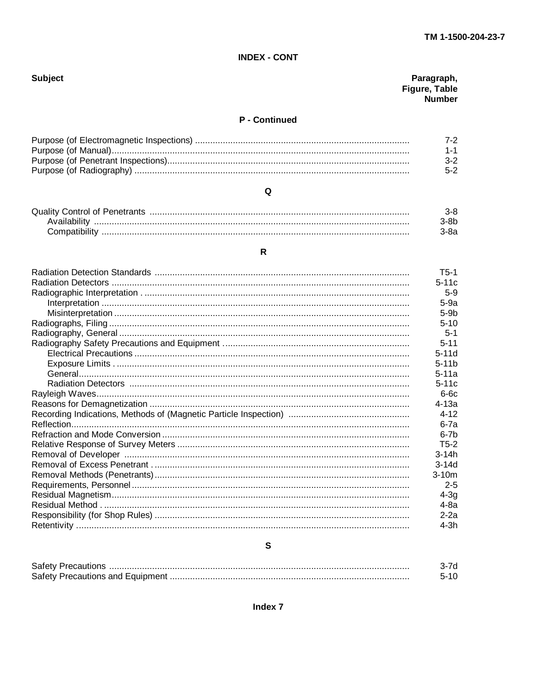## **INDEX - CONT**

# **Subject**

# Paragraph,<br>Figure, Table<br>Number

# P - Continued

| 3-2. |
|------|
|      |

# $\mathbf Q$

#### $\overline{\mathsf{R}}$

| $T5-1$   |
|----------|
| $5-11c$  |
| $5-9$    |
| $5-9a$   |
| $5-9b$   |
| $5 - 10$ |
| $5 - 1$  |
| $5 - 11$ |
| $5-11d$  |
| $5-11b$  |
| $5-11a$  |
| $5-11c$  |
| $6-6c$   |
| $4-13a$  |
| $4 - 12$ |
| $6-7a$   |
| $6-7b$   |
| $T5-2$   |
| $3-14h$  |
| $3-14d$  |
| $3-10m$  |
| $2 - 5$  |
| $4-3q$   |
| 4-8a     |
| $2-2a$   |
| $4-3h$   |

# ${\mathsf s}$

| Safety                                       |  |
|----------------------------------------------|--|
| Safety I<br><b>Precautions and Foujoment</b> |  |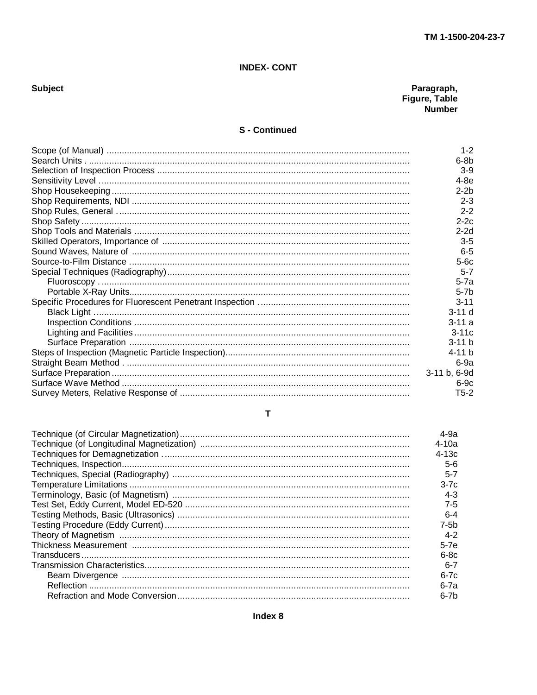#### **INDEX- CONT**

# Subject

# Paragraph,<br>Figure, Table<br>Number

#### **S** - Continued

| $1 - 2$      |
|--------------|
| $6-8b$       |
| $3-9$        |
| $4-8e$       |
| $2-2b$       |
| $2 - 3$      |
| $2 - 2$      |
| $2-2c$       |
| $2-2d$       |
| $3-5$        |
| $6 - 5$      |
| $5-6c$       |
| $5 - 7$      |
| $5-7a$       |
| $5-7b$       |
| $3 - 11$     |
| $3-11d$      |
| $3 - 11a$    |
| $3-11c$      |
| $3-11 b$     |
| $4 - 11 b$   |
| $6-9a$       |
| 3-11 b, 6-9d |
| $6-9c$       |
| $T5-2$       |

#### $\mathbf T$

| 4-9а    |
|---------|
| $4-10a$ |
| $4-13c$ |
| $5-6$   |
| $5 - 7$ |
| $3-7c$  |
| $4 - 3$ |
| $7-5$   |
| $6 - 4$ |
| $7-5b$  |
| $4 - 2$ |
| $5-7e$  |
| $6-8c$  |
| $6 - 7$ |
| $6-7c$  |
| 6-7a    |
| $6-7b$  |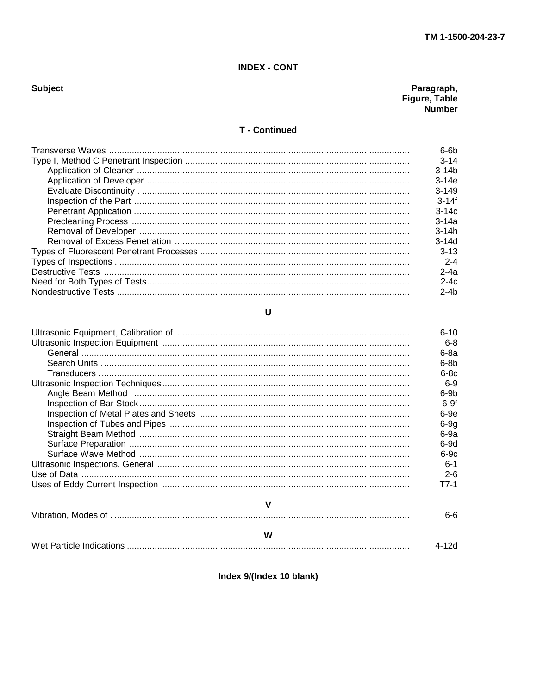### **INDEX - CONT**

# **Subject**

# Paragraph,<br>Figure, Table<br>Number

#### **T** - Continued

| $6-6b$    |
|-----------|
| $3 - 14$  |
| $3 - 14b$ |
| $3-14e$   |
| $3 - 149$ |
| $3 - 14f$ |
| $3-14c$   |
| $3 - 14a$ |
| $3 - 14h$ |
| $3-14d$   |
| $3-13$    |
| $2 - 4$   |
| $2-4a$    |
| $2-4c$    |
| $2-4b$    |
|           |

#### $\overline{U}$

|   | $6 - 10$ |
|---|----------|
|   | $6-8$    |
|   | $6-8a$   |
|   | $6-8b$   |
|   | $6-8c$   |
|   | 6-9      |
|   | $6-9b$   |
|   | $6-9f$   |
|   | $6-9e$   |
|   | $6-9g$   |
|   | $6-9a$   |
|   | $6-9d$   |
|   | $6-9c$   |
|   | $6 - 1$  |
|   | $2 - 6$  |
|   | T7-1     |
| v |          |
|   | հ-հ      |

#### W  $4-12d$

Index 9/(Index 10 blank)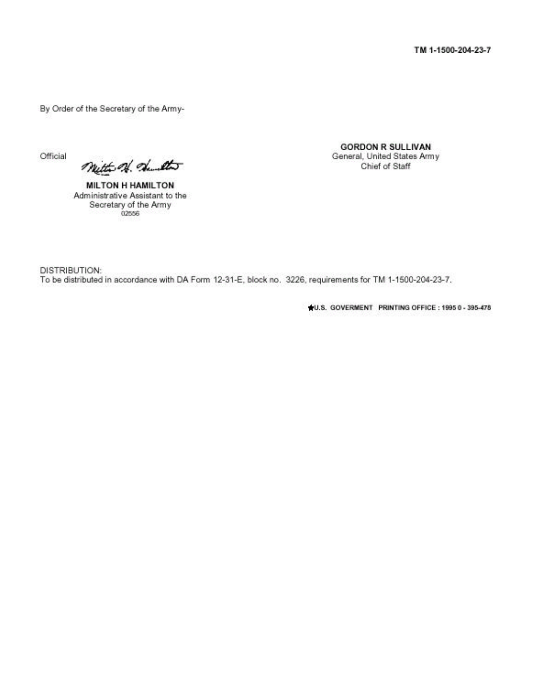By Order of the Secretary of the Army-

Official

mitte of dut

**MILTON H HAMILTON** Administrative Assistant to the Secretary of the Army 02556

**GORDON R SULLIVAN** General, United States Army Chief of Staff

DISTRIBUTION: To be distributed in accordance with DA Form 12-31-E, block no. 3226, requirements for TM 1-1500-204-23-7.

4U.S. GOVERMENT PRINTING OFFICE: 1995 0 - 395-478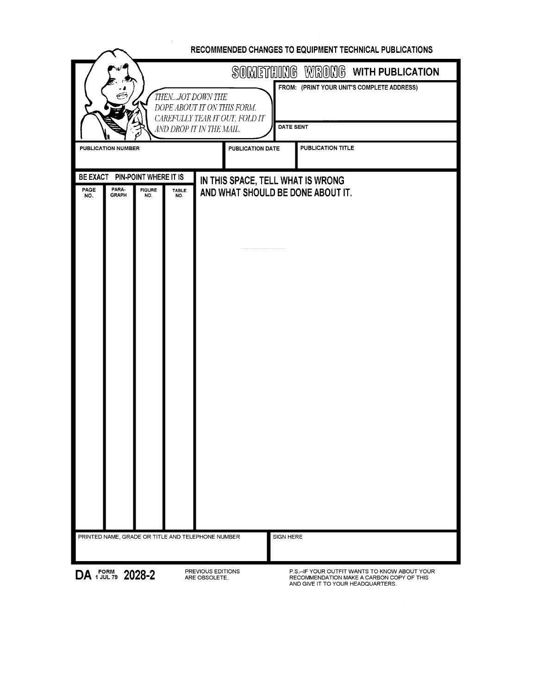|      | RECOMMENDED CHANGES TO EQUIPMENT TECHNICAL PUBLICATIONS |                                                 |              |                                                                                                               |                  |                                                                                                                                  |  |  |
|------|---------------------------------------------------------|-------------------------------------------------|--------------|---------------------------------------------------------------------------------------------------------------|------------------|----------------------------------------------------------------------------------------------------------------------------------|--|--|
|      |                                                         |                                                 |              |                                                                                                               |                  | SOMETHING WRONG WITH PUBLICATION                                                                                                 |  |  |
|      |                                                         |                                                 |              | THENJOT DOWN THE<br>DOPE ABOUT IT ON THIS FORM.<br>CAREFULLY TEAR IT OUT, FOLD IT<br>AND DROP IT IN THE MAIL. |                  | FROM: (PRINT YOUR UNIT'S COMPLETE ADDRESS)<br><b>DATE SENT</b>                                                                   |  |  |
|      | <b>PUBLICATION NUMBER</b>                               |                                                 |              |                                                                                                               | PUBLICATION DATE | <b>PUBLICATION TITLE</b>                                                                                                         |  |  |
| PAGE | PARA-                                                   | BE EXACT PIN-POINT WHERE IT IS<br><b>FIGURE</b> | <b>TABLE</b> | IN THIS SPACE, TELL WHAT IS WRONG                                                                             |                  | AND WHAT SHOULD BE DONE ABOUT IT.                                                                                                |  |  |
| NO.  | <b>GRAPH</b>                                            | NO.                                             | NO.          |                                                                                                               |                  |                                                                                                                                  |  |  |
|      |                                                         |                                                 |              | PRINTED NAME, GRADE OR TITLE AND TELEPHONE NUMBER                                                             | SIGN HERE        |                                                                                                                                  |  |  |
|      |                                                         |                                                 |              |                                                                                                               |                  |                                                                                                                                  |  |  |
|      | DA FORM 2028-2                                          |                                                 |              | PREVIOUS EDITIONS<br>ARE OBSOLETE.                                                                            |                  | P.S.-- IF YOUR OUTFIT WANTS TO KNOW ABOUT YOUR<br>RECOMMENDATION MAKE A CARBON COPY OF THIS<br>AND GIVE IT TO YOUR HEADQUARTERS. |  |  |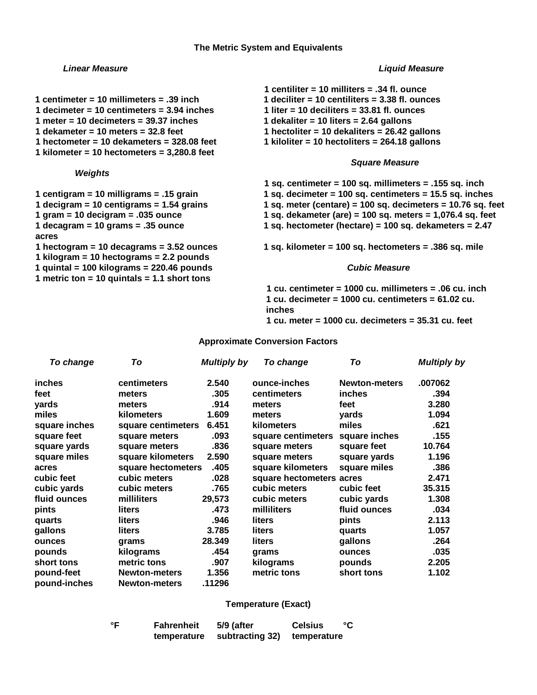#### **The Metric System and Equivalents**

#### *Linear Measure Liquid Measure*

- **1 centimeter = 10 millimeters = .39 inch 1 deciliter = 10 centiliters = 3.38 fl. ounces**
- **1 decimeter = 10 centimeters = 3.94 inches 1 liter = 10 deciliters = 33.81 fl. ounces**
- **1 meter = 10 decimeters = 39.37 inches 1 dekaliter = 10 liters = 2.64 gallons**
- **1 dekameter = 10 meters = 32.8 feet 1 hectoliter = 10 dekaliters = 26.42 gallons**

**1 kilometer = 10 hectometers = 3,280.8 feet**

#### *Weights*

- 
- 
- 
- 

**acres**

- **1 kilogram = 10 hectograms = 2.2 pounds**
- **1 quintal = 100 kilograms = 220.46 pounds** *Cubic Measure*
- **1 metric ton = 10 quintals = 1.1 short tons**
- **1 centiliter = 10 milliters = .34 fl. ounce**
- 
- 
- 
- 
- **1 hectometer = 10 dekameters = 328.08 feet 1 kiloliter = 10 hectoliters = 264.18 gallons**

#### *Square Measure*

- **1 sq. centimeter = 100 sq. millimeters = .155 sq. inch**
- **1 centigram = 10 milligrams = .15 grain 1 sq. decimeter = 100 sq. centimeters = 15.5 sq. inches**
- **1 decigram = 10 centigrams = 1.54 grains 1 sq. meter (centare) = 100 sq. decimeters = 10.76 sq. feet**
- **1 gram = 10 decigram = .035 ounce 1 sq. dekameter (are) = 100 sq. meters = 1,076.4 sq. feet**
- **1 decagram = 10 grams = .35 ounce 1 sq. hectometer (hectare) = 100 sq. dekameters = 2.47**

**1 hectogram = 10 decagrams = 3.52 ounces 1 sq. kilometer = 100 sq. hectometers = .386 sq. mile**

**1 cu. centimeter = 1000 cu. millimeters = .06 cu. inch 1 cu. decimeter = 1000 cu. centimeters = 61.02 cu. inches 1 cu. meter = 1000 cu. decimeters = 35.31 cu. feet**

#### **Approximate Conversion Factors**

| To change     | To                   | <b>Multiply by</b> | To change                | To                   | <b>Multiply by</b> |
|---------------|----------------------|--------------------|--------------------------|----------------------|--------------------|
| inches        | centimeters          | 2.540              | ounce-inches             | <b>Newton-meters</b> | .007062            |
| feet          | meters               | .305               | centimeters              | inches               | .394               |
| yards         | meters               | .914               | meters                   | feet                 | 3.280              |
| miles         | kilometers           | 1.609              | meters                   | vards                | 1.094              |
| square inches | square centimeters   | 6.451              | kilometers               | miles                | .621               |
| square feet   | square meters        | .093               | square centimeters       | square inches        | .155               |
| square yards  | square meters        | .836               | square meters            | square feet          | 10.764             |
| square miles  | square kilometers    | 2.590              | square meters            | square yards         | 1.196              |
| acres         | square hectometers   | .405               | square kilometers        | square miles         | .386               |
| cubic feet    | cubic meters         | .028               | square hectometers acres |                      | 2.471              |
| cubic yards   | cubic meters         | .765               | cubic meters             | cubic feet           | 35.315             |
| fluid ounces  | milliliters          | 29,573             | cubic meters             | cubic yards          | 1.308              |
| pints         | liters               | .473               | milliliters              | fluid ounces         | .034               |
| quarts        | liters               | .946               | liters                   | pints                | 2.113              |
| gallons       | liters               | 3.785              | liters                   | quarts               | 1.057              |
| ounces        | grams                | 28.349             | liters                   | gallons              | .264               |
| pounds        | kilograms            | .454               | grams                    | ounces               | .035               |
| short tons    | metric tons          | .907               | kilograms                | pounds               | 2.205              |
| pound-feet    | <b>Newton-meters</b> | 1.356              | metric tons              | short tons           | 1.102              |
| pound-inches  | <b>Newton-meters</b> | .11296             |                          |                      |                    |

#### **Temperature (Exact)**

**°F Fahrenheit 5/9 (after Celsius °C temperature subtracting 32) temperature**